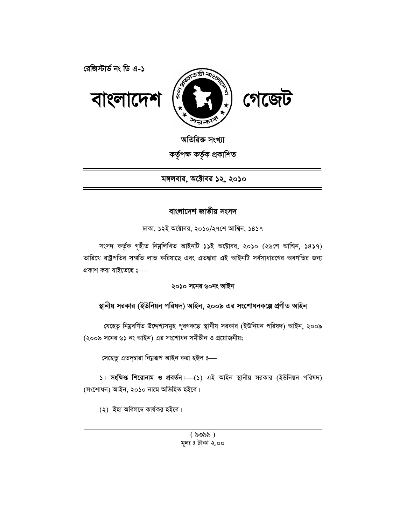

অতিরিক্ত সংখ্যা

কৰ্তৃপক্ষ কৰ্তৃক প্ৰকাশিত

মঙ্গলবার, অক্টোবর ১২, ২০১০

# বাংলাদেশ জাতীয় সংসদ

 $\nabla$ ঢাকা, ১২ই অক্টোবর, ২০১০/২৭শে আশ্বিন, ১৪১৭

সংসদ কৰ্তৃক গৃহীত নিম্নলিখিত আইনটি ১১ই অক্টোবর, ২০১০ (২৬শে আশ্বিন, ১৪১৭) তারিখে রাষ্ট্রপতির সম্মতি লাভ করিয়াছে এবং এতদ্বারা এই আইনটি সর্বসাধারণের অবগতির জন্য প্ৰকাশ করা যাইতেছে ঃ—

# ২০**১**০ সনের ৬০নং আইন

# স্থানীয় সরকার (ইউনিয়ন পরিষদ) আইন, ২০০৯ এর সংশোধনকল্পে প্রণীত আইন

যেহেতু নিম্নবর্ণিত উদ্দেশ্যসমূহ পূরণকল্পে স্থানীয় সরকার (ইউনিয়ন পরিষদ) আইন, ২০০৯ (২০০৯ সনের ৬১ নং আইন) এর সংশোধন সমীচীন ও প্রয়োজনীয়;

সেহেতু এতদ্দ্বারা নিম্নরূপ আইন করা হইল ৪—

 $1$  **সংক্ষিপ্ত শিরোনাম ও প্রবর্তন ⊢**(1) এই আইন স্থানীয় সরকার (ইউনিয়ন পরিষদ) (সংশোধন) আইন, ২০১০ নামে অভিহিত হইবে।

 $(2)$  ইহা অবিলম্বে কাৰ্যকর হইবে।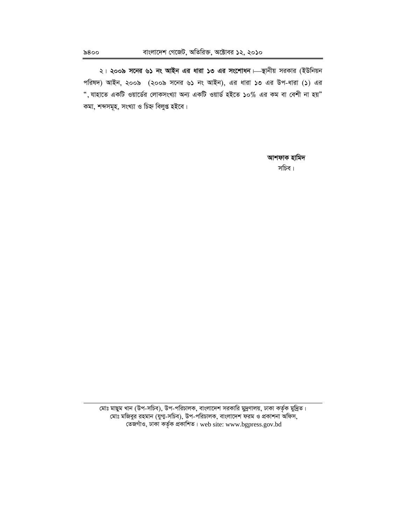২। **২০০৯ সনের ৬১ নং আইন এর ধারা ১৩ এর সংশোধন** Har সরকার (ইউনিয়ন পরিষদ) আইন, ২০০৯ (২০০৯ সনের ৬১ নং আইন), এর ধারা ১৩ এর উপ-ধারা (১) এর  $\cdot$ , যাহাতে একটি ওয়ার্ডের লোকসংখ্যা অন্য একটি ওয়ার্ড হইতে ১০% এর কম বা বেশী না হয়" কমা, শব্দসমূহ, সংখ্যা ও চিহ্ন বিলুপ্ত হইবে।

> আশফাক হামিদ লাগ সাহিত্য স্বাস্থ্য স্বাস্থ্য স্বাস্থ্য স্বাস্থ্য স্বাস্থ্য স্বাস্থ্য স্বাস্থ্য স্বাস্থ্য স্বাস্থ্য স্বাস্থ্

মোঃ মাছুম খান (উপ-সচিব), উপ-পরিচালক, বাংলাদেশ সরকারি মুদ্রণালয়, ঢাকা কর্তৃক মুদ্রিত। সোঃ মজিবুর রহমান (যুগা-সচিব), উপ-পরিচালক, বাংলাদেশ ফরম ও প্রকাশনা অফিস, তেজগাঁও, ঢাকা কৰ্তৃক প্ৰকাশিত। web site: www.bgpress.gov.bd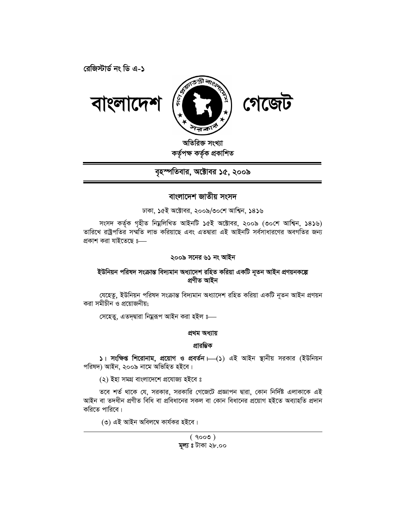রেজিস্টার্ড নং ডি এ-১



অতিরিক্ত সংখ্যা কৰ্তৃপক্ষ কৰ্তৃক প্ৰকাশিত

বৃহস্পতিবার, অক্টোবর ১৫, ২০০৯

# বাংলাদেশ জাতীয় সংসদ

ঢাকা, ১৫ই অক্টোবর, ২০০৯/৩০শে আশ্বিন, ১৪১৬

সংসদ কৰ্তৃক গৃহীত নিম্নলিখিত আইনটি ১৫ই অক্টোবর, ২০০৯ (৩০শে আশ্বিন, ১৪১৬) তারিখে রাষ্ট্রপতির সম্মতি লাভ করিয়াছে এবং এতদ্বারা এই আইনটি সর্বসাধারণের অবগতির জন্য প্রকাশ করা যাইতেছে ঃ—

# ২০০৯ সনের ৬১ নং আইন

# ইউনিয়ন পরিষদ সংক্রান্ত বিদ্যমান অধ্যাদেশ রহিত করিয়া একটি নৃতন আইন প্রণয়নকল্পে প্ৰণীত আইন

যেহেতু, ইউনিয়ন পরিষদ সংক্রান্ত বিদ্যমান অধ্যাদেশ রহিত করিয়া একটি নূতন আইন প্রণয়ন করা সমীচীন ও প্রয়োজনীয়;

সেহেতু, এতদৃদ্বারা নিম্নরূপ আইন করা হইল ঃ—

# প্ৰথম অধ্যায়

## প্ৰাৱম্ভিক

5। সংক্ষিপ্ত শিরোনাম, প্রয়োগ ও প্রবর্তন। (১) এই আইন স্থানীয় সরকার (ইউনিয়ন পরিষদ) আইন, ২০০৯ নামে অভিহিত হইবে।

(২) ইহা সমগ্ৰ বাংলাদেশে প্ৰযোজ্য হইবে ঃ

তবে শর্ত থাকে যে, সরকার, সরকারি গেজেটে প্রজ্ঞাপন দ্বারা, কোন নির্দিষ্ট এলাকাকে এই আইন বা তদধীন প্রণীত বিধি বা প্রবিধানের সকল বা কোন বিধানের প্রয়োগ হইতে অব্যাহতি প্রদান করিতে পারিবে।

(৩) এই আইন অবিলম্বে কাৰ্যকর হইবে।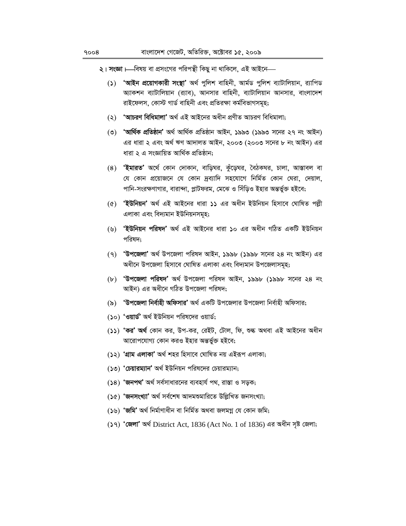২। সংজ্ঞা।—বিষয় বা প্রসংগের পরিপন্থী কিছু না থাকিলে, এই আইনে—

- 'আইন প্রয়োগকারী সংস্থা' অর্থ পুলিশ বাহিনী, আর্মড পুলিশ ব্যাটালিয়ান, র্যাপিড  $\mathcal{L}(\mathcal{L})$ আকশন ব্যাটালিয়ান (র্যাব), আনসার বাহিনী, ব্যাটালিয়ান আনসার, বাংলাদেশ রাইফেলস, কোস্ট গার্ড বাহিনী এবং প্রতিরক্ষা কর্মবিভাগসমূহ;
- (২) 'আচরণ বিধিমালা' অর্থ এই আইনের অধীন প্রণীত আচরণ বিধিমালা:
- (৩) 'আৰ্থিক প্ৰতিষ্ঠান' অৰ্থ আৰ্থিক প্ৰতিষ্ঠান আইন, ১৯৯৩ (১৯৯৩ সনের ২৭ নং আইন) এর ধারা ২ এবং অর্থ ঋণ আদালত আইন, ২০০৩ (২০০৩ সনের ৮ নং আইন) এর ধারা ২ এ সংজ্ঞায়িত আর্থিক প্রতিষ্ঠান;
- (8) **'ইমারত'** অর্থে কোন দোকান, বাড়িঘর, কুঁড়েঘর, বৈঠকঘর, চালা, আস্তাবল বা যে কোন প্রয়োজনে যে কোন দ্রব্যাদি সহযোগে নির্মিত কোন ঘেরা, দেয়াল, পানি-সংরক্ষণাগার, বারান্দা, প্লাটফরম, মেঝে ও সিঁড়িও ইহার অন্তর্ভুক্ত হইবে;
- (৫) 'ইউনিয়ন' অৰ্থ এই আইনের ধারা ১১ এর অধীন ইউনিয়ন হিসাবে ঘোষিত পল্লী এলাকা এবং বিদ্যমান ইউনিয়নসমূহ;
- (৬) 'ইউনিয়ন পরিষদ' অর্থ এই আইনের ধারা ১০ এর অধীন গঠিত একটি ইউনিয়ন পরিষদ:
- (৭) 'উপজেলা' অর্থ উপজেলা পরিষদ আইন, ১৯৯৮ (১৯৯৮ সনের ২৪ নং আইন) এর অধীনে উপজেলা হিসাবে ঘোষিত এলাকা এবং বিদ্যমান উপজেলাসমূহ;
- (b) 'উপজেলা পরিষদ' অর্থ উপজেলা পরিষদ আইন, ১৯৯৮ (১৯৯৮ সনের ২৪ নং আইন) এর অধীনে গঠিত উপজেলা পরিষদ;
- (৯) 'উপজেলা নিৰ্বাহী অফিসার' অৰ্থ একটি উপজেলার উপজেলা নিৰ্বাহী অফিসার;
- (১০) 'ওয়ার্ড' অর্থ ইউনিয়ন পরিষদের ওয়ার্ড;
- (১১) 'কর' অর্থ কোন কর, উপ-কর, রেইট, টোল, ফি, শুল্ক অথবা এই আইনের অধীন আরোপযোগ্য কোন করও ইহার অন্তর্ভুক্ত হইবে:
- (১২) 'গ্ৰাম এলাকা' অৰ্থ শহর হিসাবে ঘোষিত নয় এইরূপ এলাকা;
- (১৩) 'চেয়ারম্যান' অর্থ ইউনিয়ন পরিষদের চেয়ারম্যান;
- (১৪) 'জনপথ' অর্থ সর্বসাধারনের ব্যবহার্য পথ, রাস্তা ও সডক;
- (১৫) 'জনসংখ্যা' অৰ্থ সৰ্বশেষ আদমশুমারিতে উল্লিখিত জনসংখ্যা:
- (১৬) 'জমি' অৰ্থ নিৰ্মাণাধীন বা নিৰ্মিত অথবা জলমগ্ন যে কোন জমি;
- (১৭) 'জেলা' অৰ্থ District Act, 1836 (Act No. 1 of 1836) এর অধীন সৃষ্ট জেলা;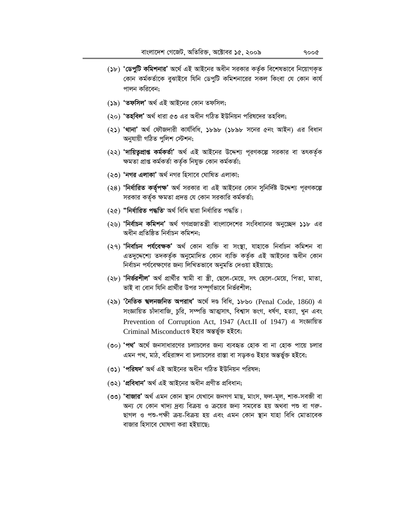- (১৮) 'ডেপুটি কমিশনার' অর্থে এই আইনের অধীন সরকার কর্তৃক বিশেষভাবে নিয়োগকৃত কোন কর্মকর্তাকে বুঝাইবে যিনি ডেপুটি কমিশনারের সকল কিংবা যে কোন কার্য পালন করিবেন:
- (১৯) 'তফসিল' অৰ্থ এই আইনের কোন তফসিল;
- (২০) 'তহবিল' অৰ্থ ধারা ৫৩ এর অধীন গঠিত ইউনিয়ন পরিষদের তহবিল:
- (২১) 'থানা' অর্থ ফৌজদারী কার্যবিধি, ১৮৯৮ (১৮৯৮ সনের ৫নং আইন) এর বিধান অনুযায়ী গঠিত পুলিশ স্টেশন;
- (২২) 'দায়িতুপ্রাপ্ত কর্মকর্তা' অর্থ এই আইনের উদ্দেশ্য পূরণকল্পে সরকার বা তৎকর্তৃক ক্ষমতা প্ৰাপ্ত কৰ্মকৰ্তা কৰ্তৃক নিযুক্ত কোন কৰ্মকৰ্তা;
- (২৩) 'নগর এলাকা' অর্থ নগর হিসাবে ঘোষিত এলাকা;
- (২৪) 'নির্ধারিত কর্তৃপক্ষ' অর্থ সরকার বা এই আইনের কোন সুনির্দিষ্ট উদ্দেশ্য পূরণকল্পে সরকার কর্তৃক ক্ষমতা প্রদত্ত যে কোন সরকারি কর্মকর্তা;
- (২৫) "নিৰ্ধাৱিত পদ্ধতি' অৰ্থ বিধি দ্বাৱা নিৰ্ধাৱিত পদ্ধতি।
- (২৬) 'নিৰ্বাচন কমিশন' অৰ্থ গণপ্ৰজাতন্ত্ৰী বাংলাদেশের সংবিধানের অনুচ্ছেদ ১১৮ এর অধীন প্ৰতিষ্ঠিত নিৰ্বাচন কমিশন:
- (২৭) 'নিৰ্বাচন পৰ্যবেক্ষক' অৰ্থ কোন ব্যক্তি বা সংস্থা, যাহাকে নিৰ্বাচন কমিশন বা এতদুদ্দেশ্যে তদকৰ্তৃক অনুমোদিত কোন ব্যক্তি কৰ্তৃক এই আইনের অধীন কোন নির্বাচন পর্যবেক্ষণের জন্য লিখিতভাবে অনুমতি দেওয়া হইয়াছে;
- (২৮) 'নির্ভরশীল' অর্থ প্রার্থীর স্বামী বা স্ত্রী, ছেলে-মেয়ে, সৎ ছেলে-মেয়ে, পিতা, মাতা, ভাই বা বোন যিনি প্রার্থীর উপর সম্পূর্ণভাবে নির্ভরশীল;
- (২৯) 'নৈতিক শ্বলনজনিত অপরাধ' অর্থে দণ্ড বিধি, ১৮৬০ (Penal Code, 1860) এ সংজ্ঞায়িত চাঁদাবাজি, চুরি, সম্পত্তি আত্মসাৎ, বিশ্বাস ভংগ, ধর্ষণ, হত্যা, খুন এবং Prevention of Corruption Act, 1947 (Act.II of 1947) এ সংজ্ঞায়িত Criminal Misconductও ইহার অন্তর্ভুক্ত হইবে;
- (৩০) 'পথ' অর্থে জনসাধারণের চলাচলের জন্য ব্যবহৃত হোক বা না হোক পায়ে চলার এমন পথ, মাঠ, বহিরাঙ্গন বা চলাচলের রাস্তা বা সড়কও ইহার অন্তর্ভুক্ত হইবে;
- (৩১) 'পরিষদ' অর্থ এই আইনের অধীন গঠিত ইউনিয়ন পরিষদ;
- (৩২) 'প্ৰবিধান' অৰ্থ এই আইনের অধীন প্ৰণীত প্ৰবিধান;
- (৩৩) 'বাজার' অর্থ এমন কোন স্থান যেখানে জনগণ মাছ, মাংস, ফল-মূল, শাক-সবজী বা অন্য যে কোন খাদ্য দ্রব্য বিক্রয় ও ক্রয়ের জন্য সমবেত হয় অথবা পশু বা গরু-ছাগল ও পশু-পক্ষী ক্রয়-বিক্রয় হয় এবং এমন কোন স্থান যাহা বিধি মোতাবেক বাজার হিসাবে ঘোষণা করা হইয়াছে;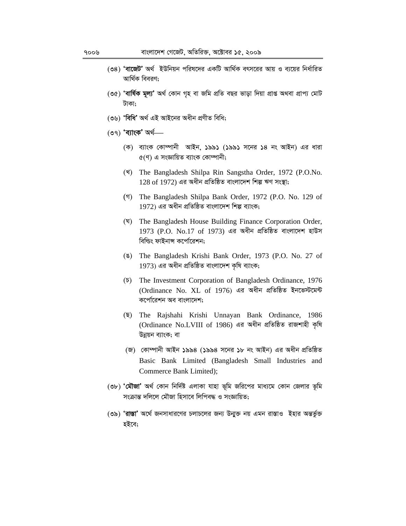- (৩৪) 'বাজেট' অর্থ ইউনিয়ন পরিষদের একটি আর্থিক বৎসরের আয় ও ব্যয়ের নির্ধারিত আর্থিক বিবরণ:
- (৩৫) 'বাৰ্ষিক মূল্য' অৰ্থ কোন গৃহ বা জমি প্ৰতি বছর ভাড়া দিয়া প্ৰাপ্ত অথবা প্ৰাপ্য মোট টাকা:
- (৩৬) 'বিধি' অৰ্থ এই আইনের অধীন প্রণীত বিধি;
- $($ ৩৭) 'ব্যাংক' অৰ্থ—
	- (ক) ব্যাংক কোম্পানী আইন, ১৯৯১ (১৯৯১ সনের ১৪ নং আইন) এর ধারা  $c($ ণ) এ সংজ্ঞায়িত ব্যাংক কোম্পানী:
	- (\*) The Bangladesh Shilpa Rin Sangstha Order, 1972 (P.O.No. 128 of 1972) এর অধীন প্রতিষ্ঠিত বাংলাদেশ শিল্প ঋণ সংস্থা;
	- (1) The Bangladesh Shilpa Bank Order, 1972 (P.O. No. 129 of 1972) এর অধীন প্রতিষ্ঠিত বাংলাদেশ শিল্প ব্যাংক;
	- (घ) The Bangladesh House Building Finance Corporation Order,  $1973$  (P.O. No.17 of 1973) এর অধীন প্রতিষ্ঠিত বাংলাদেশ হাউস বিল্ডিং ফাইনান্স কর্পোরেশন;
	- (§) The Bangladesh Krishi Bank Order, 1973 (P.O. No. 27 of 1973) এর অধীন প্রতিষ্ঠিত বাংলাদেশ কৃষি ব্যাংক;
	- $(\overline{b})$  The Investment Corporation of Bangladesh Ordinance, 1976 (Ordinance No. XL of 1976) এর অধীন প্রতিষ্ঠিত ইনভেস্টমেন্ট কর্পোরেশন অব বাংলাদেশ;
	- ( $\overline{Q}$ ) The Rajshahi Krishi Unnayan Bank Ordinance, 1986 (Ordinance No.LVIII of 1986) এর অধীন প্রতিষ্ঠিত রাজশাহী কৃষি উন্নয়ন ব্যাংক; বা
	- (জ) কোম্পানী আইন ১৯৯৪ (১৯৯৪ সনের ১৮ নং আইন) এর অধীন প্রতিষ্ঠিত Basic Bank Limited (Bangladesh Small Industries and Commerce Bank Limited);
- (৩৮) 'মৌজা' অর্থ কোন নির্দিষ্ট এলাকা যাহা ভূমি জরিপের মাধ্যমে কোন জেলার ভূমি সংক্রান্ত দলিলে মৌজা হিসাবে লিপিবদ্ধ ও সংজ্ঞায়িত:
- (৩৯) 'রাস্তা' অর্থে জনসাধারণের চলাচলের জন্য উন্মুক্ত নয় এমন রাস্তাও ইহার অন্তর্ভুক্ত হইবে;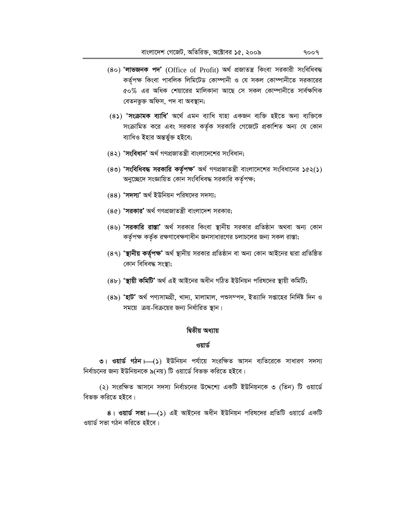- (80) 'লাভজনক পদ' (Office of Profit) অৰ্থ প্ৰজাতন্ত্ৰ কিংবা সৱকারী সংবিধিবদ্ধ কৰ্তৃপক্ষ কিংবা পাবলিক লিমিটেড কোম্পানী ও যে সকল কোম্পানীতে সরকারের <u>৫</u>০% এর অধিক শেয়ারের মালিকানা আছে সে সকল কোম্পানীতে সার্বক্ষণিক বেতনভুক্ত অফিস, পদ বা অবস্থান;
- (8) **'সংক্ৰামক ব্যাধি'** অৰ্থে এমন ব্যাধি যাহা একজন ব্যক্তি হইতে অন্য ব্যক্তিকে সংক্রামিত করে এবং সরকার কর্তৃক সরকারি গেজেটে প্রকাশিত অন্য যে কোন ব্যাধিও ইহার অন্তর্ভুক্ত হইবে;
- (8২) **'সংবিধান'** অৰ্থ গণপ্ৰজাতন্ত্ৰী বাংলাদেশের সংবিধান;
- (৪৩) 'সংবিধিবদ্ধ সরকারি কর্তৃপক্ষ' অর্থ গণপ্রজাতন্ত্রী বাংলাদেশের সংবিধানের ১৫২(১) অনুচ্ছেদে সংজ্ঞায়িত কোন সংবিধিবদ্ধ সরকারি কর্তৃপক্ষ;
- (88) **'সদস্য'** অৰ্থ ইউনিয়ন পরিষদের সদস্য;
- (8৫) **'সরকার'** অর্থ গণপ্রজাতন্ত্রী বাংলাদেশ সরকার;
- (৪৬) **'সরকারি রাস্তা'** অর্থ সরকার কিংবা স্থানীয় সরকার প্রতিষ্ঠান অথবা অন্য কোন কর্তৃপক্ষ কর্তৃক রক্ষণাবেক্ষণাধীন জনসাধারণের চলাচলের জন্য সকল রাস্তা;
- (৪৭) **'স্থানীয় কৰ্তৃপক্ষ'** অৰ্থ স্থানীয় সরকার প্রতিষ্ঠান বা অন্য কোন আইনের দ্বারা প্রতিষ্ঠিত কোন বিধিবদ্ধ সংস্থা;
- (৪৮) **'স্থায়ী কমিটি'** অৰ্থ এই আইনের অধীন গঠিত ইউনিয়ন পরিষদের স্থায়ী কমিটি;
- (৪৯) **'হাট'** অৰ্থ পণ্যসামগ্ৰী, খাদ্য, মালামাল, পশুসম্পদ, ইত্যাদি সপ্তাহের নিৰ্দিষ্ট দিন ও সময়ে ক্রয়-বিক্রয়ের জন্য নির্ধারিত স্থান।

#### **দ্বিতীয় অধ্যায়**

#### **ওয়ার্ড**

**৩। ওয়ার্ড গঠন।—(১) ইউনিয়ন পর্যায়ে সংরক্ষিত আসন ব্যতিরেকে সাধারণ সদস্য** নির্বাচনের জন্য ইউনিয়নকে ৯(নয়) টি ওয়ার্ডে বিভক্ত করিতে হইবে।

(২) সংরক্ষিত আসনে সদস্য নির্বাচনের উদ্দেশ্যে একটি ইউনিয়নকে ৩ (তিন) টি ওয়ার্ডে বিভক্ত করিতে হইবে।

8। **ওয়ার্ড সভা ৷**(১) এই আইনের অধীন ইউনিয়ন পরিষদের প্রতিটি ওয়ার্ডে একটি ওয়ার্ড সভা গঠন করিতে হইবে।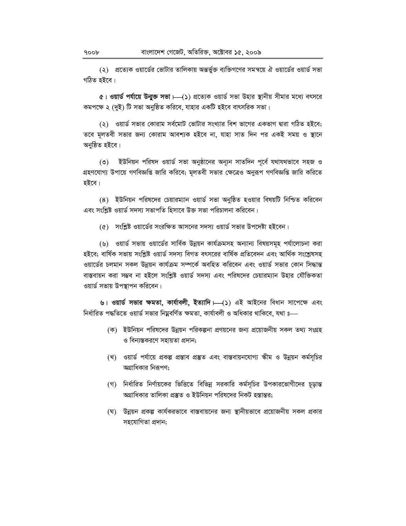(২) প্রত্যেক ওয়ার্ডের ভোটার তালিকায় অন্তর্ভুক্ত ব্যক্তিগণের সমন্বয়ে ঐ ওয়ার্ডের ওয়ার্ড সভা গঠিত হইবে।

 $\alpha$ । ওয়ার্ড পর্যায়ে উনাুক্ত সভা ।—(১) প্রত্যেক ওয়ার্ড সভা উহার স্থানীয় সীমার মধ্যে বৎসরে কমপক্ষে ২ (দুই) টি সভা অনুষ্ঠিত করিবে, যাহার একটি হইবে বাৎসরিক সভা।

(২) ওয়ার্ড সভার কোরাম সর্বমোট ভোটার সংখ্যার বিশ ভাগের একভাগ দ্বারা গঠিত হইবে; তবে মূলতবী সভার জন্য কোরাম আবশ্যক হইবে না, যাহা সাত দিন পর একই সময় ও স্থানে অনুষ্ঠিত হইবে।

ইউনিয়ন পরিষদ ওয়ার্ড সভা অনুষ্ঠানের অন্যন সাতদিন পূর্বে যথাযথভাবে সহজ ও  $\circ$ গ্রহণযোগ্য উপায়ে গণবিজ্ঞপ্তি জারি করিবে; মূলতবী সভার ক্ষেত্রেও অনুরূপ গণবিজ্ঞপ্তি জারি করিতে হইবে।

(8) ইউনিয়ন পরিষদের চেয়ারম্যান ওয়ার্ড সভা অনুষ্ঠিত হওয়ার বিষয়টি নিশ্চিত করিবেন এবং সংশ্লিষ্ট ওয়ার্ড সদস্য সভাপতি হিসাবে উক্ত সভা পরিচালনা করিবেন।

(৫) সংশ্লিষ্ট ওয়ার্ডের সংরক্ষিত আসনের সদস্য ওয়ার্ড সভার উপদেষ্টা হইবেন।

(৬) ওয়ার্ড সভায় ওয়ার্ডের সার্বিক উন্নয়ন কার্যক্রমসহ অন্যান্য বিষয়সমূহ পর্যালোচনা করা হইবে; বাৰ্ষিক সভায় সংশ্লিষ্ট ওয়াৰ্ড সদস্য বিগত বৎসরের বার্ষিক প্রতিবেদন এবং আর্থিক সংশ্লেষসহ ওয়ার্ডের চলমান সকল উন্নয়ন কার্যক্রম সম্পর্কে অবহিত করিবেন এবং ওয়ার্ড সভার কোন সিদ্ধান্ত বাস্তবায়ন করা সম্ভব না হইলে সংশ্লিষ্ট ওয়ার্ড সদস্য এবং পরিষদের চেয়ারম্যান উহার যৌক্তিকতা ওয়ার্ড সভায় উপস্থাপন করিবেন।

৬। ওয়ার্ড সভার ক্ষমতা, কার্যাবলী, ইত্যাদি। (১) এই আইনের বিধান সাপেক্ষে এবং নির্ধারিত পদ্ধতিতে ওয়ার্ড সভার নিয়ুবর্ণিত ক্ষমতা, কার্যাবলী ও অধিকার থাকিবে, যথা ঃ

- (ক) ইউনিয়ন পরিষদের উন্নয়ন পরিকল্পনা প্রণয়নের জন্য প্রয়োজনীয় সকল তথ্য সংগ্রহ ও বিন্যস্তকরণে সহায়তা প্রদান;
- (খ) ওয়ার্ড পর্যায়ে প্রকল্প প্রস্তাব প্রস্তুত এবং বাস্তবায়নযোগ্য স্কীম ও উন্নয়ন কর্মসূচির অগ্রাধিকার নিরূপণ;
- (গ) নির্ধারিত নির্ণায়কের ভিত্তিতে বিভিন্ন সরকারি কর্মসূচির উপকারভোগীদের চূড়ান্ত অগ্রাধিকার তালিকা প্রস্তুত ও ইউনিয়ন পরিষদের নিকট হস্তান্তর;
- (ঘ) উন্নয়ন প্রকল্প কার্যকরভাবে বাস্তবায়নের জন্য স্থানীয়ভাবে প্রয়োজনীয় সকল প্রকার সহযোগিতা প্ৰদান;

 $900b$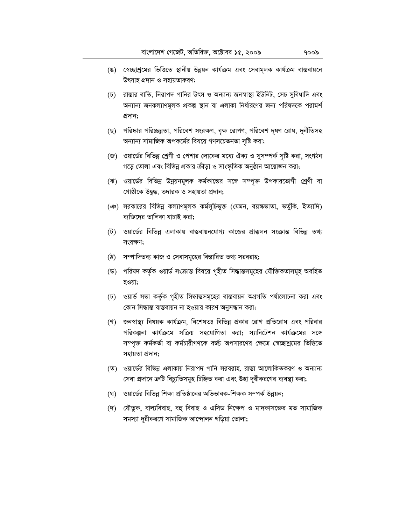- (ঙ) স্বেচ্ছাশ্রমের ভিত্তিতে স্থানীয় উন্নয়ন কার্যক্রম এবং সেবামূলক কার্যক্রম বাস্তবায়নে উৎসাহ প্রদান ও সহায়তাকরণ;
- (চ) রাস্তার বাতি, নিরাপদ পানির উৎস ও অন্যান্য জনস্বাস্থ্য ইউনিট, সেচ সুবিধাদি এবং অন্যান্য জনকল্যাণমূলক প্রকল্প স্থান বা এলাকা নির্ধারণের জন্য পরিষদকে পরামর্শ প্ৰদান;
- (ছ) পরিষ্কার পরিচ্ছন্নতা, পরিবেশ সংরক্ষণ, বৃক্ষ রোপণ, পরিবেশ দূষণ রোধ, দুর্নীতিসহ অন্যান্য সামাজিক অপকর্মের বিষয়ে গণসচেতনতা সৃষ্টি করা;
- জে) ওয়ার্ডের বিভিন্ন শ্রেণী ও পেশার লোকের মধ্যে ঐক্য ও সুসম্পর্ক সৃষ্টি করা, সংগঠন গড়ে তোলা এবং বিভিন্ন প্রকার ক্রীড়া ও সাংস্কৃতিক অনুষ্ঠান আয়োজন করা;
- (ঝ) ওয়ার্ডের বিভিন্ন উন্নয়নমূলক কর্মকান্ডের সঙ্গে সম্পৃক্ত উপকারভোগী শ্রেণী বা গোষ্ঠীকে উদ্বদ্ধ, তদারক ও সহায়তা প্রদান;
- (এঃ) সরকারের বিভিন্ন কল্যাণমূলক কর্মসূচিভুক্ত (যেমন, বয়স্কভাতা, ভর্তুকি, ইত্যাদি) ব্যক্তিদের তালিকা যাচাই করা;
- (ট) ওয়ার্ডের বিভিন্ন এলাকায় বাস্তবায়নযোগ্য কাজের প্রাক্কলন সংক্রান্ত বিভিন্ন তথ্য সংরক্ষণ;
- (ঠ) সম্পাদিতব্য কাজ ও সেবাসমূহের বিস্তারিত তথ্য সরবরাহ;
- (ড) পরিষদ কর্তৃক ওয়ার্ড সংক্রান্ত বিষয়ে গৃহীত সিদ্ধান্তসমূহের যৌক্তিকতাসমূহ অবহিত হওয়া;
- (ঢ) ওয়ার্ড সভা কর্তৃক গৃহীত সিদ্ধান্তসমূহের বাস্তবায়ন অগ্রগতি পর্যালোচনা করা এবং কোন সিদ্ধান্ত বাস্তবায়ন না হওয়ার কারণ অনুসন্ধান করা;
- (ণ) জনস্বাস্থ্য বিষয়ক কার্যক্রম, বিশেষতঃ বিভিন্ন প্রকার রোগ প্রতিরোধ এবং পরিবার পরিকল্পনা কার্যক্রমে সক্রিয় সহযোগিতা করা; স্যানিটেশন কার্যক্রমের সঙ্গে সম্পৃক্ত কর্মকর্তা বা কর্মচারীগণকে বর্জ্য অপসারণের ক্ষেত্রে স্বেচ্ছাশ্রমের ভিত্তিতে সহায়তা প্ৰদান;
- (ত) ওয়ার্ডের বিভিন্ন এলাকায় নিরাপদ পানি সরবরাহ, রাস্তা আলোকিতকরণ ও অন্যান্য সেবা প্রদানে ক্রটি বিচ্যুতিসমূহ চিহ্নিত করা এবং উহা দূরীকরণের ব্যবস্থা করা;
- (থ) ওয়ার্ডের বিভিন্ন শিক্ষা প্রতিষ্ঠানের অভিভাবক-শিক্ষক সম্পর্ক উন্নয়ন;
- (দ) যৌতুক, বাল্যবিবাহ, বহু বিবাহ ও এসিড নিক্ষেপ ও মাদকাসজের মত সামাজিক সমস্যা দূরীকরণে সামাজিক আন্দোলন গড়িয়া তোলা;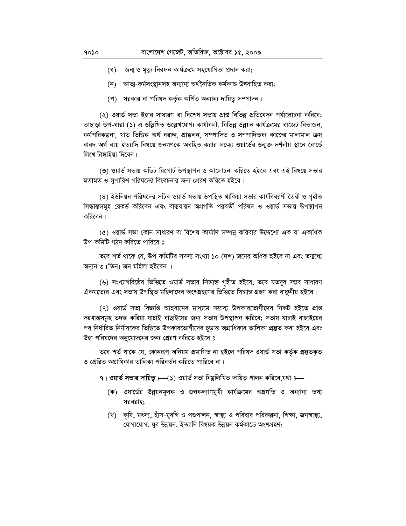- (ধ) জন্ম ও মৃত্যু নিবন্ধন কাৰ্যক্ৰমে সহযোগিতা প্ৰদান করা;
- (ন) আত্ম-কৰ্মসংস্থানসহ অন্যান্য অৰ্থনৈতিক কৰ্মকান্ড উৎসাহিত করা;
- (প) সরকার বা পরিষদ কর্তৃক অর্পিত অন্যান্য দায়িত্ব সম্পাদন।

(২) ওয়ার্ড সভা ইহার সাধারণ বা বিশেষ সভায় প্রাপ্ত বিভিন্ন প্রতিবেদন পর্যালোচনা করিবে; তাছাড়া উপ-ধারা (১) এ উল্লিখিত উল্লেখযোগ্য কার্যাবলী, বিভিন্ন উন্নয়ন কার্যক্রমের বাজেট বিভাজন, কৰ্মপৱিকল্পনা, খাত ভিত্তিক অৰ্থ বৱাদ্দ, প্ৰাক্কলন, সম্পাদিত ও সম্পাদিতব্য কাজের মালামাল ক্রয় বাবদ অর্থ ব্যয় ইত্যাদি বিষয়ে জনগণকে অবহিত করার লক্ষ্যে ওয়ার্ডের উন্মক্ত দর্শনীয় স্থানে বোর্ডে লিখে টাঙ্গাইয়া দিবেন।

(৩) ওয়ার্ড সভায় অডিট রিপোর্ট উপস্থাপন ও আলোচনা করিতে হইবে এবং এই বিষয়ে সভার মতামত ও সুপারিশ পরিষদের বিবেচনার জন্য প্রেরণ করিতে হইবে।

(৪) ইউনিয়ন পরিষদের সচিব ওয়ার্ড সভায় উপস্থিত থাকিয়া সভার কার্যবিবরণী তৈরী ও গৃহীত সিদ্ধান্তসমূহ রেকর্ড করিবেন এবং বাস্তবায়ন অগ্রগতি পরবর্তী পরিষদ ও ওয়ার্ড সভায় উপস্থাপন করিবেন।

(৫) ওয়ার্ড সভা কোন সাধারণ বা বিশেষ কার্যাদি সম্পন্ন করিবার উদ্দেশ্যে এক বা একাধিক উপ-কমিটি গঠন করিতে পারিবে ঃ

তবে শর্ত থাকে যে, উপ-কমিটির সদস্য সংখ্যা ১০ (দশ) জনের অধিক হইবে না এবং তন্মধ্যে অন্যূন ৩ (তিন) জন মহিলা হইবেন ।

(৬) সংখ্যাগরিষ্ঠের ভিত্তিতে ওয়ার্ড সভার সিদ্ধান্ত গৃহীত হইবে, তবে যতদূর সম্ভব সাধারণ ঐকমত্যের এবং সভায় উপস্থিত মহিলাদের অংশগ্রহণের ভিত্তিতে সিদ্ধান্ত গ্রহণ করা বাঞ্ছনীয় হইবে।

(৭) ওয়ার্ড সভা বিজ্ঞপ্তি আহবানের মাধ্যমে সম্ভাব্য উপকারভোগীদের নিকট হইতে প্রাপ্ত দরখাস্তসমূহ তদন্ত করিয়া যাচাই বাছাইয়ের জন্য সভায় উপস্থাপন করিবে; সভায় যাচাই বাছাইয়ের পর নির্ধারিত নির্ণায়কের ভিত্তিতে উপকারভোগীদের চূড়ান্ত অগ্রাধিকার তালিকা প্রস্তুত করা হইবে এবং উহা পরিষদের অনুমোদনের জন্য প্রেরণ করিতে হইবে ঃ

তবে শর্ত থাকে যে, কোনরূপ অনিয়ম প্রমাণিত না হইলে পরিষদ ওয়ার্ড সভা কর্তৃক প্রস্তুতকৃত ও প্রেরিত অগ্রাধিকার তালিকা পরিবর্তন করিতে পারিবে না।

৭। ওয়ার্ড সভার দায়িত্ব।—(১) ওয়ার্ড সভা নিয়ুলিখিত দায়িত্ব পালন করিবে,যথা ঃ—

- (ক) ওয়ার্ডের উন্নয়নমূলক ও জনকল্যাণমুখী কার্যক্রমের অগ্রগতি ও অন্যান্য তথ্য সরবরাহ;
- (খ) কৃষি, মৎস্য, হাঁস-মুরগি ও পশুপালন, স্বাস্থ্য ও পরিবার পরিকল্পনা, শিক্ষা, জনস্বাস্থ্য, যোগাযোগ, যুব উন্নয়ন, ইত্যাদি বিষয়ক উন্নয়ন কৰ্মকান্ডে অংশগ্ৰহণ;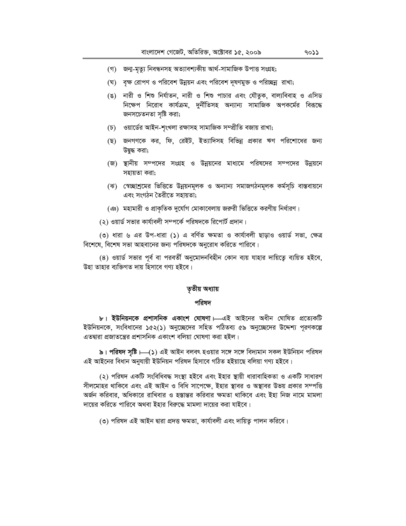- (গ) জনা-মৃত্যু নিবন্ধনসহ অত্যাবশ্যকীয় আৰ্থ-সামাজিক উপাত্ত সংগ্ৰহ;
- (ঘ) বৃক্ষ রোপণ ও পরিবেশ উন্নয়ন এবং পরিবেশ দূষণমুক্ত ও পরিচ্ছন্ন রাখা;
- (ঙ) নারী ও শিশু নির্যাতন, নারী ও শিশু পাচার এবং যৌতুক, বাল্যবিবাহ ও এসিড নিক্ষেপ নিরোধ কার্যক্রম, দুর্নীতিসহ অন্যান্য সামাজিক অপকর্মের বিরূদ্ধে জনসচেতনতা সৃষ্টি করা;
- (চ) ওয়ার্ডের আইন-শৃংখলা রক্ষাসহ সামাজিক সম্প্রীতি বজায় রাখা;
- (ছ) জনগণকে কর, ফি, রেইট, ইত্যাদিসহ বিভিন্ন প্রকার ঋণ পরিশোধের জন্য উদ্বদ্ধ করা;
- (জ) স্থানীয় সম্পদের সংগ্রহ ও উন্নয়নের মাধ্যমে পরিষদের সম্পদের উন্নয়নে সহায়তা করা:
- (ঝ) স্বেচ্ছাশ্রমের ভিত্তিতে উন্নয়নমূলক ও অন্যান্য সমাজগঠনমূলক কর্মসূচি বাস্তবায়নে এবং সংগঠন তৈরীতে সহায়তা;
- (এঃ) মহামারী ও প্রাকৃতিক দুর্যোগ মোকাবেলায় জরুরী ভিত্তিতে করণীয় নির্ধারণ।
- (২) ওয়ার্ড সভার কার্যাবলী সম্পর্কে পরিষদকে রিপোর্ট প্রদান।

(৩) ধারা ৬ এর উপ-ধারা (১) এ বর্ণিত ক্ষমতা ও কার্যাবলী ছাড়াও ওয়ার্ড সভা, ক্ষেত্র বিশেষে, বিশেষ সভা আহবানের জন্য পরিষদকে অনুরোধ করিতে পারিবে।

(8) ওয়ার্ড সভার পূর্ব বা পরবর্তী অনুমোদনবিহীন কোন ব্যয় যাহার দায়িত্বে ব্যয়িত হইবে, উহা তাহার ব্যক্তিগত দায় হিসাবে গণ্য হইবে।

# তৃতীয় অধ্যায়

## পরিষদ

৮। ইউনিয়নকে প্রশাসনিক একাংশ ঘোষণা। এই আইনের অধীন ঘোষিত প্রত্যেকটি ইউনিয়নকে, সংবিধানের ১৫২(১) অনুচ্ছেদের সহিত পঠিতব্য ৫৯ অনুচ্ছেদের উদ্দেশ্য পূরণকল্পে এতদ্বারা প্রজাতন্ত্রের প্রশাসনিক একাংশ বলিয়া ঘোষণা করা হইল।

৯। পরিষদ সৃষ্টি। (১) এই আইন বলবৎ হওয়ার সঙ্গে সঙ্গে বিদ্যমান সকল ইউনিয়ন পরিষদ এই আইনের বিধান অনুযায়ী ইউনিয়ন পরিষদ হিসাবে গঠিত হইয়াছে বলিয়া গণ্য হইবে।

(২) পরিষদ একটি সংবিধিবদ্ধ সংস্থা হইবে এবং ইহার স্থায়ী ধারাবাহিকতা ও একটি সাধারণ সীলমোহর থাকিবে এবং এই আইন ও বিধি সাপেক্ষে, ইহার স্থাবর ও অস্থাবর উভয় প্রকার সম্পত্তি অর্জন করিবার, অধিকারে রাখিবার ও হস্তান্তর করিবার ক্ষমতা থাকিবে এবং ইহা নিজ নামে মামলা দায়ের করিতে পারিবে অথবা ইহার বিরুদ্ধে মামলা দায়ের করা যাইবে।

(৩) পরিষদ এই আইন দ্বারা প্রদত্ত ক্ষমতা, কার্যাবলী এবং দায়িত্ব পালন করিবে।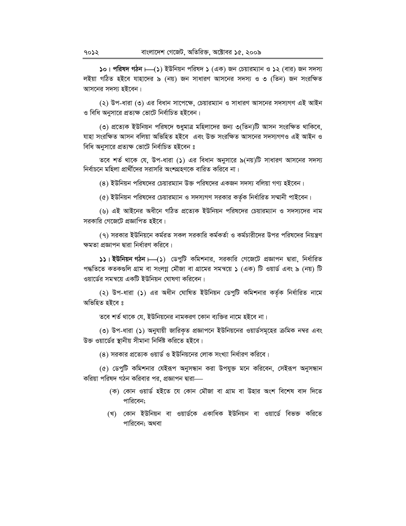**১০। পরিষদ গঠন**  $\vdash$ **(১) ইউনিয়ন পরিষদ ১ (এক) জন চেয়ারম্যান ও ১২ (বার) জন সদস্য** লইয়া গঠিত হইবে যাহাদের ৯ (নয়) জন সাধারণ আসনের সদস্য ও ৩ (তিন) জন সংরক্ষিত আসনের সদস্য হইবেন।

(২) উপ-ধারা (৩) এর বিধান সাপেক্ষে, চেয়ারম্যান ও সাধারণ আসনের সদস্যগণ এই আইন ও বিধি অনুসারে প্রত্যক্ষ ভোটে নির্বাচিত হইবেন।

(৩) প্রত্যেক ইউনিয়ন পরিষদে শুধুমাত্র মহিলাদের জন্য ৩(তিন)টি আসন সংরক্ষিত থাকিবে, যাহা সংরক্ষিত আসন বলিয়া অভিহিত হইবে এবং উক্ত সংরক্ষিত আসনের সদস্যগণও এই আইন ও বিধি অনুসারে প্রত্যক্ষ ভোটে নির্বাচিত হইবেন ঃ

তবে শর্ত থাকে যে, উপ-ধারা (১) এর বিধান অনুসারে ৯(নয়)টি সাধারণ আসনের সদস্য নির্বাচনে মহিলা প্রার্থীদের সরাসরি অংশগ্রহণকে বারিত করিবে না।

(8) ইউনিয়ন পরিষদের চেয়ারম্যান উক্ত পরিষদের একজন সদস্য বলিয়া গণ্য হইবেন।

(৫) ইউনিয়ন পরিষদের চেয়ারম্যান ও সদস্যগণ সরকার কর্তৃক নির্ধারিত সম্মানী পাইবেন।

(৬) এই আইনের অধীনে গঠিত প্রত্যেক ইউনিয়ন পরিষদের চেয়ারম্যান ও সদস্যদের নাম সরকারি গেজেটে প্রজ্ঞাপিত হইবে।

(৭) সরকার ইউনিয়নে কর্মরত সকল সরকারি কর্মকর্তা ও কর্মচারীদের উপর পরিষদের নিয়ন্ত্রণ ক্ষমতা প্ৰজ্ঞাপন দ্বারা নির্ধারণ করিবে।

**১১। ইউনিয়ন গঠন ⊢ব্ (১) ডেপুটি কমিশনার, সরকারি গেজেটে প্রজ্ঞাপন দ্বারা, নির্ধারিত** পদ্ধতিতে কতকগুলি গ্রাম বা সংলগ্ন মৌজা বা গ্রামের সমন্বয়ে ১ (এক) টি ওয়ার্ড এবং ৯ (নয়) টি ওয়ার্ডের সমন্বয়ে একটি ইউনিয়ন ঘোষণা করিবেন।

(২) উপ-ধারা (১) এর অধীন ঘোষিত ইউনিয়ন ডেপুটি কমিশনার কর্তৃক নির্ধারিত নামে অভিহিত হইবে ঃ

তবে শর্ত থাকে যে, ইউনিয়নের নামকরণ কোন ব্যক্তির নামে হইবে না।

(৩) উপ-ধারা (১) অনুযায়ী জারিকৃত প্রজ্ঞাপনে ইউনিয়নের ওয়ার্ডসমূহের ক্রমিক নম্বর এবং উক্ত ওয়ার্ডের স্থানীয় সীমানা নির্দিষ্ট করিতে হইবে।

 $(8)$  সরকার প্রত্যেক ওয়ার্ড ও ইউনিয়নের লোক সংখ্যা নির্ধারণ করিবে।

(৫) ডেপুটি কমিশনার যেইরূপ অনুসন্ধান করা উপযুক্ত মনে করিবেন, সেইরূপ অনুসন্ধান করিয়া পরিষদ গঠন করিবার পর. প্রজ্ঞাপন দ্বারা—

- (ক) কোন ওয়ার্ড হইতে যে কোন মৌজা বা গ্রাম বা উহার অংশ বিশেষ বাদ দিতে পারিবেন:
- (খ) কোন ইউনিয়ন বা ওয়াৰ্ডকে একাধিক ইউনিয়ন বা ওয়াৰ্ডে বিভক্ত করিতে পারিবেন; অথবা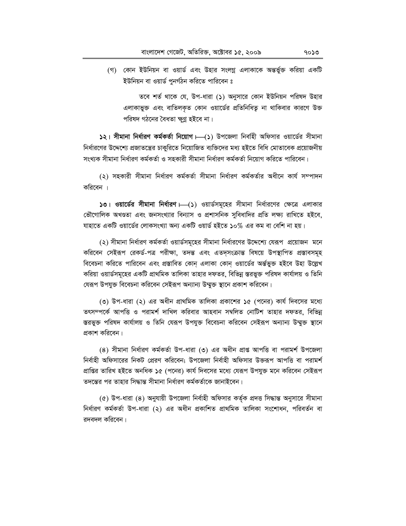(গ) কোন ইউনিয়ন বা ওয়ার্ড এবং উহার সংলগ্ন এলাকাকে অন্তর্ভুক্ত করিয়া একটি ইউনিয়ন বা ওয়ার্ড পুনর্গঠন করিতে পারিবেন ঃ

তবে শর্ত থাকে যে, উপ-ধারা (১) অনুসারে কোন ইউনিয়ন পরিষদ উহার এলাকাভুক্ত এবং বাতিলকৃত কোন ওয়ার্ডের প্রতিনিধিতু না থাকিবার কারণে উক্ত পরিষদ গঠনের বৈধতা ক্ষুণ্ণ হইবে না।

 $\frac{1}{2}$ । সীমানা নির্ধারণ কর্মকর্তা নিয়োগ  $\leftarrow$ (১) উপজেলা নির্বাহী অফিসার ওয়ার্ডের সীমানা নির্ধারণের উদ্দেশ্যে প্রজাতন্ত্রের চাকুরিতে নিয়োজিত ব্যক্তিদের মধ্য হইতে বিধি মোতাবেক প্রয়োজনীয় সংখ্যক সীমানা নিৰ্ধাৱণ কৰ্মকৰ্তা ও সহকারী সীমানা নিৰ্ধাৱণ কৰ্মকৰ্তা নিয়োগ কৱিতে পাৱিবেন।

(২) সহকারী সীমানা নির্ধারণ কর্মকর্তা সীমানা নির্ধারণ কর্মকর্তার অধীনে কার্য সম্পাদন করিবেন ।

 $\omega$ । ওয়ার্ডের সীমানা নির্ধারণ  $\longmapsto$  ওয়ার্ডসমূহের সীমানা নির্ধারণের ক্ষেত্রে এলাকার ভৌগোলিক অখণ্ডতা এবং জনসংখ্যার বিন্যাস ও প্রশাসনিক সুবিধাদির প্রতি লক্ষ্য রাখিতে হইবে, যাহাতে একটি ওয়ার্ডের লোকসংখ্যা অন্য একটি ওয়ার্ড হইতে ১০% এর কম বা বেশি না হয়।

(২) সীমানা নির্ধারণ কর্মকর্তা ওয়ার্ডসমূহের সীমানা নির্ধারণের উদ্দেশ্যে যেরূপ প্রয়োজন মনে করিবেন সেইরূপ রেকর্ড-পত্র পরীক্ষা, তদন্ত এবং এতদৃসংক্রান্ত বিষয়ে উপস্থাপিত প্রস্তাবসমূহ বিবেচনা করিতে পারিবেন এবং প্রস্তাবিত কোন এলাকা কোন ওয়ার্ডের অর্ন্তভুক্ত হইবে উহা উল্লেখ করিয়া ওয়ার্ডসমূহের একটি প্রাথমিক তালিকা তাহার দফতর, বিভিন্ন স্তরভুক্ত পরিষদ কার্যালয় ও তিনি যেরূপ উপযুক্ত বিবেচনা করিবেন সেইরূপ অন্যান্য উম্মুক্ত স্থানে প্রকাশ করিবেন।

(৩) উপ-ধারা (২) এর অধীন প্রাথমিক তালিকা প্রকাশের ১৫ (পনের) কার্য দিবসের মধ্যে তৎসম্পৰ্কে আপত্তি ও পরামর্শ দাখিল করিবার আহবান সম্বলিত নোটিশ তাহার দফতর, বিভিন্ন স্তরভুক্ত পরিষদ কার্যালয় ও তিনি যেরূপ উপযুক্ত বিবেচনা করিবেন সেইরূপ অন্যান্য উম্মুক্ত স্থানে প্রকাশ করিবেন।

(8) সীমানা নিৰ্ধারণ কৰ্মকৰ্তা উপ-ধারা (৩) এর অধীন প্রাপ্ত আপত্তি বা পরামর্শ উপজেলা নির্বাহী অফিসারের নিকট প্রেরণ করিবেন; উপজেলা নির্বাহী অফিসার উক্তরূপ আপত্তি বা পরামর্শ প্রাপ্তির তারিখ হইতে অনধিক ১৫ (পনের) কার্য দিবসের মধ্যে যেরূপ উপযুক্ত মনে করিবেন সেইরূপ তদন্তের পর তাহার সিদ্ধান্ত সীমানা নির্ধারণ কর্মকর্তাকে জানাইবেন।

(৫) উপ-ধারা (৪) অনুযায়ী উপজেলা নির্বাহী অফিসার কর্তৃক প্রদত্ত সিদ্ধান্ত অনুসারে সীমানা নিৰ্ধারণ কৰ্মকৰ্তা উপ-ধারা (২) এর অধীন প্রকাশিত প্রাথমিক তালিকা সংশোধন, পরিবর্তন বা রদবদল করিবেন।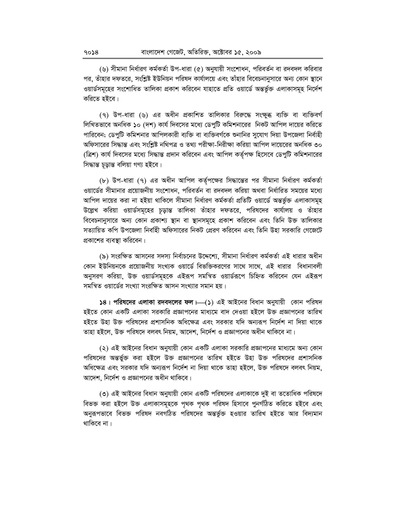(৬) সীমানা নির্ধারণ কর্মকর্তা উপ-ধারা (৫) অনুযায়ী সংশোধন, পরিবর্তন বা রদবদল করিবার পর, তাঁহার দফতরে, সংশ্লিষ্ট ইউনিয়ন পরিষদ কার্যালয়ে এবং তাঁহার বিবেচনানুসারে অন্য কোন স্থানে ওয়ার্ডসমূহের সংশোধিত তালিকা প্রকাশ করিবেন যাহাতে প্রতি ওয়ার্ডে অন্তর্ভুক্ত এলাকাসমূহ নির্দেশ করিতে হইবে।

(৭) উপ-ধারা (৬) এর অধীন প্রকাশিত তালিকার বিরুদ্ধে সংক্ষুব্ধ ব্যক্তি বা ব্যক্তিবর্গ লিখিতভাবে অনধিক ১০ (দশ) কার্য দিবসের মধ্যে ডেপুটি কমিশনারের নিকট আপিল দায়ের করিতে পারিবেন; ডেপুটি কমিশনার আপিলকারী ব্যক্তি বা ব্যক্তিবর্গকে শুনানির সুযোগ দিয়া উপজেলা নির্বাহী অফিসারের সিদ্ধান্ত এবং সংশ্লিষ্ট নথিপত্র ও তথ্য পরীক্ষা-নিরীক্ষা করিয়া আপিল দায়েরের অনধিক ৩০ (ত্রিশ) কার্য দিবসের মধ্যে সিদ্ধান্ত প্রদান করিবেন এবং আপিল কর্তৃপক্ষ হিসেবে ডেপুটি কমিশনারের সিদ্ধান্ত চূড়ান্ত বলিয়া গণ্য হইবে।

(b) উপ-ধারা (৭) এর অধীন আপিল কর্তৃপক্ষের সিদ্ধান্তের পর সীমানা নির্ধারণ কর্মকর্তা ওয়ার্ডের সীমানার প্রয়োজনীয় সংশোধন, পরিবর্তন বা রদবদল করিয়া অথবা নির্ধারিত সময়ের মধ্যে আপিল দায়ের করা না হইয়া থাকিলে সীমানা নির্ধারণ কর্মকর্তা প্রতিটি ওয়ার্ডে অন্তর্ভুক্ত এলাকাসমূহ উল্লেখ করিয়া ওয়ার্ডসমূহের চূড়ান্ত তালিকা তাঁহার দফতরে, পরিষদের কার্যালয় ও তাঁহার বিবেচনানুসারে অন্য কোন প্রকাশ্য স্থান বা স্থানসমূহে প্রকাশ করিবেন এবং তিনি উক্ত তালিকার সত্যায়িত কপি উপজেলা নির্বাহী অফিসারের নিকট প্রেরণ করিবেন এবং তিনি উহা সরকারি গেজেটে প্রকাশের ব্যবস্থা করিবেন।

(৯) সংরক্ষিত আসনের সদস্য নির্বাচনের উদ্দেশ্যে, সীমানা নির্ধারণ কর্মকর্তা এই ধারার অধীন কোন ইউনিয়নকে প্রয়োজনীয় সংখ্যক ওয়ার্ডে বিভক্তিকরণের সাথে সাথে, এই ধারার বিধানাবলী অনুসরণ করিয়া, উক্ত ওয়ার্ডসমূহকে এইরূপ সমন্বিত ওয়ার্ডরূপে চিহ্নিত করিবেন যেন এইরূপ সমন্বিত ওয়ার্ডের সংখ্যা সংরক্ষিত আসন সংখ্যার সমান হয়।

১৪। পরিষদের এলাকা রদবদলের ফল —(১) এই আইনের বিধান অনুযায়ী কোন পরিষদ হইতে কোন একটি এলাকা সরকারি প্রজ্ঞাপনের মাধ্যমে বাদ দেওয়া হইলে উক্ত প্রজ্ঞাপনের তারিখ হইতে উহা উক্ত পরিষদের প্রশাসনিক অধিক্ষেত্র এবং সরকার যদি অন্যরূপ নির্দেশ না দিয়া থাকে তাহা হইলে, উক্ত পরিষদে বলবৎ নিয়ম, আদেশ, নির্দেশ ও প্রজ্ঞাপনের অধীন থাকিবে না।

(২) এই আইনের বিধান অনুযায়ী কোন একটি এলাকা সরকারি প্রজ্ঞাপনের মাধ্যমে অন্য কোন পরিষদের অন্তর্ভুক্ত করা হইলে উক্ত প্রজ্ঞাপনের তারিখ হইতে উহা উক্ত পরিষদের প্রশাসনিক অধিক্ষেত্র এবং সরকার যদি অন্যরূপ নির্দেশ না দিয়া থাকে তাহা হইলে, উক্ত পরিষদে বলবৎ নিয়ম, আদেশ, নির্দেশ ও প্রজ্ঞাপনের অধীন থাকিবে।

(৩) এই আইনের বিধান অনুযায়ী কোন একটি পরিষদের এলাকাকে দুই বা ততোধিক পরিষদে বিভক্ত করা হইলে উক্ত এলাকাসমূহকে পৃথক পৃথক পরিষদ হিসাবে পুনর্গঠিত করিতে হইবে এবং অনুরূপভাবে বিভক্ত পরিষদ নবগঠিত পরিষদের অন্তর্ভুক্ত হওয়ার তারিখ হইতে আর বিদ্যমান থাকিবে না।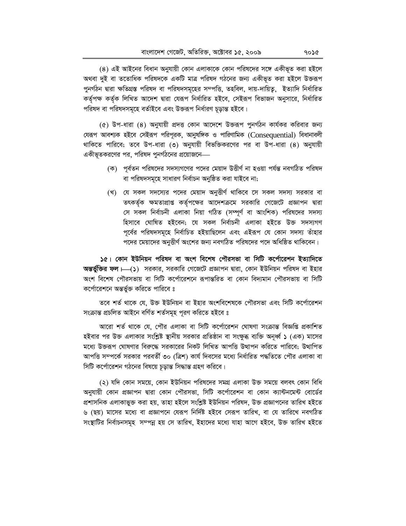(8) এই আইনের বিধান অনুযায়ী কোন এলাকাকে কোন পরিষদের সঙ্গে একীভূত করা হইলে অথবা দুই বা ততোধিক পরিষদকে একটি মাত্র পরিষদ গঠনের জন্য একীভূত করা হইলে উক্তরূপ পুনর্গঠন দ্বারা ক্ষতিগ্রস্ত পরিষদ বা পরিষদসমূহের সম্পত্তি, তহবিল, দায়-দায়িতু, ইত্যাদি নির্ধারিত কর্তৃপক্ষ কর্তৃক লিখিত আদেশ দ্বারা যেরূপ নির্ধারিত হইবে, সেইরূপ বিভাজন অনুসারে, নির্ধারিত পরিষদ বা পরিষদসমূহে বর্তাইবে এবং উক্তরূপ নির্ধারণ চূড়ান্ত হইবে।

(৫) উপ-ধারা (৪) অনুযায়ী প্রদত্ত কোন আদেশে উক্তরূপ পুনর্গঠন কার্যকর করিবার জন্য যেরূপ আবশ্যক হইবে সেইরূপ পরিপূরক, আনুষঙ্গিক ও পারিণামিক (Consequential) বিধানাবলী থাকিতে পারিবে; তবে উপ-ধারা (৩) অনুযায়ী বিভক্তিকরণের পর বা উপ-ধারা (৪) অনুযায়ী একীভূতকরণের পর, পরিষদ পুনর্গঠনের প্রয়োজনে—

- (ক) পূর্বতন পরিষদের সদস্যগণের পদের মেয়াদ উত্তীর্ণ না হওয়া পর্যন্ত নবগঠিত পরিষদ বা পরিষদসমূহে সাধারণ নির্বাচন অনুষ্ঠিত করা যাইবে না;
- (খ) যে সকল সদস্যের পদের মেয়াদ অনুতীর্ণ থাকিবে সে সকল সদস্য সরকার বা তৎকর্তৃক ক্ষমতাপ্রাপ্ত কর্তৃপক্ষের আদেশক্রমে সরকারি গেজেটে প্রজ্ঞাপন দ্বারা সে সকল নিৰ্বাচনী এলাকা নিয়া গঠিত (সম্পূৰ্ণ বা আংশিক) পরিষদের সদস্য হিসাবে ঘোষিত হইবেন; যে সকল নিৰ্বাচনী এলাকা হইতে উক্ত সদস্যগণ পূর্বের পরিষদসমূহে নির্বাচিত হইয়াছিলেন এবং এইরূপ যে কোন সদস্য তাঁহার পদের মেয়াদের অনুত্তীর্ণ অংশের জন্য নবগঠিত পরিষদের পদে অধিষ্ঠিত থাকিবেন।

১৫। কোন ইউনিয়ন পরিষদ বা অংশ বিশেষ পৌরসভা বা সিটি কর্পোরেশন ইত্যাদিতে অন্তর্ভুক্তির ফল । (১) সরকার, সরকারি গেজেটে প্রজ্ঞাপন দ্বারা, কোন ইউনিয়ন পরিষদ বা ইহার অংশ বিশেষ পৌরসভায় বা সিটি কর্পোরেশনে রূপান্তরিত বা কোন বিদামান পৌরসভায় বা সিটি কর্পোরেশনে অন্তর্ভুক্ত করিতে পারিবে ঃ

তবে শর্ত থাকে যে, উক্ত ইউনিয়ন বা ইহার অংশবিশেষকে পৌরসভা এবং সিটি কর্পোরেশন সংক্ৰান্ত প্ৰচলিত আইনে বৰ্ণিত শৰ্তসমূহ পূৱণ কৱিতে হইবে ঃ

আরো শর্ত থাকে যে, পৌর এলাকা বা সিটি কর্পোরেশন ঘোষণা সংক্রান্ত বিজ্ঞপ্তি প্রকাশিত হইবার পর উক্ত এলাকার সংশ্লিষ্ট স্থানীয় সরকার প্রতিষ্ঠান বা সংক্ষুব্ধ ব্যক্তি অনূর্ধ্ব ১ (এক) মাসের মধ্যে উক্তরূপ ঘোষণার বিরুদ্ধে সরকারের নিকট লিখিত আপত্তি উত্থাপন করিতে পারিবে; উত্থাপিত আপত্তি সম্পর্কে সরকার পরবর্তী ৩০ (ত্রিশ) কার্য দিবসের মধ্যে নির্ধারিত পদ্ধতিতে পৌর এলাকা বা সিটি কর্পোরেশন গঠনের বিষয়ে চডান্ত সিদ্ধান্ত গ্রহণ করিবে।

(২) যদি কোন সময়ে, কোন ইউনিয়ন পরিষদের সমগ্র এলাকা উক্ত সময়ে বলবৎ কোন বিধি অনুযায়ী কোন প্রজ্ঞাপন দ্বারা কোন পৌরসভা, সিটি কর্পোরেশন বা কোন ক্যান্টনমেন্ট বোর্ডের প্রশাসনিক এলাকাভুক্ত করা হয়, তাহা হইলে সংশ্লিষ্ট ইউনিয়ন পরিষদ, উক্ত প্রজ্ঞাপনের তারিখ হইতে ৬ (ছয়) মাসের মধ্যে বা প্রজ্ঞাপনে যেরূপ নির্দিষ্ট হইবে সেরূপ তারিখ, বা যে তারিখে নবগঠিত সংস্থাটির নির্বাচনসমূহ সম্পন্ন হয় সে তারিখ, ইহাদের মধ্যে যাহা আগে হইবে, উক্ত তারিখ হইতে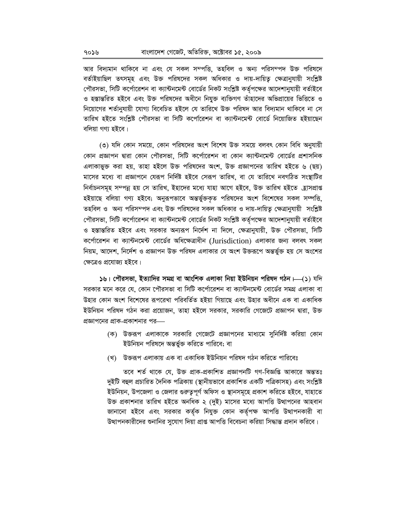আর বিদ্যমান থাকিবে না এবং যে সকল সম্পত্তি, তহবিল ও অন্য পরিসম্পদ উক্ত পরিষদে বর্তাইয়াছিল তৎসমূহ এবং উক্ত পরিষদের সকল অধিকার ও দায়-দায়িত্ব ক্ষেত্রানুযায়ী সংশ্লিষ্ট পৌরসভা, সিটি কর্পোরেশন বা ক্যান্টনমেন্ট বোর্ডের নিকট সংশ্লিষ্ট কর্তৃপক্ষের আদেশানুযায়ী বর্তাইবে ও হস্তান্তরিত হইবে এবং উক্ত পরিষদের অধীনে নিযুক্ত ব্যক্তিগণ তাঁহাদের অভিপ্রায়ের ভিত্তিতে ও নিয়োগের শর্তানুযায়ী যোগ্য বিবেচিত হইলে যে তারিখে উক্ত পরিষদ আর বিদ্যমান থাকিবে না সে তারিখ হইতে সংশ্লিষ্ট পৌরসভা বা সিটি কর্পোরেশন বা ক্যান্টনমেন্ট বোর্ডে নিয়োজিত হইয়াছেন বলিয়া গণ্য হইবে।

(৩) যদি কোন সময়ে, কোন পরিষদের অংশ বিশেষ উক্ত সময়ে বলবৎ কোন বিধি অনুযায়ী কোন প্রজ্ঞাপন দ্বারা কোন পৌরসভা, সিটি কর্পোরেশন বা কোন ক্যান্টনমেন্ট বোর্ডের প্রশাসনিক এলাকাভুক্ত করা হয়, তাহা হইলে উক্ত পরিষদের অংশ, উক্ত প্রজ্ঞাপনের তারিখ হইতে ৬ (ছয়) মাসের মধ্যে বা প্রজ্ঞাপনে যেরূপ নির্দিষ্ট হইবে সেরূপ তারিখ, বা যে তারিখে নবগঠিত সংস্থাটির নির্বাচনসমূহ সম্পন্ন হয় সে তারিখ, ইহাদের মধ্যে যাহা আগে হইবে, উক্ত তারিখ হইতে হ্রাসপ্রাপ্ত হইয়াছে বলিয়া গণ্য হইবে; অনুরূপভাবে অন্তর্ভুক্তকৃত পরিষদের অংশ বিশেষের সকল সম্পত্তি, তহবিল ও অন্য পরিসম্পদ এবং উক্ত পরিষদের সকল অধিকার ও দায়-দায়িত ক্ষেত্রানুযায়ী সংশ্লিষ্ট পৌরসভা, সিটি কর্পোরেশন বা ক্যান্টনমেন্ট বোর্ডের নিকট সংশ্লিষ্ট কর্তৃপক্ষের আদেশানুযায়ী বর্তাইবে ও হস্তান্তরিত হইবে এবং সরকার অন্যরূপ নির্দেশ না দিলে, ক্ষেত্রানুযায়ী, উক্ত পৌরসভা, সিটি কর্পোরেশন বা ক্যান্টনমেন্ট বোর্ডের অধিক্ষেত্রাধীন (Jurisdiction) এলাকার জন্য বলবৎ সকল নিয়ম, আদেশ, নির্দেশ ও প্রজ্ঞাপন উক্ত পরিষদ এলাকার যে অংশ উক্তরূপে অন্তর্ভুক্ত হয় সে অংশের ক্ষেত্ৰেও প্ৰযোজ্য হইবে।

১৬। পৌরসভা, ইত্যাদির সমগ্র বা আংশিক এলাকা নিয়া ইউনিয়ন পরিষদ গঠন।—(১) যদি সরকার মনে করে যে, কোন পৌরসভা বা সিটি কর্পোরেশন বা ক্যান্টনমেন্ট বোর্ডের সমগ্র এলাকা বা উহার কোন অংশ বিশেষের রূপরেখা পরিবর্তিত হইয়া গিয়াছে এবং উহার অধীনে এক বা একাধিক ইউনিয়ন পরিষদ গঠন করা প্রয়োজন, তাহা হইলে সরকার, সরকারি গেজেটে প্রজ্ঞাপন দ্বারা, উক্ত প্রজ্ঞাপনের প্রাক-প্রকাশনার পর—

- (ক) উক্তরূপ এলাকাকে সরকারি গেজেটে প্রজ্ঞাপনের মাধ্যমে সুনির্দিষ্ট করিয়া কোন ইউনিয়ন পরিষদে অন্তর্ভুক্ত করিতে পারিবে; বা
- (খ) উক্তরূপ এলাকায় এক বা একাধিক ইউনিয়ন পরিষদ গঠন করিতে পারিবেঃ

তবে শর্ত থাকে যে, উক্ত প্রাক-প্রকাশিত প্রজ্ঞাপনটি গণ-বিজ্ঞপ্তি আকারে অন্ততঃ দুইটি বহুল প্রচারিত দৈনিক পত্রিকায় (স্থানীয়ভাবে প্রকাশিত একটি পত্রিকাসহ) এবং সংশ্লিষ্ট ইউনিয়ন, উপজেলা ও জেলার গুরুতুপূর্ণ অফিস ও স্থানসমূহে প্রকাশ করিতে হইবে, যাহাতে উক্ত প্রকাশনার তারিখ হইতে অনধিক ২ (দুই) মাসের মধ্যে আপত্তি উত্থাপনের আহবান জানানো হইবে এবং সরকার কর্তৃক নিযুক্ত কোন কর্তৃপক্ষ আপত্তি উত্থাপনকারী বা উত্থাপনকারীদের শুনানির সুযোগ দিয়া প্রাপ্ত আপত্তি বিবেচনা করিয়া সিদ্ধান্ত প্রদান করিবে।

৭০১৬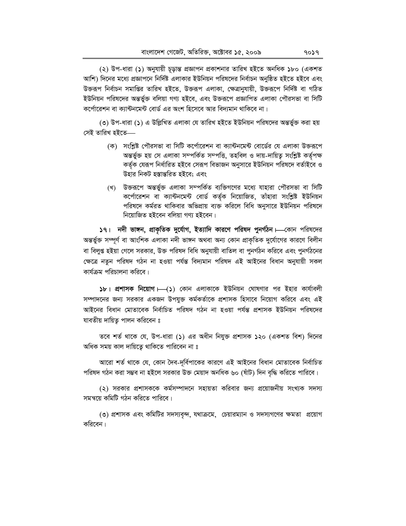(২) উপ-ধারা (১) অনুযায়ী চূড়ান্ত প্রজ্ঞাপন প্রকাশনার তারিখ হইতে অনধিক ১৮০ (একশত আশি) দিনের মধ্যে প্রজ্ঞাপনে নির্দিষ্ট এলাকার ইউনিয়ন পরিষদের নির্বাচন অনুষ্ঠিত হইতে হইবে এবং উক্তরূপ নির্বাচন সমাপ্তির তারিখ হইতে, উক্তরূপ এলাকা, ক্ষেত্রানুযায়ী, উক্তরূপে নির্দিষ্ট বা গঠিত ইউনিয়ন পরিষদের অন্তর্ভুক্ত বলিয়া গণ্য হইবে, এবং উক্তরূপে প্রজ্ঞাপিত এলাকা পৌরসভা বা সিটি কর্পোরেশন বা ক্যান্টনমেন্ট বোর্ড এর অংশ হিসেবে আর বিদ্যমান থাকিবে না।

(৩) উপ-ধারা (১) এ উল্লিখিত এলাকা যে তারিখ হইতে ইউনিয়ন পরিষদের অন্তর্ভুক্ত করা হয় সেই তারিখ হইতে—

- (ক) সংশ্লিষ্ট পৌরসভা বা সিটি কর্পোরেশন বা ক্যান্টনমেন্ট বোর্ডের যে এলাকা উক্তরূপে অন্তৰ্ভুক্ত হয় সে এলাকা সম্পৰ্কিত সম্পত্তি, তহবিল ও দায়-দায়িত্ব সংশ্লিষ্ট কৰ্তৃপক্ষ কর্তৃক যেরূপ নির্ধারিত হইবে সেরূপ বিভাজন অনুসারে ইউনিয়ন পরিষদে বর্তাইবে ও উহার নিকট হস্তান্তরিত হইবে; এবং
- (খ) উক্তরূপে অন্তর্ভুক্ত এলাকা সম্পর্কিত ব্যক্তিগণের মধ্যে যাহারা পৌরসভা বা সিটি কর্পোরেশন বা ক্যান্টনমেন্ট বোর্ড কর্তৃক নিয়োজিত, তাঁহারা সংশ্লিষ্ট ইউনিয়ন পরিষদে কর্মরত থাকিবার অভিপ্রায় ব্যক্ত করিলে বিধি অনুসারে ইউনিয়ন পরিষদে নিয়োজিত হইবেন বলিয়া গণ্য হইবেন।

১৭। নদী ভাঙ্গন, প্রাকৃতিক দুর্যোগ, ইত্যাদি কারণে পরিষদ পুনর্গঠন। তকান পরিষদের অন্তর্ভুক্ত সম্পূর্ণ বা আংশিক এলাকা নদী ভাঙ্গন অথবা অন্য কোন প্রাকৃতিক দুর্যোগের কারণে বিলীন বা বিলুগু হইয়া গেলে সরকার, উক্ত পরিষদ বিধি অনুযায়ী বাতিল বা পুনর্গঠন করিবে এবং পুনর্গঠনের ক্ষেত্রে নতুন পরিষদ গঠন না হওয়া পর্যন্ত বিদ্যমান পরিষদ এই আইনের বিধান অনুযায়ী সকল কার্যক্রম পরিচালনা করিবে।

১৮। প্রশাসক নিয়োগ  $\longmapsto$  (১) কোন এলাকাকে ইউনিয়ন ঘোষণার পর ইহার কার্যাবলী সম্পাদনের জন্য সরকার একজন উপযুক্ত কর্মকর্তাকে প্রশাসক হিসাবে নিয়োগ করিবে এবং এই আইনের বিধান মোতাবেক নির্বাচিত পরিষদ গঠন না হওয়া পর্যন্ত প্রশাসক ইউনিয়ন পরিষদের যাবতীয় দায়িতু পালন করিবেন ঃ

তবে শর্ত থাকে যে, উপ-ধারা (১) এর অধীন নিযুক্ত প্রশাসক ১২০ (একশত বিশ) দিনের অধিক সময় কাল দায়িতে থাকিতে পারিবেন না ঃ

আরো শর্ত থাকে যে, কোন দৈব-দর্বিপাকের কারণে এই আইনের বিধান মোতাবেক নির্বাচিত পরিষদ গঠন করা সম্ভব না হইলে সরকার উক্ত মেয়াদ অনধিক ৬০ (ষাঁট) দিন বদ্ধি করিতে পারিবে।

(২) সরকার প্রশাসককে কর্মসম্পাদনে সহায়তা করিবার জন্য প্রয়োজনীয় সংখ্যক সদস্য সমন্বয়ে কমিটি গঠন করিতে পারিবে।

(৩) প্রশাসক এবং কমিটির সদস্যবৃন্দ, যথাক্রমে, চেয়ারম্যান ও সদস্যগণের ক্ষমতা প্রয়োগ করিবেন।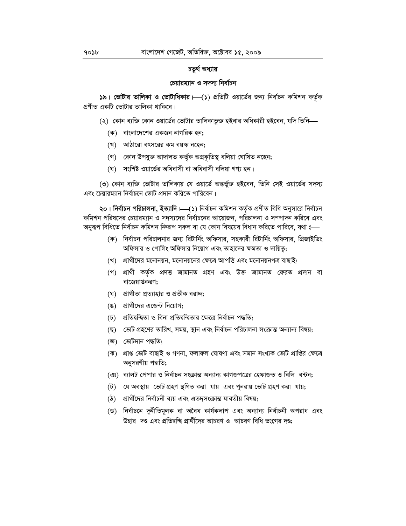#### চতুৰ্থ অধ্যায়

#### চেয়ারম্যান ও সদস্য নির্বাচন

 $\frac{1}{2}$ ৯। ভোটার তালিকা ও ভোটাধিকার  $\leftarrow$ (১) প্রতিটি ওয়ার্ডের জন্য নির্বাচন কমিশন কর্তৃক প্রণীত একটি ভোটার তালিকা থাকিবে।

- (২) কোন ব্যক্তি কোন ওয়ার্ডের ভোটার তালিকাভুক্ত হইবার অধিকারী হইবেন, যদি তিনি—
	- (ক) বাংলাদেশের একজন নাগরিক হন;
	- (খ) আঠারো বৎসরের কম বয়স্ক নহেন:
	- (গ) কোন উপযুক্ত আদালত কৰ্তৃক অপ্ৰকৃতিস্থ বলিয়া ঘোষিত নহেন;
	- (ঘ) সংশিষ্ট ওয়ার্ডের অধিবাসী বা অধিবাসী বলিয়া গণ্য হন।

(৩) কোন ব্যক্তি ভোটার তালিকায় যে ওয়ার্ডে অন্তর্ভুক্ত হইবেন, তিনি সেই ওয়ার্ডের সদস্য এবং চেয়ারম্যান নির্বাচনে ভোট প্রদান করিতে পারিবেন।

২০। নিৰ্বাচন পরিচালনা, ইত্যাদি।—(১) নিৰ্বাচন কমিশন কৰ্তৃক প্ৰণীত বিধি অনুসারে নিৰ্বাচন কমিশন পরিষদের চেয়ারম্যান ও সদস্যদের নির্বাচনের আয়োজন, পরিচালনা ও সম্পাদন করিবে এবং অনুরূপ বিধিতে নির্বাচন কমিশন ন্দিরূপ সকল বা যে কোন বিষয়ের বিধান করিতে পারিবে, যথা ঃ—

- (ক) নির্বাচন পরিচালনার জন্য রিটার্নিং অফিসার, সহকারী রিটার্নিং অফিসার, প্রিজাইডিং অফিসার ও পোলিং অফিসার নিয়োগ এবং তাহাদের ক্ষমতা ও দায়িতু;
- (খ) প্রার্থীদের মনোনয়ন, মনোনয়নের ক্ষেত্রে আপত্তি এবং মনোনয়নপত্র বাছাই;
- (গ) প্ৰাৰ্থী কৰ্তৃক প্ৰদত্ত জামানত গ্ৰহণ এবং উক্ত জামানত ফেরত প্ৰদান বা বাজেয়াপ্তকরণ;
- (ঘ) প্রার্থীতা প্রত্যাহার ও প্রতীক বরাদ্দ;
- (ঙ) প্রার্থীদের এজেন্ট নিয়োগ:
- (**চ)** প্ৰতিদ্বন্দ্বিতা ও বিনা প্ৰতিদ্বন্দ্বিতার ক্ষেত্ৰে নিৰ্বাচন পদ্ধতি;
- (ছ) ভোট গ্রহণের তারিখ, সময়, স্থান এবং নির্বাচন পরিচালনা সংক্রান্ত অন্যান্য বিষয়;
- (জ) ভোটদান পদ্ধতি:
- (ঝ) প্ৰাপ্ত ভোট বাছাই ও গণনা, ফলাফল ঘোষণা এবং সমান সংখ্যক ভোট প্ৰাপ্তির ক্ষেত্ৰে অনুসরণীয় পদ্ধতি;
- (ঞ) ব্যালট পেপার ও নির্বাচন সংক্রান্ত অন্যান্য কাগজপত্রের হেফাজত ও বিলি বন্টন;
- (ট) যে অবস্থায় ভোট গ্রহণ স্থগিত করা যায় এবং পুনরায় ভোট গ্রহণ করা যায়;
- (ঠ) প্রার্থীদের নির্বাচনী ব্যয় এবং এতদ্সংক্রান্ত যাবতীয় বিষয়;
- (ড) নিৰ্বাচনে দুৰ্নীতিমূলক বা অবৈধ কাৰ্যকলাপ এবং অন্যান্য নিৰ্বাচনী অপৱাধ এবং উহার দণ্ড এবং প্রতিদ্বন্দ্বি প্রার্থীদের আচরণ ও আচরণ বিধি ভংগের দণ্ড;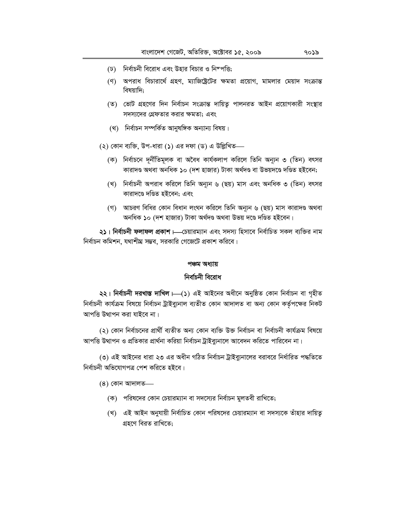- (ঢ) নির্বাচনী বিরোধ এবং উহার বিচার ও নিম্পত্তি;
- (ণ) অপরাধ বিচারার্থে গ্রহণ, ম্যাজিষ্টেটের ক্ষমতা প্রয়োগ, মামলার মেয়াদ সংক্রান্ত বিষয়াদি:
- (ত) ভোট গ্রহণের দিন নির্বাচন সংক্রান্ত দায়িত্ব পালনরত আইন প্রয়োগকারী সংস্থার সদস্যদের গ্রেফতার করার ক্ষমতা; এবং
- (থ) নিৰ্বাচন সম্পৰ্কিত আনুষঙ্গিক অন্যান্য বিষয়।
- (২) কোন ব্যক্তি, উপ-ধারা (১) এর দফা (ড) এ উল্লিখিত—
	- (ক) নির্বাচনে দূর্নীতিমূলক বা অবৈধ কার্যকলাপ করিলে তিনি অন্যূন ৩ (তিন) বৎসর কারাদণ্ড অথবা অনধিক ১০ (দশ হাজার) টাকা অর্থদণ্ড বা উভয়দণ্ডে দণ্ডিত হইবেন;
	- (খ) নির্বাচনী অপরাধ করিলে তিনি অন্যূন ৬ (ছয়) মাস এবং অনধিক ৩ (তিন) বৎসর কারাদণ্ডে দণ্ডিত হইবেন; এবং
	- (গ) আচরণ বিধির কোন বিধান লংঘন করিলে তিনি অন্যূন ৬ (ছয়) মাস কারাদণ্ড অথবা অনধিক ১০ (দশ হাজার) টাকা অর্থদণ্ড অথবা উভয় দণ্ডে দণ্ডিত হইবেন।

২১। নিৰ্বাচনী ফলাফল প্ৰকাশ।—চেয়ারম্যান এবং সদস্য হিসাবে নিৰ্বাচিত সকল ব্যক্তির নাম নির্বাচন কমিশন, যথাশীঘ্র সম্ভব, সরকারি গেজেটে প্রকাশ করিবে।

#### পঞ্চম অধ্যায়

#### নিৰ্বাচনী বিৱোধ

২২। নিৰ্বাচনী দরখাস্ত দাখিল ।- (১) এই আইনের অধীনে অনুষ্ঠিত কোন নিৰ্বাচন বা গৃহীত নিৰ্বাচনী কাৰ্যক্ৰম বিষয়ে নিৰ্বাচন ট্ৰাইব্যুনাল ব্যতীত কোন আদালত বা অন্য কোন কৰ্তৃপক্ষের নিকট আপত্তি উত্থাপন করা যাইবে না।

(২) কোন নির্বাচনের প্রার্থী ব্যতীত অন্য কোন ব্যক্তি উক্ত নির্বাচন বা নির্বাচনী কার্যক্রম বিষয়ে আপত্তি উত্থাপন ও প্রতিকার প্রার্থনা করিয়া নির্বাচন ট্রাইব্যনালে আবেদন করিতে পারিবেন না।

(৩) এই আইনের ধারা ২৩ এর অধীন গঠিত নির্বাচন ট্রাইব্যনালের বরাবরে নির্ধারিত পদ্ধতিতে নিৰ্বাচনী অভিযোগপত্ৰ পেশ করিতে হইবে।

 $(8)$  কোন আদালত—

- (ক) পরিষদের কোন চেয়ারম্যান বা সদস্যের নির্বাচন মুলতবী রাখিতে;
- (খ) এই আইন অনুযায়ী নির্বাচিত কোন পরিষদের চেয়ারম্যান বা সদস্যকে তাঁহার দায়িতূ গ্ৰহণে বিরত রাখিতে;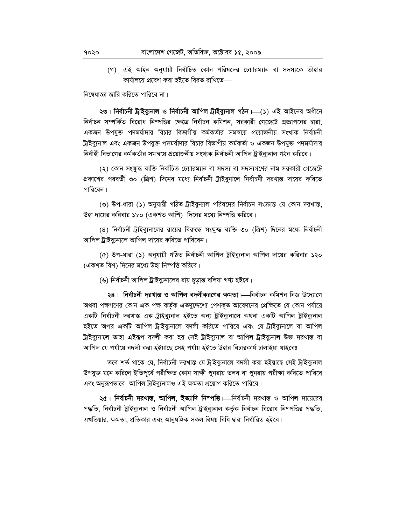(গ) এই আইন অনুযায়ী নির্বাচিত কোন পরিষদের চেয়ারম্যান বা সদস্যকে তাঁহার কাৰ্যালয়ে প্ৰবেশ কৰা হইতে বিৱত ৱাখিতে—

নিষেধাজ্ঞা জারি করিতে পারিবে না।

২৩। নিৰ্বাচনী ট্ৰাইব্যুনাল ও নিৰ্বাচনী আপিল ট্ৰাইব্যুনাল গঠন  $\longmapsto$  এই আইনের অধীনে নির্বাচন সম্পর্কিত বিরোধ নিষ্পত্তির ক্ষেত্রে নির্বাচন কমিশন, সরকারী গেজেটে প্রজ্ঞাপনের দ্বারা, একজন উপযুক্ত পদমর্যাদার বিচার বিভাগীয় কর্মকর্তার সমন্বয়ে প্রয়োজনীয় সংখ্যক নির্বাচনী ট্রাইব্যনাল এবং একজন উপযুক্ত পদমর্যাদার বিচার বিভাগীয় কর্মকর্তা ও একজন উপযুক্ত পদমর্যাদার নির্বাহী বিভাগের কর্মকর্তার সমন্বয়ে প্রয়োজনীয় সংখ্যক নির্বাচনী আপিল ট্রাইব্যুনাল গঠন করিবে।

(২) কোন সংক্ষুদ্ধ ব্যক্তি নির্বাচিত চেয়ারম্যান বা সদস্য বা সদস্যগণের নাম সরকারী গেজেটে প্রকাশের পরবর্তী ৩০ (ত্রিশ) দিনের মধ্যে নির্বাচনী ট্রাইবুনালে নির্বাচনী দরখাস্ত দায়ের করিতে পারিবেন।

(৩) উপ-ধারা (১) অনুযায়ী গঠিত ট্রাইবুন্যাল পরিষদের নির্বাচন সংক্রান্ত যে কোন দরখাস্ত, উহা দায়ের করিবার ১৮০ (একশত আশি) দিনের মধ্যে নিম্পত্তি করিবে।

(8) নির্বাচনী ট্রাইব্যুনালের রায়ের বিরুদ্ধে সংক্ষুদ্ধ ব্যক্তি ৩০ (ত্রিশ) দিনের মধ্যে নির্বাচনী আপিল ট্রাইব্যুনালে আপিল দায়ের করিতে পারিবেন।

(৫) উপ-ধারা (১) অনুযায়ী গঠিত নির্বাচনী আপিল ট্রাইব্যুনাল আপিল দায়ের করিবার ১২০ (একশত বিশ) দিনের মধ্যে উহা নিষ্পত্তি করিবে।

(৬) নির্বাচনী আপিল ট্রাইব্যুনালের রায় চূড়ান্ত বলিয়া গণ্য হইবে।

২৪। নির্বাচনী দরখাস্ত ও আপিল বদলীকরণের ক্ষমতা। র্নির্বাচন কমিশন নিজ উদ্যোগে অথবা পক্ষগণের কোন এক পক্ষ কর্তৃক এতদুদ্দেশ্যে পেশকৃত আবেদনের প্রেক্ষিতে যে কোন পর্যায়ে একটি নিৰ্বাচনী দরখাস্ত এক ট্ৰাইব্যুনাল হইতে অন্য ট্ৰাইব্যুনালে অথবা একটি আপিল ট্ৰাইব্যুনাল হইতে অপর একটি আপিল ট্রাইব্যুনালে বদলী করিতে পারিবে এবং যে ট্রাইব্যুনালে বা আপিল ট্রাইব্যুনালে তাহা এইরূপ বদলী করা হয় সেই ট্রাইব্যুনাল বা আপিল ট্রাইব্যুনাল উক্ত দরখাস্ত বা আপিল যে পৰ্যায়ে বদলী করা হইয়াছে সেই পর্যায় হইতে উহার বিচারকার্য চালাইয়া যাইবেঃ

তবে শর্ত থাকে যে, নির্বাচনী দরখাস্ত যে ট্রাইব্যুনালে বদলী করা হইয়াছে সেই ট্রাইব্যুনাল উপযুক্ত মনে করিলে ইতিপূর্বে পরীক্ষিত কোন সাক্ষী পুনরায় তলব বা পুনরায় পরীক্ষা করিতে পারিবে এবং অনুরূপভাবে আপিল ট্রাইব্যুনালও এই ক্ষমতা প্রয়োগ করিতে পারিবে।

২৫। নির্বাচনী দরখাস্ত, আপিল, ইত্যাদি নিম্পত্তি।—নির্বাচনী দরখাস্ত ও আপিল দায়েরের পদ্ধতি, নিৰ্বাচনী ট্ৰাইব্যুনাল ও নিৰ্বাচনী আপিল ট্ৰাইব্যুনাল কৰ্তৃক নিৰ্বাচন বিরোধ নিম্পত্তির পদ্ধতি, এখতিয়ার, ক্ষমতা, প্রতিকার এবং আনুষঙ্গিক সকল বিষয় বিধি দ্বারা নির্ধারিত হইবে।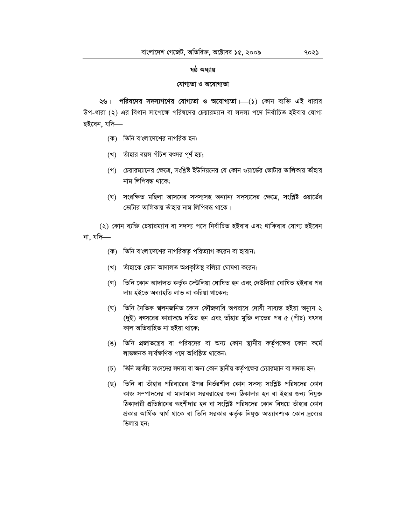#### **ষষ্ঠ অধ্যায়**

#### **যোগ্যতা ও অযোগ্যতা**

**২৬। পরিষদের সদস্যগণের যোগ্যতা ও অযোগ্যতা ⊢—(১)** কোন ব্যক্তি এই ধারার উপ-ধারা (২) এর বিধান সাপেক্ষে পরিষদের চেয়ারম্যান বা সদস্য পদে নির্বাচিত হইবার যোগ্য হইবেন, যদি—

- (ক) তিনি বাংলাদেশের নাগরিক হন;
- (খ) তাঁহার বয়স পঁচিশ বৎসর পূর্ণ হয়;
- (গ) চেয়ারম্যানের ক্ষেত্রে, সংশ্লিষ্ট ইউনিয়নের যে কোন ওয়ার্ডের ভোটার তালিকায় তাঁহার নাম লিপিবদ্ধ থাকে:
- (ঘ) সংরক্ষিত মহিলা আসনের সদস্যসহ অন্যান্য সদস্যদের ক্ষেত্রে, সংশ্লিষ্ট ওয়ার্ডের ভোটার তালিকায় তাঁহার নাম লিপিবদ্ধ থাকে।

(২) কোন ব্যক্তি চেয়ারম্যান বা সদস্য পদে নির্বাচিত হইবার এবং থাকিবার যোগ্য হইবেন না. যদি $-$ 

- (ক) তিনি বাংলাদেশের নাগরিকতু পরিত্যাগ করেন বা হারান;
- (খ) তাঁহাকে কোন আদালত অপ্ৰকৃতিস্থ বলিয়া ঘোষণা করেন;
- (গ) তিনি কোন আদালত কর্তৃক দেউলিয়া ঘোষিত হন এবং দেউলিয়া ঘোষিত হইবার পর দায় হইতে অব্যাহতি লাভ না করিয়া থাকেন:
- (ঘ) তিনি নৈতিক শ্বলনজনিত কোন ফৌজদারি অপরাধে দোষী সাব্যস্ত হইয়া অন্যুন ২ (দুই) বৎসরের কারাদণ্ডে দণ্ডিত হন এবং তাঁহার মুক্তি লাভের পর ৫ (পাঁচ) বৎসর কাল অতিবাহিত না হইয়া থাকে;
- (ঙ) তিনি প্রজাতন্ত্রের বা পরিষদের বা অন্য কোন স্থানীয় কর্তৃপক্ষের কোন কর্মে লাভজনক সাৰ্বক্ষণিক পদে অধিষ্ঠিত থাকেন;
- (চ) তিনি জাতীয় সংসদের সদস্য বা অন্য কোন স্থানীয় কর্তৃপক্ষের চেয়ারম্যান বা সদস্য হন;
- (ছ) তিনি বা তাঁহার পরিবারের উপর নির্ভরশীল কোন সদস্য সংশ্লিষ্ট পরিষদের কোন কাজ সম্পাদনের বা মালামাল সরবরাহের জন্য ঠিকাদার হন বা ইহার জন্য নিযুক্ত ঠিকাদারী প্রতিষ্ঠানের অংশীদার হন বা সংশ্লিষ্ট পরিষদের কোন বিষয়ে তাঁহার কোন প্রকার আর্থিক স্বার্থ থাকে বা তিনি সরকার কর্তৃক নিযুক্ত অত্যাবশ্যক কোন দ্রব্যের ডিলার হন;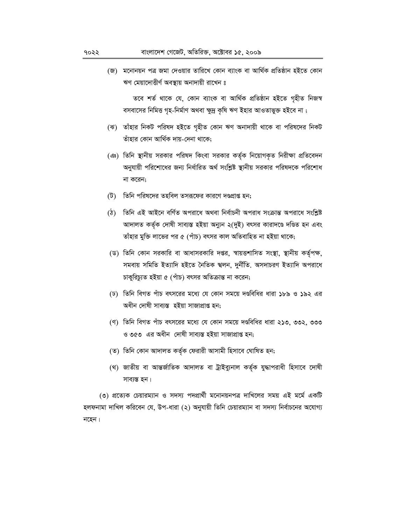(জ) মনোনয়ন পত্র জমা দেওয়ার তারিখে কোন ব্যাংক বা আর্থিক প্রতিষ্ঠান হইতে কোন ঋণ মেয়াদোত্তীর্ণ অবস্থায় অনাদায়ী রাখেন ঃ

তবে শৰ্ত থাকে যে, কোন ব্যাংক বা আৰ্থিক প্ৰতিষ্ঠান হইতে গৃহীত নিজস্ব বসবাসের নিমিত্ত গৃহ-নির্মাণ অথবা ক্ষুদ্র কৃষি ঋণ ইহার আওতাভুক্ত হইবে না;

- (ঝ) তাঁহার নিকট পরিষদ হইতে গৃহীত কোন ঋণ অনাদায়ী থাকে বা পরিষদের নিকট তাঁহার কোন আর্থিক দায়-দেনা থাকে;
- (ঞ) তিনি স্থানীয় সরকার পরিষদ কিংবা সরকার কর্তৃক নিয়োগকৃত নিরীক্ষা প্রতিবেদন অনুযায়ী পরিশোধের জন্য নির্ধারিত অর্থ সংশ্লিষ্ট স্থানীয় সরকার পরিষদকে পরিশোধ না করেন;
- (ট) তিনি পরিষদের তহবিল তসরূফের কারণে দণ্ডপ্রাপ্ত হন;
- (ঠ) তিনি এই আইনে বর্ণিত অপরাধে অথবা নির্বাচনী অপরাধ সংক্রান্ত অপরাধে সংশ্লিষ্ট আদালত কর্তৃক দোষী সাব্যস্ত হইয়া অন্যুন ২(দুই) বৎসর কারাদণ্ডে দণ্ডিত হন এবং তাঁহার মুক্তি লাভের পর ৫ (পাঁচ) বৎসর কাল অতিবাহিত না হইয়া থাকে;
- (ড) তিনি কোন সরকারি বা আধাসরকারি দপ্তর, স্বায়ত্তশাসিত সংস্থা, স্থানীয় কর্তৃপক্ষ, সমবায় সমিতি ইত্যাদি হইতে নৈতিক শ্বলন, দুৰ্নীতি. অসদাচরণ ইত্যাদি অপরাধে চাকুরিচ্যুত হইয়া ৫ (পাঁচ) বৎসর অতিক্রান্ত না করেন;
- (ঢ) তিনি বিগত পাঁচ বৎসরের মধ্যে যে কোন সময়ে দণ্ডবিধির ধারা ১৮৯ ও ১৯২ এর অধীন দোষী সাব্যস্ত হইয়া সাজাপ্ৰাপ্ত হন;
- (ণ) তিনি বিগত পাঁচ বৎসরের মধ্যে যে কোন সময়ে দণ্ডবিধির ধারা ২১৩. ৩৩২. ৩৩৩ ও ৩৫৩ এর অধীন দোষী সাব্যস্ত হইয়া সাজাপ্রাপ্ত হন;
- (ত) তিনি কোন আদালত কৰ্তৃক ফেরারী আসামী হিসাবে ঘোষিত হন;
- (থ) জাতীয় বা আন্তর্জাতিক আদালত বা ট্রাইব্যুনাল কর্তৃক যুদ্ধাপরাধী হিসাবে দোষী সাব্যস্ত হন।

(৩) প্রত্যেক চেয়ারম্যান ও সদস্য পদপ্রার্থী মনোনয়নপত্র দাখিলের সময় এই মর্মে একটি হলফনামা দাখিল করিবেন যে, উপ-ধারা (২) অনুযায়ী তিনি চেয়ারম্যান বা সদস্য নির্বাচনের অযোগ্য নহেন।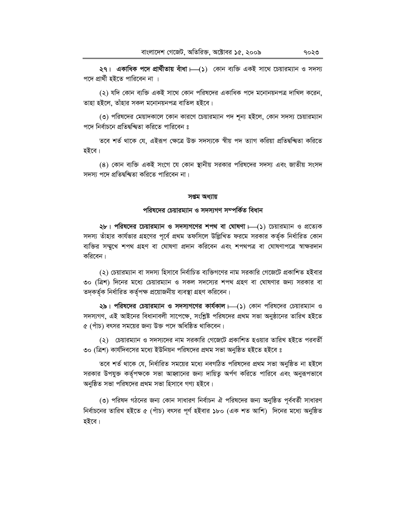**২৭। একাধিক পদে প্রার্থীতায় বাঁধা —(১) কোন ব্যক্তি একই সাথে চেয়ারম্যান ও সদস্য** পদে প্রার্থী হইতে পারিবেন না ।

(২) যদি কোন ব্যক্তি একই সাথে কোন পরিষদের একাধিক পদে মনোনয়নপত্র দাখিল করেন. তাহা হইলে, তাঁহার সকল মনোনয়নপত্র বাতিল হইবে।

(৩) পরিষদের মেয়াদকালে কোন কারণে চেয়ারম্যান পদ শূন্য হইলে, কোন সদস্য চেয়ারম্যান পদে নিৰ্বাচনে প্ৰতিদ্বন্দ্বিতা করিতে পারিবেন ঃ

তবে শর্ত থাকে যে, এইরূপ ক্ষেত্রে উক্ত সদস্যকে স্বীয় পদ ত্যাগ করিয়া প্রতিদ্বন্দ্বিতা করিতে হইবে।

(8) কোন ব্যক্তি একই সংগে যে কোন স্থানীয় সরকার পরিষদের সদস্য এবং জাতীয় সংসদ সদস্য পদে প্ৰতিদ্বন্দ্বিতা করিতে পারিবেন না।

#### স**প্তম** অধ্যায়

## পরিষদের চেয়ারম্যান ও সদস্যগণ সম্পর্কিত বিধান

 $2b$ । পরিষদের চেয়ারম্যান ও সদস্যগণের শপথ বা ঘোষণা —(১) চেয়ারম্যান ও প্রত্যেক সদস্য তাঁহার কার্যভার গ্রহণের পূর্বে প্রথম তফসিলে উল্লিখিত ফরমে সরকার কর্তৃক নির্ধারিত কোন ব্যক্তির সম্মুখে শপথ গ্রহণ বা ঘোষণা প্রদান করিবেন এবং শপথপত্র বা ঘোষণাপত্রে স্বাক্ষরদান করিবেন।

(২) চেয়ারম্যান বা সদস্য হিসাবে নির্বাচিত ব্যক্তিগণের নাম সরকারি গেজেটে প্রকাশিত হইবার ৩০ (ত্রিশ) দিনের মধ্যে চেয়ারম্যান ও সকল সদস্যের শপথ গ্রহণ বা ঘোষণার জন্য সরকার বা তদ্কৰ্তৃক নিৰ্ধাৱিত কৰ্তৃপক্ষ প্ৰয়োজনীয় ব্যবস্থা গ্ৰহণ কৱিবেন।

২৯। পরিষদের চেয়ারম্যান ও সদস্যগণের কার্যকাল।—(১) কোন পরিষদের চেয়ারম্যান ও সদস্যগণ, এই আইনের বিধানাবলী সাপেক্ষে, সংশ্লিষ্ট পরিষদের প্রথম সভা অনুষ্ঠানের তারিখ হইতে  $\alpha$  (পাঁচ) বৎসর সময়ের জন্য উক্ত পদে অধিষ্ঠিত থাকিবেন।

(২) ঢেয়ারম্যান ও সদস্যদের নাম সরকারি গেজেটে প্রকাশিত হওয়ার তারিখ হইতে পরবর্তী ৩০ (ত্রিশ) কার্যদিবসের মধ্যে ইউনিয়ন পরিষদের প্রথম সভা অনুষ্ঠিত হইতে হইবে ঃ

তবে শর্ত থাকে যে, নির্ধারিত সময়ের মধ্যে নবগঠিত পরিষদের প্রথম সভা অনুষ্ঠিত না হইলে সরকার উপযুক্ত কর্তৃপক্ষকে সভা আহ্বানের জন্য দায়িতু অর্পণ করিতে পারিবে এবং অনুরূপভাবে অনুষ্ঠিত সভা পরিষদের প্রথম সভা হিসাবে গণ্য হইবে।

(৩) পরিষদ গঠনের জন্য কোন সাধারণ নির্বাচন ঐ পরিষদের জন্য অনুষ্ঠিত পূর্ববর্তী সাধারণ নির্বাচনের তারিখ হইতে ৫ (পাঁচ) বৎসর পূর্ণ হইবার ১৮০ (এক শত আশি) দিনের মধ্যে অনুষ্ঠিত হইবে।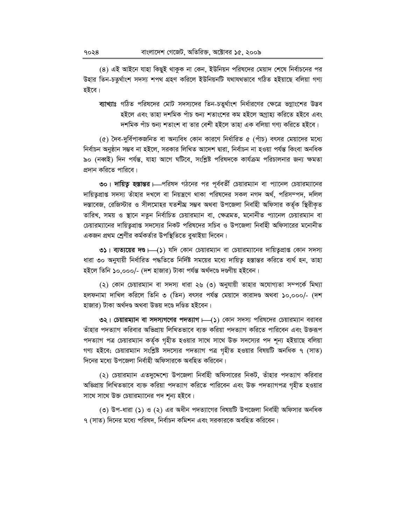(৪) এই আইনে যাহা কিছুই থাকুক না কেন, ইউনিয়ন পরিষদের মেয়াদ শেষে নির্বাচনের পর উহার তিন-চতুর্থাংশ সদস্য শপথ গ্রহণ করিলে ইউনিয়নটি যথাযথভাবে গঠিত হইয়াছে বলিয়া গণ্য হইবে।

ব্যাখ্যাঃ গঠিত পরিষদের মোট সদস্যদের তিন-চতুর্থাংশ নির্ধারণের ক্ষেত্রে ভগ্নাংশের উদ্ভব হইলে এবং তাহা দশমিক পাঁচ শুন্য শতাংশের কম হইলে অগাহ্য করিতে হইবে এবং দশমিক পাঁচ শুন্য শতাংশ বা তার বেশী হইলে তাহা এক বলিয়া গণ্য করিতে হইবে।

(৫) দৈব-দুর্বিপাকজনিত বা অন্যবিধ কোন কারণে নির্ধারিত ৫ (পাঁচ) বৎসর মেয়াদের মধ্যে নিৰ্বাচন অনুষ্ঠান সম্ভব না হইলে, সরকার লিখিত আদেশ দ্বারা, নির্বাচন না হওয়া পর্যন্ত কিংবা অনধিক ৯০ (নব্বই) দিন পর্যন্ত, যাহা আগে ঘটিবে, সংশ্লিষ্ট পরিষদকে কার্যক্রম পরিচালনার জন্য ক্ষমতা প্রদান করিতে পারিবে।

৩০। দায়িত্ব হস্তান্তর । পরিষদ গঠনের পর পূর্ববর্তী চেয়ারম্যান বা প্যানেল চেয়ারম্যানের দায়িতুপ্রাপ্ত সদস্য তাঁহার দখলে বা নিয়ন্ত্রণে থাকা পরিষদের সকল নগদ অর্থ, পরিসম্পদ, দলিল দস্তাবেজ, রেজিস্টার ও সীলমোহর যতশীঘ্র সম্ভব অথবা উপজেলা নির্বাহী অফিসার কর্তৃক স্থিরীকৃত তারিখ, সময় ও স্থানে নতুন নির্বাচিত চেয়ারম্যান বা, ক্ষেত্রমত, মনোনীত প্যানেল চেয়ারম্যান বা চেয়ারম্যানের দায়িতুপ্রাপ্ত সদস্যের নিকট পরিষদের সচিব ও উপজেলা নির্বাহী অফিসারের মনোনীত একজন প্রথম শ্রেণীর কর্মকর্তার উপস্থিতিতে বুঝাইয়া দিবেন।

**৩১**। ব্যত্যয়ের দণ্ড। (১) যদি কোন চেয়ারম্যান বা চেয়ারম্যানের দায়িতুপ্রাপ্ত কোন সদস্য ধারা ৩০ অনুযায়ী নির্ধারিত পদ্ধতিতে নির্দিষ্ট সময়ের মধ্যে দায়িতু হস্তান্তর করিতে ব্যর্থ হন, তাহা হইলে তিনি ১০,০০০/- (দশ হাজার) টাকা পর্যন্ত অর্থদণ্ডে দণ্ডণীয় হইবেন।

(২) কোন চেয়ারম্যান বা সদস্য ধারা ২৬ (৩) অনুযায়ী তাহার অযোগ্যতা সম্পর্কে মিথ্যা হলফনামা দাখিল করিলে তিনি ৩ (তিন) বৎসর পর্যন্ত মেয়াদে কারাদণ্ড অথবা ১০,০০০/- (দশ হাজার) টাকা অর্থদণ্ড অথবা উভয় দণ্ডে দণ্ডিত হইবেন।

৩২। চেয়ারম্যান বা সদস্যগণের পদত্যাগ —(১) কোন সদস্য পরিষদের চেয়ারম্যান বরাবর তাঁহার পদত্যাগ করিবার অভিপ্রায় লিখিতভাবে ব্যক্ত করিয়া পদত্যাগ করিতে পারিবেন এবং উক্তরূপ পদত্যাগ পত্র চেয়ারম্যান কর্তৃক গৃহীত হওয়ার সাথে সাথে উক্ত সদস্যের পদ শূন্য হইয়াছে বলিয়া গণ্য হইবে; চেয়ারম্যান সংশ্লিষ্ট সদস্যের পদত্যাগ পত্র গৃহীত হওয়ার বিষয়টি অনধিক ৭ (সাত) দিনের মধ্যে উপজেলা নির্বাহী অফিসারকে অবহিত করিবেন।

(২) চেয়ারম্যান এতদুদ্দেশ্যে উপজেলা নির্বাহী অফিসারের নিকট, তাঁহার পদত্যাগ করিবার অভিপ্ৰায় লিখিতভাবে ব্যক্ত করিয়া পদত্যাগ করিতে পারিবেন এবং উক্ত পদত্যাগপত্র গৃহীত হওয়ার সাথে সাথে উক্ত চেয়ারম্যানের পদ শূন্য হইবে।

(৩) উপ-ধারা (১) ও (২) এর অধীন পদত্যাগের বিষয়টি উপজেলা নির্বাহী অফিসার অনধিক ৭ (সাত) দিনের মধ্যে পরিষদ, নির্বাচন কমিশন এবং সরকারকে অবহিত করিবেন।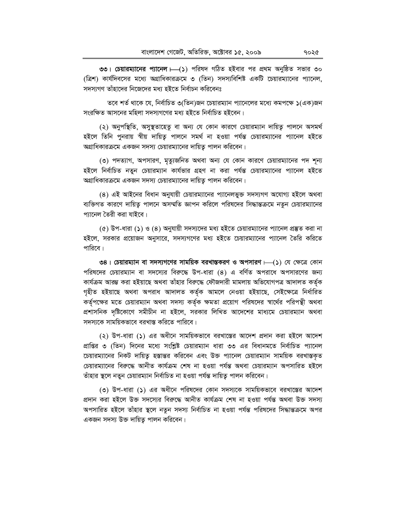৩৩। চেয়ারম্যানের প্যানেল।—(১) পরিষদ গঠিত হইবার পর প্রথম অনুষ্ঠিত সভার ৩০ (ত্রিশ) কার্যদিবসের মধ্যে অগ্রাধিকারক্রমে ৩ (তিন) সদস্যবিশিষ্ট একটি চেয়ারম্যানের প্যানেল, সদস্যগণ তাঁহাদের নিজেদের মধ্য হইতে নির্বাচন করিবেনঃ

তবে শর্ত থাকে যে, নির্বাচিত ৩(তিন)জন চেয়ারম্যান প্যানেলের মধ্যে কমপক্ষে ১(এক)জন সংরক্ষিত আসনের মহিলা সদস্যগণের মধ্য হইতে নির্বাচিত হইবেন।

(২) অনুপস্থিতি, অসুস্থতাহেতু বা অন্য যে কোন কারণে চেয়ারম্যান দায়িত্ব পালনে অসমর্থ হইলে তিনি পুনরায় স্বীয় দায়িত পালনে সমর্থ না হওয়া পর্যন্ত চেয়ারম্যানের প্যানেল হইতে অগ্রাধিকারক্রমে একজন সদস্য চেয়ারম্যানের দায়িত পালন করিবেন।

(৩) পদত্যাগ, অপসারণ, মৃত্যুজনিত অথবা অন্য যে কোন কারণে চেয়ারম্যানের পদ শূন্য হইলে নিৰ্বাচিত নতুন চেয়ারম্যান কাৰ্যভার গ্রহণ না করা পর্যন্ত চেয়ারম্যানের প্যানেল হইতে অগ্রাধিকারক্রমে একজন সদস্য চেয়ারম্যানের দায়িতু পালন করিবেন।

(8) এই আইনের বিধান অনুযায়ী চেয়ারম্যানের প্যানেলভুক্ত সদস্যগণ অযোগ্য হইলে অথবা ব্যক্তিগত কারণে দায়িতু পালনে অসম্মতি জ্ঞাপন করিলে পরিষদের সিদ্ধান্তক্রমে নতুন চেয়ারম্যানের প্যানেল তৈরী করা যাইবে।

(৫) উপ-ধারা (১) ও (৪) অনুযায়ী সদস্যদের মধ্য হইতে চেয়ারম্যানের প্যানেল প্রস্তুত করা না হইলে, সরকার প্রয়োজন অনুসারে, সদস্যগণের মধ্য হইতে চেয়ারম্যানের প্যানেল তৈরি করিতে পারিবে।

৩৪। চেয়ারম্যান বা সদস্যগণের সাময়িক বরখাস্তকরণ ও অপসারণ  $\longmapsto$  (১) যে ক্ষেত্রে কোন পরিষদের চেয়ারম্যান বা সদস্যের বিরুদ্ধে উপ-ধারা (৪) এ বর্ণিত অপরাধে অপসারণের জন্য কাৰ্যক্ৰম আরম্ভ করা হইয়াছে অথবা তাঁহার বিরুদ্ধে ফৌজদারী মামলায় অভিযোগপত্র আদালত কর্তৃক গৃহীত হইয়াছে অথবা অপরাধ আদালত কর্তৃক আমলে নেওয়া হইয়াছে, সেইক্ষেত্রে নির্ধারিত কর্তৃপক্ষের মতে চেয়ারম্যান অথবা সদস্য কর্তৃক ক্ষমতা প্রয়োগ পরিষদের স্বার্থের পরিপন্থী অথবা প্রশাসনিক দৃষ্টিকোণে সমীচীন না হইলে, সরকার লিখিত আদেশের মাধ্যমে চেয়ারম্যান অথবা সদস্যকে সাময়িকভাবে বরখাস্ত করিতে পারিবে।

(২) উপ-ধারা (১) এর অধীনে সাময়িকভাবে বরখাস্তের আদেশ প্রদান করা হইলে আদেশ প্রাপ্তির ৩ (তিন) দিনের মধ্যে সংশ্লিষ্ট চেয়ারম্যান ধারা ৩৩ এর বিধানমতে নির্বাচিত প্যানেল চেয়ারম্যানের নিকট দায়িতু হস্তান্তর করিবেন এবং উক্ত প্যানেল চেয়ারম্যান সাময়িক বরখাস্তকৃত চেয়ারম্যানের বিরুদ্ধে আনীত কার্যক্রম শেষ না হওয়া পর্যন্ত অথবা চেয়ারম্যান অপসারিত হইলে তাঁহার স্থলে নতুন চেয়ারম্যান নির্বাচিত না হওয়া পর্যন্ত দায়িত্ব পালন করিবেন।

(৩) উপ-ধারা (১) এর অধীনে পরিষদের কোন সদস্যকে সাময়িকভাবে বরখাস্তের আদেশ প্রদান করা হইলে উক্ত সদস্যের বিরুদ্ধে আনীত কার্যক্রম শেষ না হওয়া পর্যন্ত অথবা উক্ত সদস্য অপসারিত হইলে তাঁহার স্থলে নতুন সদস্য নির্বাচিত না হওয়া পর্যন্ত পরিষদের সিদ্ধান্তক্রমে অপর একজন সদস্য উক্ত দায়িত্ব পালন করিবেন।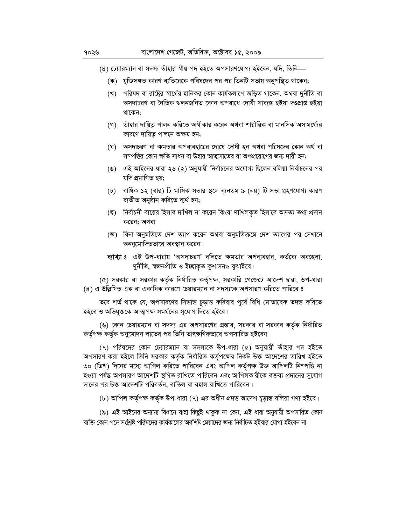- (৪) চেয়ারম্যান বা সদস্য তাঁহার স্বীয় পদ হইতে অপসারণযোগ্য হইবেন, যদি, তিনি—
	- (ক) যুক্তিসঙ্গত কারণ ব্যতিরেকে পরিষদের পর পর তিনটি সভায় অনুপস্থিত থাকেন;
	- (খ) পরিষদ বা রাষ্ট্রের স্বার্থের হানিকর কোন কার্যকলাপে জড়িত থাকেন, অথবা দুর্নীতি বা অসদাচরণ বা নৈতিক শ্বলনজনিত কোন অপরাধে দোষী সাব্যস্ত হইয়া দণ্ডপ্রাপ্ত হইয়া থাকেন;
	- (গ) তাঁহার দায়িত্ব পালন করিতে অস্বীকার করেন অথবা শারীরিক বা মানসিক অসামর্থ্যের কারণে দায়িতু পালনে অক্ষম হন;
	- (ঘ) অসদাচরণ বা ক্ষমতার অপব্যবহারের দোষে দোষী হন অথবা পরিষদের কোন অর্থ বা সম্পত্তির কোন ক্ষতি সাধন বা উহার আত্মসাতের বা অপপ্রয়োগের জন্য দায়ী হন;
	- (ঙ) এই আইনের ধারা ২৬ (২) অনুযায়ী নির্বাচনের অযোগ্য ছিলেন বলিয়া নির্বাচনের পর যদি প্ৰমাণিত হয়;
	- (চ) বার্ষিক ১২ (বার) টি মাসিক সভার স্থলে ন্যূনতম ৯ (নয়) টি সভা গ্রহণযোগ্য কারণ ব্যতীত অনুষ্ঠান করিতে ব্যর্থ হন;
	- (ছ) নির্বাচনী ব্যয়ের হিসাব দাখিল না করেন কিংবা দাখিলকৃত হিসাবে অসত্য তথ্য প্রদান করেন; অথবা
	- (জ) বিনা অনুমতিতে দেশ ত্যাগ করেন অথবা অনুমতিক্রমে দেশ ত্যাগের পর সেখানে অননুমোদিতভাবে অবস্থান করেন।
	- ব্যাখ্যা ঃ এই উপ-ধারায় 'অসদাচরণ' বলিতে ক্ষমতার অপব্যবহার, কর্তব্যে অবহেলা, দুৰ্নীতি, স্বজনপ্ৰীতি ও ইচ্ছাকৃত কুশাসনও বুঝাইবে।

(৫) সরকার বা সরকার কর্তৃক নির্ধারিত কর্তৃপক্ষ, সরকারি গেজেটে আদেশ দ্বারা, উপ-ধারা (৪) এ উল্লিখিত এক বা একাধিক কারণে চেয়ারম্যান বা সদস্যকে অপসারণ করিতে পারিবে ঃ

তবে শর্ত থাকে যে, অপসারণের সিদ্ধান্ত চূড়ান্ত করিবার পূর্বে বিধি মোতাবেক তদন্ত করিতে হইবে ও অভিযুক্তকে আত্মপক্ষ সমর্থনের সুযোগ দিতে হইবে।

(৬) কোন চেয়ারম্যান বা সদস্য এর অপসারণের প্রস্তাব, সরকার বা সরকার কর্তৃক নির্ধারিত কর্তৃপক্ষ কর্তৃক অনুমোদন লাভের পর তিনি তাৎক্ষণিকভাবে অপসারিত হইবেন।

(৭) পরিষদের কোন চেয়ারম্যান বা সদস্যকে উপ-ধারা (৫) অনুযায়ী তাঁহার পদ হইতে অপসারণ করা হইলে তিনি সরকার কর্তৃক নির্ধারিত কর্তৃপক্ষের নিকট উক্ত আদেশের তারিখ হইতে ৩০ (ত্রিশ) দিনের মধ্যে আপিল করিতে পারিবেন এবং আপিল কর্তৃপক্ষ উক্ত আপিলটি নিম্পত্তি না হওয়া পর্যন্ত অপসারণ আদেশটি স্থগিত রাখিতে পারিবেন এবং আপিলকারীকে বক্তব্য প্রদানের সুযোগ দানের পর উক্ত আদেশটি পরিবর্তন, বাতিল বা বহাল রাখিতে পারিবেন।

(৮) আপিল কৰ্তৃপক্ষ কৰ্তৃক উপ-ধারা (৭) এর অধীন প্রদত্ত আদেশ চূড়ান্ত বলিয়া গণ্য হইবে।

(৯) এই আইনের অন্যান্য বিধানে যাহা কিছুই থাকুক না কেন, এই ধারা অনুযায়ী অপসারিত কোন ব্যক্তি কোন পদে সংশ্লিষ্ট পরিষদের কার্যকালের অবশিষ্ট মেয়াদের জন্য নির্বাচিত হইবার যোগ্য হইবেন না।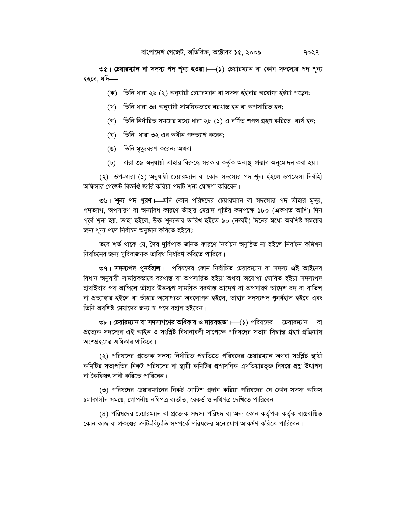**৩৫। চেয়ারম্যান বা সদস্য পদ শূন্য হওয়া —(১)** চেয়ারম্যান বা কোন সদস্যের পদ শূন্য হইবে. যদি—

- (ক) তিনি ধারা ২৬ (২) অনুযায়ী চেয়ারম্যান বা সদস্য হইবার অযোগ্য হইয়া পড়েন;
- (খ) তিনি ধারা ৩৪ অনুযায়ী সাময়িকভাবে বরখাস্ত হন বা অপসারিত হন;
- (গ) তিনি নির্ধারিত সময়ের মধ্যে ধারা ২৮ (১) এ বর্ণিত শপথ গ্রহণ করিতে ব্যর্থ হন;
- (ঘ) তিনি ধারা ৩২ এর অধীন পদত্যাগ করেন;
- (ঙ) তিনি মৃত্যুবরণ করেন; অথবা
- (চ) ধারা ৩৯ অনুযায়ী তাহার বিরুদ্ধে সরকার কর্তৃক অনাস্থা প্রস্তাব অনুমোদন করা হয়।

(২) উপ-ধারা (১) অনুযায়ী চেয়ারম্যান বা কোন সদস্যের পদ শূন্য হইলে উপজেলা নির্বাহী অফিসার গেজেট বিজ্ঞপ্তি জারি করিয়া পদটি শূন্য ঘোষণা করিবেন।

৩৬। শূন্য পদ পুরণ – যদি কোন পরিষদের চেয়ারম্যান বা সদস্যের পদ তাঁহার মৃত্যু, পদত্যাগ, অপসারণ বা অন্যবিধ কারণে তাঁহার মেয়াদ পূর্তির কমপক্ষে ১৮০ (একশত আশি) দিন পূর্বে শূন্য হয়, তাহা হইলে, উক্ত শূন্যতার তারিখ হইতে ৯০ (নব্বই) দিনের মধ্যে অবশিষ্ট সময়ের জন্য শূন্য পদে নিৰ্বাচন অনুষ্ঠান করিতে হইবেঃ

তবে শর্ত থাকে যে, দৈব দুর্বিপাক জনিত কারণে নির্বাচন অনুষ্ঠিত না হইলে নির্বাচন কমিশন নির্বাচনের জন্য সুবিধাজনক তারিখ নির্ধারণ করিতে পারিবে।

৩৭। সদস্যপদ পুনর্বহাল – পরিষদের কোন নির্বাচিত চেয়ারম্যান বা সদস্য এই আইনের বিধান অনুযায়ী সাময়িকভাবে বরখাস্ত বা অপসারিত হইয়া অথবা অযোগ্য ঘোষিত হইয়া সদস্যপদ হারাইবার পর আপিলে তাঁহার উক্তরূপ সাময়িক বরখাস্ত আদেশ বা অপসারণ আদেশ রদ বা বাতিল বা প্রত্যাহার হইলে বা তাঁহার অযোগ্যতা অবলোপন হইলে, তাহার সদস্যপদ পুনর্বহাল হইবে এবং তিনি অবশিষ্ট মেয়াদের জন্য স্ব-পদে বহাল হইবেন।

৩৮। চেয়ারম্যান বা সদস্যগণের অধিকার ও দায়বদ্ধতা । (১) পরিষদের চেয়ারম্যান বা প্রত্যেক সদস্যের এই আইন ও সংশ্লিষ্ট বিধানাবলী সাপেক্ষে পরিষদের সভায় সিদ্ধান্ত গ্রহণ প্রক্রিয়ায় অংশগ্রহণের অধিকার থাকিবে।

(২) পরিষদের প্রত্যেক সদস্য নির্ধারিত পদ্ধতিতে পরিষদের চেয়ারম্যান অথবা সংশ্লিষ্ট স্থায়ী কমিটির সভাপতির নিকট পরিষদের বা স্থায়ী কমিটির প্রশাসনিক এখতিয়ারভুক্ত বিষয়ে প্রশ্ন উত্থাপন বা কৈফিয়ৎ দাবী করিতে পারিবেন।

(৩) পরিষদের চেয়ারম্যানের নিকট নোটিশ প্রদান করিয়া পরিষদের যে কোন সদস্য অফিস চলাকালীন সময়ে, গোপনীয় নথিপত্র ব্যতীত, রেকর্ড ও নথিপত্র দেখিতে পারিবেন।

(৪) পরিষদের চেয়ারম্যান বা প্রত্যেক সদস্য পরিষদ বা অন্য কোন কর্তৃপক্ষ কর্তৃক বাস্তবায়িত কোন কাজ বা প্রকল্পের ক্রটি-বিচ্যুতি সম্পর্কে পরিষদের মনোযোগ আকর্ষণ করিতে পারিবেন।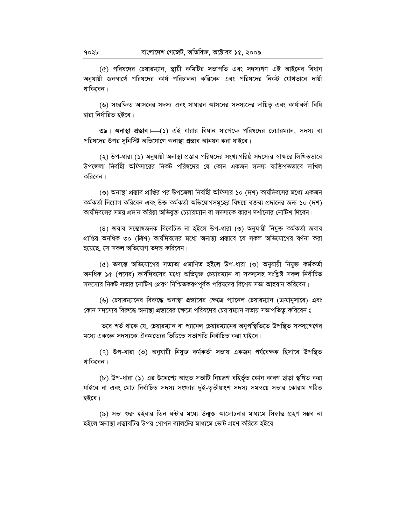(৫) পরিষদের চেয়ারম্যান, স্থায়ী কমিটির সভাপতি এবং সদস্যগণ এই আইনের বিধান অনুযায়ী জনস্বার্থে পরিষদের কার্য পরিচালনা করিবেন এবং পরিষদের নিকট যৌথভাবে দায়ী থাকিবেন।

(৬) সংরক্ষিত আসনের সদস্য এবং সাধারন আসনের সদস্যদের দায়িত এবং কার্যাবলী বিধি দ্বারা নির্ধারিত হইবে।

৩৯। অনাস্থা প্রস্তাব  $\Box$ (১) এই ধারার বিধান সাপেক্ষে পরিষদের চেয়ারম্যান, সদস্য বা পরিষদের উপর সুনির্দিষ্ট অভিযোগে অনাস্থা প্রস্তাব আনয়ন করা যাইবে।

(২) উপ-ধারা (১) অনুযায়ী অনাস্থা প্রস্তাব পরিষদের সংখ্যাগরিষ্ঠ সদস্যের স্বাক্ষরে লিখিতভাবে উপজেলা নির্বাহী অফিসারের নিকট পরিষদের যে কোন একজন সদস্য ব্যক্তিগতভাবে দাখিল করিবেন।

(৩) অনাস্থা প্রস্তাব প্রাপ্তির পর উপজেলা নির্বাহী অফিসার ১০ (দশ) কার্যদিবসের মধ্যে একজন কর্মকর্তা নিয়োগ করিবেন এবং উক্ত কর্মকর্তা অভিযোগসমূহের বিষয়ে বক্তব্য প্রদানের জন্য ১০ (দশ) কার্যদিবসের সময় প্রদান করিয়া অভিযুক্ত চেয়ারম্যান বা সদস্যকে কারণ দর্শানোর নোটিশ দিবেন।

(8) জবাব সম্ভোষজনক বিবেচিত না হইলে উপ-ধারা (৩) অনুযায়ী নিযুক্ত কর্মকর্তা জবাব প্রাপ্তির অনধিক ৩০ (ত্রিশ) কার্যদিবসের মধ্যে অনাস্থা প্রস্তাবে যে সকল অভিযোগের বর্ণনা করা হয়েছে, সে সকল অভিযোগ তদন্ত করিবেন।

(৫) তদন্তে অভিযোগের সত্যতা প্রমাণিত হইলে উপ-ধারা (৩) অনুযায়ী নিযুক্ত কর্মকর্তা অনধিক ১৫ (পনের) কার্যদিবসের মধ্যে অভিযুক্ত চেয়ারম্যান বা সদস্যসহ সংশ্লিষ্ট সকল নির্বাচিত সদস্যের নিকট সভার নোটিশ প্রেরণ নিশ্চিতকরণপূর্বক পরিষদের বিশেষ সভা আহবান করিবেন। ।

(৬) চেয়ারম্যানের বিরুদ্ধে অনাস্থা প্রস্তাবের ক্ষেত্রে প্যানেল চেয়ারম্যান (ক্রমানুসারে) এবং কোন সদস্যের বিরুদ্ধে অনাস্থা প্রস্তাবের ক্ষেত্রে পরিষদের চেয়ারম্যান সভায় সভাপতিত্ব করিবেন ঃ

তবে শর্ত থাকে যে, চেয়ারম্যান বা প্যানেল চেয়ারম্যানের অনুপস্থিতিতে উপস্থিত সদস্য্যগণের মধ্যে একজন সদস্যকে ঐকমত্যের ভিত্তিতে সভাপতি নির্বাচিত করা যাইবে।

(৭) উপ-ধারা (৩) অনুযায়ী নিযুক্ত কর্মকর্তা সভায় একজন পর্যবেক্ষক হিসাবে উপস্থিত থাকিবেন।

(৮) উপ-ধারা (১) এর উদ্দেশ্যে আহুত সভাটি নিয়ন্ত্রণ বহির্ভূত কোন কারণ ছাড়া স্থগিত করা যাইবে না এবং মোট নির্বাচিত সদস্য সংখ্যার দুই-তৃতীয়াংশ সদস্য সমন্বয়ে সভার কোরাম গঠিত হইবে।

(৯) সভা শুরু হইবার তিন ঘন্টার মধ্যে উন্মুক্ত আলোচনার মাধ্যমে সিদ্ধান্ত গ্রহণ সম্ভব না হইলে অনাস্থা প্রস্তাবটির উপর গোপন ব্যালটের মাধ্যমে ভোট গ্রহণ করিতে হইবে।

৭০২৮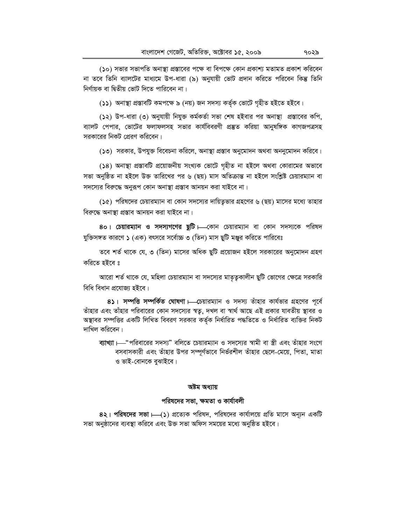(১০) সভার সভাপতি অনাস্থা প্রস্তাবের পক্ষে বা বিপক্ষে কোন প্রকাশ্য মতামত প্রকাশ করিবেন না তবে তিনি ব্যালটের মাধ্যমে উপ-ধারা (৯) অনুযায়ী ভোট প্রদান করিতে পরিবেন কিন্তু তিনি নির্ণায়ক বা দ্বিতীয় ভোট দিতে পারিবেন না।

(১১) অনাস্থা প্রস্তাবটি কমপক্ষে ৯ (নয়) জন সদস্য কর্তৃক ভোটে গৃহীত হইতে হইবে।

(১২) উপ-ধারা (৩) অনুযায়ী নিযুক্ত কর্মকর্তা সভা শেষ হইবার পর অনাস্থা প্রস্তাবের কপি, ব্যালট পেপার, ভোটের ফলাফলসহ সভার কার্যবিবরণী প্রস্তুত করিয়া আনুষঙ্গিক কাগজপত্রসহ সরকারের নিকট প্রেরণ করিবেন।

(১৩) সরকার, উপযুক্ত বিবেচনা করিলে, অনাস্থা প্রস্তাব অনুমোদন অথবা অননুমোদন করিবে।

(১৪) অনাস্থা প্রস্তাবটি প্রয়োজনীয় সংখ্যক ভোটে গৃহীত না হইলে অথবা কোরামের অভাবে সভা অনুষ্ঠিত না হইলে উক্ত তারিখের পর ৬ (ছয়) মাস অতিক্রান্ত না হইলে সংশ্লিষ্ট চেয়ারম্যান বা সদস্যের বিরুদ্ধে অনুরূপ কোন অনাস্থা প্রস্তাব আনয়ন করা যাইবে না।

(১৫) পরিষদের চেয়ারম্যান বা কোন সদস্যের দায়িত্বভার গ্রহণের ৬ (ছয়) মাসের মধ্যে তাহার বিরুদ্ধে অনাস্থা প্রস্তাব আনয়ন করা যাইবে না।

80। চেয়ারম্যান ও সদস্যগণের ছুটি। বেগন চেয়ারম্যান বা কোন সদস্যকে পরিষদ যুক্তিসঙ্গত কারণে ১ (এক) বৎসরে সর্বোচ্চ ৩ (তিন) মাস ছুটি মঞ্জুর করিতে পারিবেঃ

তবে শর্ত থাকে যে, ৩ (তিন) মাসের অধিক ছুটি প্রয়োজন হইলে সরকারের অনুমোদন গ্রহণ করিতে হইবে ঃ

আরো শর্ত থাকে যে, মহিলা চেয়ারম্যান বা সদস্যের মাতৃত্বকালীন ছুটি ভোগের ক্ষেত্রে সরকারি বিধি বিধান প্ৰযোজ্য হইবে।

8১। সম্পত্তি সম্পর্কিত ঘোষণা — চেয়ারম্যান ও সদস্য তাঁহার কার্যভার গ্রহণের পূর্বে তাঁহার এবং তাঁহার পরিবারের কোন সদস্যের স্বতু, দখল বা স্বার্থ আছে এই প্রকার যাবতীয় স্থাবর ও অস্থাবর সম্পত্তির একটি লিখিত বিবরণ সরকার কর্তৃক নির্ধারিত পদ্ধতিতে ও নির্ধারিত ব্যক্তির নিকট দাখিল করিবেন।

ব্যাখ্যা ।—"পরিবারের সদস্য" বলিতে চেয়ারম্যান ও সদস্যের স্বামী বা স্ত্রী এবং তাঁহার সংগে বসবাসকারী এবং তাঁহার উপর সম্পূর্ণভাবে নির্ভরশীল তাঁহার ছেলে-মেয়ে, পিতা, মাতা ও ভাই-বোনকে বুঝাইবে।

#### অষ্টম অধ্যায়

#### পরিষদের সভা, ক্ষমতা ও কার্যাবলী

8২। পরিষদের সভা ।—(১) প্রত্যেক পরিষদ, পরিষদের কার্যালয়ে প্রতি মাসে অন্যূন একটি সভা অনুষ্ঠানের ব্যবস্থা করিবে এবং উক্ত সভা অফিস সময়ের মধ্যে অনুষ্ঠিত হইবে।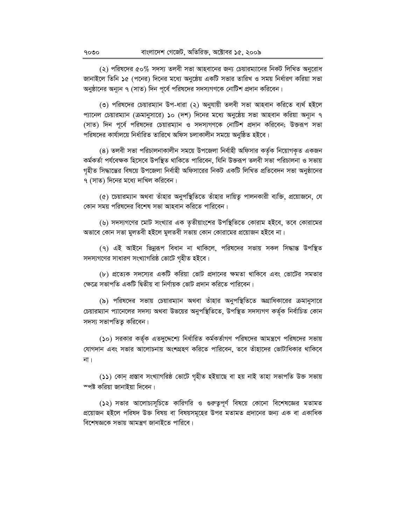(২) পরিষদের ৫০% সদস্য তলবী সভা আহবানের জন্য চেয়ারম্যানের নিকট লিখিত অনুরোধ জানাইলে তিনি ১৫ (পনের) দিনের মধ্যে অনুষ্ঠেয় একটি সভার তারিখ ও সময় নির্ধারণ করিয়া সভা অনুষ্ঠানের অন্যূন ৭ (সাত) দিন পূর্বে পরিষদের সদস্যগণকে নোটিশ প্রদান করিবেন।

(৩) পরিষদের চেয়ারম্যান উপ-ধারা (২) অনুযায়ী তলবী সভা আহবান করিতে ব্যর্থ হইলে প্যানেল চেয়ারম্যান (ক্রমানুসারে) ১০ (দশ) দিনের মধ্যে অনুষ্ঠেয় সভা আহবান করিয়া অন্যন ৭ (সাত) দিন পূর্বে পরিষদের চেয়ারম্যান ও সদস্যগণকে নোটিশ প্রদান করিবেন; উক্তরূপ সভা পরিষদের কার্যালয়ে নির্ধারিত তারিখে অফিস চলাকালীন সময়ে অনুষ্ঠিত হইবে।

(৪) তলবী সভা পরিচালনাকালীন সময়ে উপজেলা নির্বাহী অফিসার কর্তৃক নিয়োগকৃত একজন কৰ্মকৰ্তা পৰ্যবেক্ষক হিসেবে উপস্থিত থাকিতে পাৱিবেন, যিনি উজ্জরপ তলবী সভা পরিচালনা ও সভায় গৃহীত সিদ্ধান্তের বিষয়ে উপজেলা নির্বাহী অফিসারের নিকট একটি লিখিত প্রতিবেদন সভা অনুষ্ঠানের ৭ (সাত) দিনের মধ্যে দাখিল করিবেন।

(৫) চেয়ারম্যান অথবা তাঁহার অনুপস্থিতিতে তাঁহার দায়িত্ব পালনকারী ব্যক্তি, প্রয়োজনে, যে কোন সময় পরিষদের বিশেষ সভা আহবান করিতে পারিবেন।

(৬) সদস্যগণের মোট সংখ্যার এক তৃতীয়াংশের উপস্থিতিতে কোরাম হইবে, তবে কোরামের 'অভাবে কোন সভা মুলতবী হইলে মুলতবী সভায় কোন কোরামের প্রয়োজন হইবে না।

(৭) এই আইনে ভিন্নরূপ বিধান না থাকিলে, পরিষদের সভায় সকল সিদ্ধান্ত উপস্থিত সদস্যগণের সাধারণ সংখ্যাগরিষ্ঠ ভোটে গৃহীত হইবে।

(৮) প্রত্যেক সদস্যের একটি করিয়া ভোট প্রদানের ক্ষমতা থাকিবে এবং ভোটের সমতার ক্ষেত্রে সভাপতি একটি দ্বিতীয় বা নির্ণায়ক ভোট প্রদান করিতে পারিবেন।

(৯) পরিষদের সভায় চেয়ারম্যান অথবা তাঁহার অনুপস্থিতিতে অগ্রাধিকারের ক্রমানুসারে চেয়ারম্যান প্যানেলের সদস্য অথবা উভয়ের অনুপস্থিতিতে, উপস্থিত সদস্যগণ কর্তৃক নির্বাচিত কোন সদস্য সভাপতিত্ব করিবেন।

(১০) সরকার কর্তৃক এতদুদ্দেশ্যে নির্ধারিত কর্মকর্তাগণ পরিষদের আমন্ত্রণে পরিষদের সভায় যোগদান এবং সভার আলোচনায় অংশগ্রহণ করিতে পারিবেন, তবে তাঁহাদের ভোটাধিকার থাকিবে না ।

(১১) কোন প্ৰস্তাব সংখ্যাগরিষ্ঠ ভোটে গৃহীত হইয়াছে বা হয় নাই তাহা সভাপতি উক্ত সভায় স্পষ্ট করিয়া জানাইয়া দিবেন।

(১২) সভার আলোচ্যসূচিতে কারিগরি ও গুরুত্বপূর্ণ বিষয়ে কোনো বিশেষজ্ঞের মতামত প্রয়োজন হইলে পরিষদ উক্ত বিষয় বা বিষয়সমূহের উপর মতামত প্রদানের জন্য এক বা একাধিক বিশেষজ্ঞকে সভায় আমন্ত্রণ জানাইতে পারিবে।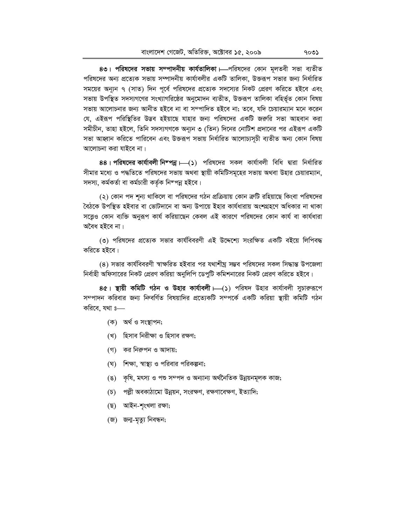8৩। পরিষদের সভায় সম্পাদনীয় কার্যতালিকা।—পরিষদের কোন মূলতবী সভা ব্যতীত পরিষদের অন্য প্রত্যেক সভায় সম্পাদনীয় কার্যাবলীর একটি তালিকা, উক্তরূপ সভার জন্য নির্ধারিত সময়ের অন্যুন ৭ (সাত) দিন পূর্বে পরিষদের প্রত্যেক সদস্যের নিকট প্রেরণ করিতে হইবে এবং সভায় উপস্থিত সদস্যগণের সংখ্যাগরিষ্ঠের অনুমোদন ব্যতীত, উক্তরূপ তালিকা বহির্ভূত কোন বিষয় সভায় আলোচনার জন্য আনীত হইবে না বা সম্পাদিত হইবে না; তবে, যদি চেয়ারম্যান মনে করেন যে, এইরূপ পরিস্থিতির উদ্ভব হইয়াছে যাহার জন্য পরিষদের একটি জরুরি সভা আহবান করা সমীচীন, তাহা হইলে, তিনি সদস্যগণকে অন্যুন ৩ (তিন) দিনের নোটিশ প্রদানের পর এইরূপ একটি সভা আহ্বান করিতে পারিবেন এবং উক্তরূপ সভায় নির্ধারিত আলোচ্যসূচী ব্যতীত অন্য কোন বিষয় আলোচনা করা যাইবে না।

88। পরিষদের কার্যাবলী নিম্পন্ন।—(১) পরিষদের সকল কার্যাবলী বিধি দ্বারা নির্ধারিত সীমার মধ্যে ও পদ্ধতিতে পরিষদের সভায় অথবা স্থায়ী কমিটিসমূহের সভায় অথবা উহার চেয়ারম্যান, সদস্য, কৰ্মকৰ্তা বা কৰ্মচারী কৰ্তৃক নিম্পন্ন হইবে।

(২) কোন পদ শূন্য থাকিলে বা পরিষদের গঠন প্রক্রিয়ায় কোন ক্রটি রহিয়াছে কিংবা পরিষদের বৈঠকে উপস্থিত হইবার বা ভোটদানে বা অন্য উপায়ে ইহার কার্যধারায় অংশগ্রহণে অধিকার না থাকা সত্ত্বেও কোন ব্যক্তি অনুরূপ কার্য করিয়াছেন কেবল এই কারণে পরিষদের কোন কার্য বা কার্যধারা অবৈধ হইবে না।

৩) পরিষদের প্রত্যেক সভার কার্যবিবরণী এই উদ্দেশ্যে সংরক্ষিত একটি বইয়ে লিপিবদ্ধ করিতে হইবে।

(৪) সভার কার্যবিবরণী স্বাক্ষরিত হইবার পর যথাশীঘ্র সম্ভব পরিষদের সকল সিদ্ধান্ত উপজেলা নির্বাহী অফিসারের নিকট প্রেরণ করিয়া অনুলিপি ডেপুটি কমিশনারের নিকট প্রেরণ করিতে হইবে।

8৫। স্থায়ী কমিটি গঠন ও উহার কার্যাবলী।—(১) পরিষদ উহার কার্যাবলী সুচারুরূপে সম্পাদন করিবার জন্য ন্দিবর্ণিত বিষয়াদির প্রত্যেকটি সম্পর্কে একটি করিয়া স্থায়ী কমিটি গঠন করিবে. যথা ঃ—

- (ক) অৰ্থ ও সংস্থাপন;
- (খ) হিসাব নিরীক্ষা ও হিসাব রক্ষণ;
- (গ) কর নিরুপন ও আদায়;
- (ঘ) শিক্ষা, স্বাস্থ্য ও পরিবার পরিকল্পনা;
- (ঙ) কৃষি, মৎস্য ও পশু সম্পদ ও অন্যান্য অর্থনৈতিক উন্নয়নমূলক কাজ;
- (চ) পল্লী অবকাঠামো উন্নয়ন, সংরক্ষণ, রক্ষণাবেক্ষণ, ইত্যাদি;
- (ছ) আইন-শৃংখলা রক্ষা;
- (জ) জন্ম-মৃত্যু নিবন্ধন;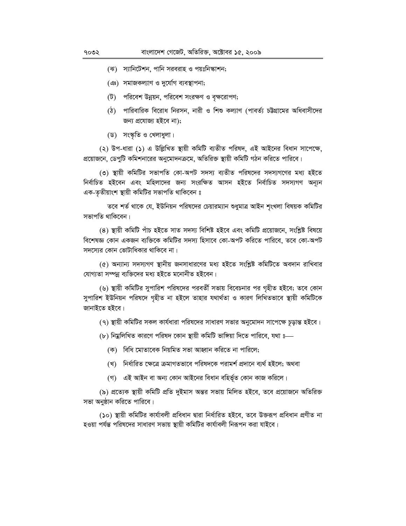- (ঝ) স্যানিটেশন, পানি সরবরাহ ও পয়ঃনিস্কাশন;
- (এঃ) সমাজকল্যাণ ও দুৰ্যোগ ব্যবস্থাপনা;
- (ট) পরিবেশ উন্নয়ন, পরিবেশ সংরক্ষণ ও বৃক্ষরোপণ;
- (ঠ) পারিবারিক বিরোধ নিরসন, নারী ও শিশু কল্যাণ (পাবর্ত্য চট্টগ্রামের অধিবাসীদের জন্য প্রযোজ্য হইবে না);
- (ড) সংস্কৃতি ও খেলাধুলা।

(২) উপ-ধারা (১) এ উল্লিখিত স্থায়ী কমিটি ব্যতীত পরিষদ, এই আইনের বিধান সাপেক্ষে, প্রয়োজনে, ডেপুটি কমিশনারের অনুমোদনক্রমে, অতিরিক্ত স্থায়ী কমিটি গঠন করিতে পারিবে।

(৩) স্থায়ী কমিটির সভাপতি কো-অপট সদস্য ব্যতীত পরিষদের সদস্যগণের মধ্য হইতে নিৰ্বাচিত হইবেন এবং মহিলাদের জন্য সংরক্ষিত আসন হইতে নিৰ্বাচিত সদস্যগণ অন্যূন এক-তৃতীয়াংশ স্থায়ী কমিটির সভাপতি থাকিবেন ঃ

তবে শর্ত থাকে যে, ইউনিয়ন পরিষদের চেয়ারম্যান শুধুমাত্র আইন শৃংখলা বিষয়ক কমিটির সভাপতি থাকিবেন।

(8) স্থায়ী কমিটি পাঁচ হইতে সাত সদস্য বিশিষ্ট হইবে এবং কমিটি প্রয়োজনে, সংশ্লিষ্ট বিষয়ে বিশেষজ্ঞ কোন একজন ব্যক্তিকে কমিটির সদস্য হিসাবে কো-অপট করিতে পারিবে, তবে কো-অপট সদস্যের কোন ভোটাধিকার থাকিবে না।

(৫) অন্যান্য সদস্যগণ স্থানীয় জনসাধারণের মধ্য হইতে সংশ্লিষ্ট কমিটিতে অবদান রাখিবার যোগ্যতা সম্পন্ন ব্যক্তিদের মধ্য হইতে মনোনীত হইবেন।

(৬) স্থায়ী কমিটির সুপারিশ পরিষদের পরবর্তী সভায় বিবেচনার পর গৃহীত হইবে; তবে কোন সুপারিশ ইউনিয়ন পরিষদে গৃহীত না হইলে তাহার যথার্থতা ও কারণ লিখিতভাবে স্থায়ী কমিটিকে জানাইতে হইবে।

(৭) স্থায়ী কমিটির সকল কার্যধারা পরিষদের সাধারণ সভার অনুমোদন সাপেক্ষে চূড়ান্ত হইবে।

(৮) নিয়ুলিখিত কারণে পরিষদ কোন স্থায়ী কমিটি ভাঙ্গিয়া দিতে পারিবে, যথা ঃ—

- (ক) বিধি মোতাবেক নিয়মিত সভা আহ্বান করিতে না পারিলে;
- (খ) নিৰ্ধাৱিত ক্ষেত্ৰে ক্ৰমাগতভাবে পৱিষদকে পৱামৰ্শ প্ৰদানে ব্যৰ্থ হইলে; অথবা
- (গ) এই আইন বা অন্য কোন আইনের বিধান বহির্ভূত কোন কাজ করিলে।

(৯) প্রত্যেক স্থায়ী কমিটি প্রতি দুইমাস অন্তর সভায় মিলিত হইবে, তবে প্রয়োজনে অতিরিক্ত সভা অনুষ্ঠান করিতে পারিবে।

(১০) স্থায়ী কমিটির কার্যাবলী প্রবিধান দ্বারা নির্ধারিত হইবে, তবে উক্তরূপ প্রবিধান প্রণীত না হওয়া পর্যন্ত পরিষদের সাধারণ সভায় স্থায়ী কমিটির কার্যাবলী নিরূপন করা যাইবে।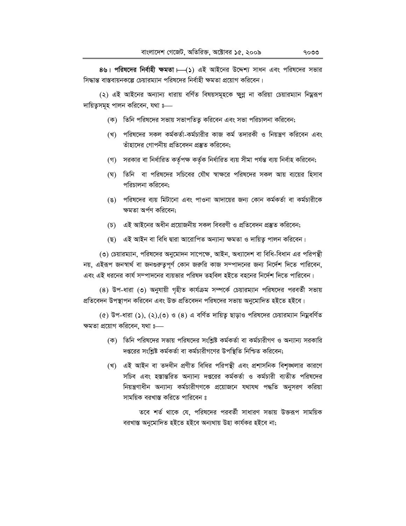8৬। পরিষদের নির্বাহী ক্ষমতা । (১) এই আইনের উদ্দেশ্য সাধন এবং পরিষদের সভার সিদ্ধান্ত বাস্তবায়নকল্পে চেয়ারম্যান পরিষদের নির্বাহী ক্ষমতা প্রয়োগ করিবেন।

(২) এই আইনের অন্যান্য ধারায় বর্ণিত বিষয়সমূহকে ক্ষুণ্ণ না করিয়া চেয়ারম্যান নিয়ুরূপ দায়িতুসমূহ পালন করিবেন, যথা ঃ—

- (ক) তিনি পরিষদের সভায় সভাপতিতু করিবেন এবং সভা পরিচালনা করিবেন;
- (খ) পরিষদের সকল কর্মকর্তা-কর্মচারীর কাজ কর্ম তদারকী ও নিয়ন্ত্রণ করিবেন এবং তাঁহাদের গোপনীয় প্রতিবেদন প্রস্তুত করিবেন:
- (গ) সরকার বা নির্ধারিত কর্তৃপক্ষ কর্তৃক নির্ধারিত ব্যয় সীমা পর্যন্ত ব্যয় নির্বাহ করিবেন;
- (ঘ) তিনি বা পরিষদের সচিবের যৌথ স্বাক্ষরে পরিষদের সকল আয় ব্যয়ের হিসাব পরিচালনা করিবেন:
- (ঙ) পরিষদের ব্যয় মিটানো এবং পাওনা আদায়ের জন্য কোন কর্মকর্তা বা কর্মচারীকে ক্ষমতা অৰ্পণ করিবেন:
- (**চ) এই আইনের অধীন প্রয়োজনীয় সকল বিবর**ণী ও প্রতিবেদন প্রস্তুত করিবেন;
- (ছ) এই আইন বা বিধি দ্বারা আরোপিত অন্যান্য ক্ষমতা ও দায়িত্ব পালন করিবেন।

(৩) চেয়ারম্যান, পরিষদের অনুমোদন সাপেক্ষে, আইন, অধ্যাদেশ বা বিধি-বিধান এর পরিপন্থী নয়, এইরূপ জনস্বার্থ বা জনগুরুতুপূর্ণ কোন জরুরি কাজ সম্পাদনের জন্য নির্দেশ দিতে পারিবেন, এবং এই ধরনের কার্য সম্পাদনের ব্যয়ভার পরিষদ তহবিল হইতে বহনের নির্দেশ দিতে পারিবেন।

(8) উপ-ধারা (৩) অনুযায়ী গৃহীত কার্যক্রম সম্পর্কে চেয়ারম্যান পরিষদের পরবর্তী সভায় প্রতিবেদন উপস্থাপন করিবেন এবং উক্ত প্রতিবেদন পরিষদের সভায় অনুমোদিত হইতে হইবে।

 $($ ৫) উপ-ধারা (১), (২),(৩) ও (৪) এ বর্ণিত দায়িতু ছাড়াও পরিষদের চেয়ারম্যান নিয়ুবর্ণিত ক্ষমতা প্রয়োগ করিবেন, যথা ঃ

- (ক) তিনি পরিষদের সভায় পরিষদের সংশ্লিষ্ট কর্মকর্তা বা কর্মচারীগণ ও অন্যান্য সরকারি দপ্তরের সংশ্লিষ্ট কর্মকর্তা বা কর্মচারীগণের উপস্থিতি নিশ্চিত করিবেন;
- (খ) এই আইন বা তদধীন প্রণীত বিধির পরিপন্থী এবং প্রশাসনিক বিশৃঙ্খলার কারণে সচিব এবং হস্তান্তরিত অন্যান্য দপ্তরের কর্মকর্তা ও কর্মচারী ব্যতীত পরিষদের নিয়ন্ত্রণাধীন অন্যান্য কর্মচারীগণকে প্রয়োজনে যথাযথ পদ্ধতি অনুসরণ করিয়া সাময়িক বরখাস্ত করিতে পারিবেন ঃ

তবে শর্ত থাকে যে, পরিষদের পরবর্তী সাধারণ সভায় উক্তরূপ সাময়িক বরখাস্ত অনুমোদিত হইতে হইবে অন্যথায় উহা কার্যকর হইবে না;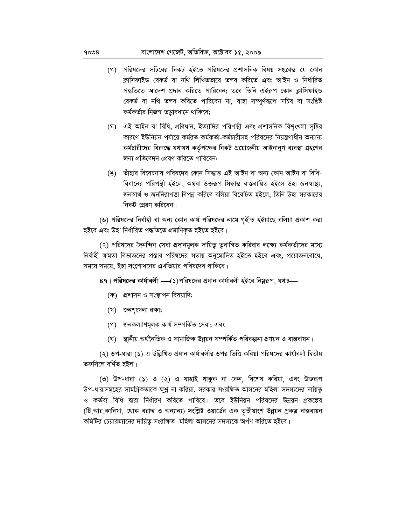- (গ) পরিষদের সচিবের নিকট হইতে পরিষদের প্রশাসনিক বিষয় সংক্রান্ত যে কোন ক্লাসিফাইড রেকর্ড বা নথি লিখিতভাবে তলব করিতে এবং আইন ও নির্ধারিত পদ্ধতিতে আদেশ প্রদান করিতে পারিবেন; তবে তিনি এইরূপ কোন ক্লাসিফাইড রেকর্ড বা নথি তলব করিতে পারিবেন না, যাহা সম্পূর্ণরূপে সচিব বা সংশ্লিষ্ট কর্মকর্তার নিজস্ব তত্তাবধানে থাকিবে:
- (ঘ) এই আইন বা বিধি, প্রবিধান, ইত্যাদির পরিপন্থী এবং প্রশাসনিক বিশৃংখলা সৃষ্টির কারণে ইউনিয়ন পর্যায়ে কর্মরত কর্মকর্তা-কর্মচারীসহ পরিষদের নিয়ন্ত্রণাধীন অন্যান্য কর্মচারীদের বিরুদ্ধে যথাযথ কর্তৃপক্ষের নিকট প্রয়োজনীয় আইনানুগ ব্যবস্থা গ্রহণের জন্য প্রতিবেদন প্রেরণ করিতে পারিবেন;
- (ঙ) তাঁহার বিবেচনায় পরিষদের কোন সিদ্ধান্ত এই আইন বা অন্য কোন আইন বা বিধি-বিধানের পরিপন্থী হইলে, অথবা উক্তরূপ সিদ্ধান্ত বাস্তবায়িত হইলে উহা জনস্বাস্থ্য, জনস্বার্থ ও জননিরাপত্তা বিপন্ন করিবে বলিয়া বিবেচিত হইলে, তিনি উহা সরকারের নিকট প্রেরণ করিবেন।

(৬) পরিষদের নির্বাহী বা অন্য কোন কার্য পরিষদের নামে গৃহীত হইয়াছে বলিয়া প্রকাশ করা হইবে এবং উহা নিৰ্ধারিত পদ্ধতিতে প্রমাণিকৃত হইতে হইবে।

(৭) পরিষদের দৈনন্দিন সেবা প্রদানমূলক দায়িতু তুরান্বিত করিবার লক্ষ্যে কর্মকর্তাদের মধ্যে নির্বাহী ক্ষমতা বিভাজনের প্রস্তাব পরিষদের সভায় অনুমোদিত হইতে হইবে এবং, প্রয়োজনবোধে, সময়ে সময়ে, ইহা সংশোধনের এখতিয়ার পরিষদের থাকিবে।

8৭। পরিষদের কার্যাবলী।—(১)পরিষদের প্রধান কার্যাবলী হইবে নিয়ুরূপ, যথাঃ—

- (ক) প্রশাসন ও সংস্থাপন বিষয়াদি;
- (খ) জনশৃংখলা রক্ষা;
- (গ) জনকল্যাণমূলক কার্য সম্পর্কিত সেবা; এবং
- (ঘ) স্থানীয় অর্থনৈতিক ও সামাজিক উন্নয়ন সম্পর্কিত পরিকল্পনা প্রণয়ন ও বাস্তবায়ন।

(২) উপ-ধারা (১) এ উল্লিখিত প্রধান কার্যাবলীর উপর ভিত্তি করিয়া পরিষদের কার্যাবলী দ্বিতীয় তফসিলে বৰ্ণিত হইল।

(৩) উপ-ধারা (১) ও (২) এ যাহাই থাকুক না কেন, বিশেষ করিয়া, এবং উক্তরূপ উপ-ধারাসমূহের সামগ্রিকতাকে ক্ষুণ্ণ না করিয়া, সরকার সংরক্ষিত আসনের মহিলা সদস্যদের দায়িত্ব ও কর্তব্য বিধি দ্বারা নির্ধারণ করিতে পারিবে। তবে ইউনিয়ন পরিষদের উন্নয়ন প্রকল্পের (টি,আর,কাবিখা, থোক বরাদ্দ ও অন্যান্য) সংশ্লিষ্ট ওয়ার্ডের এক তৃতীয়াংশ উন্নয়ন প্রকল্প বাস্তবায়ন কমিটির চেয়ারম্যানের দায়িতু সংরক্ষিত মহিলা আসনের সদস্যকে অর্পণ করিতে হইবে।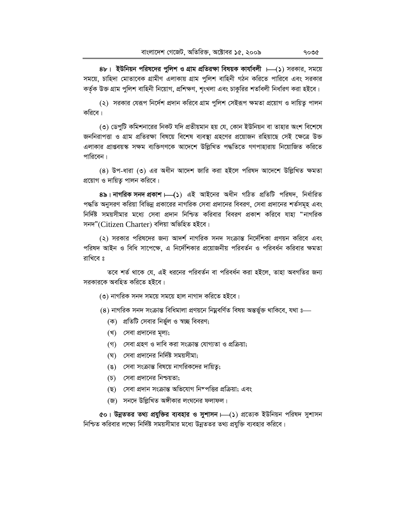8৮। ইউনিয়ন পরিষদের পুলিশ ও গ্রাম প্রতিরক্ষা বিষয়ক কার্যাবলী ।—(১) সরকার, সময়ে সময়ে, চাহিদা মোতাবেক গ্রামীণ এলাকায় গ্রাম পুলিশ বাহিনী গঠন করিতে পারিবে এবং সরকার কর্তৃক উক্ত গ্রাম পুলিশ বাহিনী নিয়োগ, প্রশিক্ষণ, শৃংখলা এবং চাকুরির শতবিলী নির্ধারণ করা হইবে।

(২) সরকার যেরূপ নির্দেশ প্রদান করিবে গ্রাম পুলিশ সেইরূপ ক্ষমতা প্রয়োগ ও দায়িতু পালন করিবে।

(৩) ডেপুটি কমিশনারের নিকট যদি প্রতীয়মান হয় যে, কোন ইউনিয়ন বা তাহার অংশ বিশেষে জননিরাপত্তা ও গ্রাম প্রতিরক্ষা বিষয়ে বিশেষ ব্যবস্থা গ্রহণের প্রয়োজন রহিয়াছে সেই ক্ষেত্রে উক্ত এলাকার প্রাপ্তবয়স্ক সক্ষম ব্যক্তিগণকে আদেশে উল্লিখিত পদ্ধতিতে গণপাহারায় নিয়োজিত করিতে পারিবেন।

(8) উপ-ধারা (৩) এর অধীন আদেশ জারি করা হইলে পরিষদ আদেশে উল্লিখিত ক্ষমতা প্রয়োগ ও দায়িত পালন করিবে।

8৯। নাগরিক সনদ প্রকাশ। (১) এই আইনের অধীন গঠিত প্রতিটি পরিষদ, নির্ধারিত পদ্ধতি অনুসরণ করিয়া বিভিন্ন প্রকারের নাগরিক সেবা প্রদানের বিবরণ, সেবা প্রদানের শর্তসমূহ এবং নির্দিষ্ট সময়সীমার মধ্যে সেবা প্রদান নিশ্চিত করিবার বিবরণ প্রকাশ করিবে যাহা "নাগরিক সনদ"(Citizen Charter) বলিয়া অভিহিত হইবে।

(২) সরকার পরিষদের জন্য আদর্শ নাগরিক সনদ সংক্রান্ত নির্দেশিকা প্রণয়ন করিবে এবং পরিষদ আইন ও বিধি সাপেক্ষে, এ নির্দেশিকার প্রয়োজনীয় পরিবর্তন ও পরিবর্ধন করিবার ক্ষমতা রাখিবে ঃ

তবে শর্ত থাকে যে, এই ধরনের পরিবর্তন বা পরিবর্ধন করা হইলে, তাহা অবগতির জন্য সরকারকে অবহিত করিতে হইবে।

(৩) নাগরিক সনদ সময়ে সময়ে হাল নাগাদ করিতে হইবে।

(৪) নাগরিক সনদ সংক্রান্ত বিধিমালা প্রণয়নে নিম্নবর্ণিত বিষয় অন্তর্ভুক্ত থাকিবে, যথা ঃ—

- (ক) প্রতিটি সেবার নির্ভুল ও স্বচ্ছ বিবরণ;
- (খ) সেবা প্রদানের মূল্য;
- (গ) সেবা গ্রহণ ও দাবি করা সংক্রান্ত যোগ্যতা ও প্রক্রিয়া;
- (ঘ) সেবা প্রদানের নির্দিষ্ট সময়সীমা;
- (ঙ) সেবা সংক্রান্ত বিষয়ে নাগরিকদের দায়িত্ব;
- (**চ) সেবা প্রদানের নিশ্চয়তা:**
- (ছ) সেবা প্রদান সংক্রান্ত অভিযোগ নিম্পত্তির প্রক্রিয়া; এবং
- (জ) সনদে উল্লিখিত অঙ্গীকার লংঘনের ফলাফল।

৫০। উন্নততর তথ্য প্রযুক্তির ব্যবহার ও সুশাসন – (১) প্রত্যেক ইউনিয়ন পরিষদ সুশাসন নিশ্চিত করিবার লক্ষ্যে নির্দিষ্ট সময়সীমার মধ্যে উন্নততর তথ্য প্রযুক্তি ব্যবহার করিবে।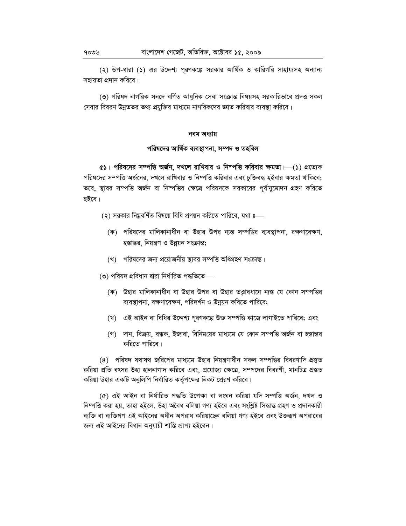(২) উপ-ধারা (১) এর উদ্দেশ্য পরণকল্পে সরকার আর্থিক ও কারিগরি সাহায্যসহ অন্যান্য সহায়তা প্রদান করিবে।

(৩) পরিষদ নাগরিক সনদে বর্ণিত আধুনিক সেবা সংক্রান্ত বিষয়সহ সরকারিভাবে প্রদত্ত সকল সেবার বিবরণ উন্নততর তথ্য প্রযুক্তির মাধ্যমে নাগরিকদের জ্ঞাত করিবার ব্যবস্থা করিবে।

#### নবম অধ্যায়

#### পরিষদের আর্থিক ব্যবস্থাপনা, সম্পদ ও তহবিল

 $\infty$  । পরিষদের সম্পত্তি অর্জন, দখলে রাখিবার ও নিম্পত্তি করিবার ক্ষমতা ।—(১) প্রত্যেক পরিষদের সম্পত্তি অর্জনের, দখলে রাখিবার ও নিষ্পত্তি করিবার এবং চুক্তিবদ্ধ হইবার ক্ষমতা থাকিবে; তবে, স্থাবর সম্পত্তি অর্জন বা নিষ্পত্তির ক্ষেত্রে পরিষদকে সরকারের পূর্বানুমোদন গ্রহণ করিতে হইবে।

- (২) সরকার নিয়বর্ণিত বিষয়ে বিধি প্রণয়ন করিতে পারিবে, যথা ঃ—
	- (ক) পরিষদের মালিকানাধীন বা উহার উপর ন্যস্ত সম্পত্তির ব্যবস্থাপনা, রক্ষণাবেক্ষণ, হস্তান্তর, নিয়ন্ত্রণ ও উন্নয়ন সংক্রান্ত;
	- (খ) পরিষদের জন্য প্রয়োজনীয় স্থাবর সম্পত্তি অধিগ্রহণ সংক্রান্ত।
- (৩) পরিষদ প্রবিধান দ্বারা নির্ধারিত পদ্ধতিতে—
	- (ক) উহার মালিকানাধীন বা উহার উপর বা উহার তত্ত্বাবধানে ন্যস্ত যে কোন সম্পত্তির ব্যবস্থাপনা, রক্ষণাবেক্ষণ, পরিদর্শন ও উন্নয়ন করিতে পারিবে;
	- (খ) এই আইন বা বিধির উদ্দেশ্য পূরণকল্পে উক্ত সম্পত্তি কাজে লাগাইতে পারিবে; এবং
	- (গ) দান, বিক্রয়, বন্ধক, ইজারা, বিনিময়ের মাধ্যমে যে কোন সম্পত্তি অর্জন বা হস্তান্তর করিতে পারিবে।

(৪) পরিষদ যথাযথ জরিপের মাধ্যমে উহার নিয়ন্ত্রণাধীন সকল সম্পত্তির বিবরণাদি প্রস্তুত করিয়া প্রতি বৎসর উহা হালনাগাদ করিবে এবং, প্রযোজ্য ক্ষেত্রে, সম্পদের বিবরণী, মানচিত্র প্রস্তত করিয়া উহার একটি অনুলিপি নির্ধারিত কর্তৃপক্ষের নিকট প্রেরণ করিবে।

(৫) এই আইন বা নিৰ্ধাৱিত পদ্ধতি উপেক্ষা বা লংঘন কৱিয়া যদি সম্পত্তি অৰ্জন, দখল ও নিষ্পত্তি করা হয়, তাহা হইলে, উহা অবৈধ বলিয়া গণ্য হইবে এবং সংশ্লিষ্ট সিদ্ধান্ত গ্রহণ ও প্রদানকারী ব্যক্তি বা ব্যক্তিগণ এই আইনের অধীন অপরাধ করিয়াছেন বলিয়া গণ্য হইবে এবং উক্তরূপ অপরাধের জন্য এই আইনের বিধান অনুযায়ী শাস্তি প্রাপ্য হইবেন।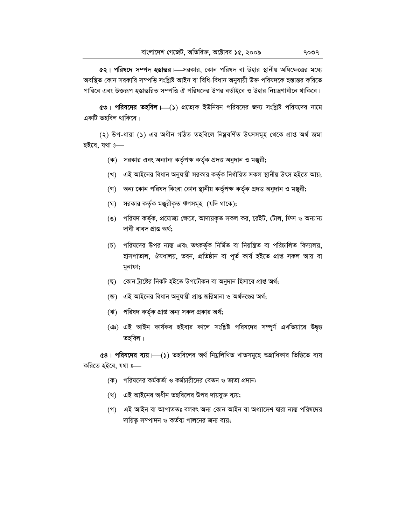৫২। পরিষদে সম্পদ হস্তান্তর – সরকার, কোন পরিষদ বা উহার স্থানীয় অধিক্ষেত্রের মধ্যে অবস্থিত কোন সরকারি সম্পত্তি সংশ্লিষ্ট আইন বা বিধি-বিধান অনুযায়ী উক্ত পরিষদকে হস্তান্তর করিতে পারিবে এবং উক্তরূপ হস্তান্তরিত সম্পত্তি ঐ পরিষদের উপর বর্তাইবে ও উহার নিয়ন্ত্রণাধীনে থাকিবে।

৫৩। পরিষদের তহবিল ।—(১) প্রত্যেক ইউনিয়ন পরিষদের জন্য সংশ্লিষ্ট পরিষদের নামে একটি তহবিল থাকিবে।

(২) উপ-ধারা (১) এর অধীন গঠিত তহবিলে নিম্নবর্ণিত উৎসসমূহ থেকে প্রাপ্ত অর্থ জমা হইবে. যথা ঃ—

- (ক) সরকার এবং অন্যান্য কর্তৃপক্ষ কর্তৃক প্রদত্ত অনুদান ও মঞ্জুরী;
- (খ) এই আইনের বিধান অনুযায়ী সরকার কর্তৃক নির্ধারিত সকল স্থানীয় উৎস হইতে আয়;
- (গ) অন্য কোন পরিষদ কিংবা কোন স্থানীয় কর্তৃপক্ষ কর্তৃক প্রদত্ত অনুদান ও মঞ্জুরী;
- (ঘ) সরকার কর্তৃক মঞ্জুরীকৃত ঋণসমূহ (যদি থাকে);
- (ঙ) পরিষদ কর্তৃক, প্রযোজ্য ক্ষেত্রে, আদায়কৃত সকল কর, রেইট, টোল, ফিস ও অন্যান্য দাবী বাবদ প্ৰাপ্ত অৰ্থ;
- (চ) পরিষদের উপর ন্যস্ত এবং তৎকর্তৃক নির্মিত বা নিয়ন্ত্রিত বা পরিচালিত বিদ্যালয়, হাসপাতাল, ঔষধালয়, ভবন, প্ৰতিষ্ঠান বা পূৰ্ত কাৰ্য হইতে প্ৰাপ্ত সকল আয় বা মুনাফা;
- (ছ) কোন ট্ৰাষ্টের নিকট হইতে উপঢৌকন বা অনুদান হিসাবে প্রাপ্ত অর্থ;
- (জ) এই আইনের বিধান অনুযায়ী প্রাপ্ত জরিমানা ও অর্থদণ্ডের অর্থ;
- (ঝ) পরিষদ কর্তৃক প্রাপ্ত অন্য সকল প্রকার অর্থ;
- (এঃ) এই আইন কার্যকর হইবার কালে সংশ্লিষ্ট পরিষদের সম্পূর্ণ এখতিয়ারে উদ্বত্ত তহবিল।

e8। পরিষদের ব্যয়  $\mapsto$  ) তহবিলের অর্থ নিয়ুলিখিত খাতসমূহে অগ্রাধিকার ভিত্তিতে ব্যয় করিতে হইবে, যথা ঃ—

- (ক) পরিষদের কর্মকর্তা ও কর্মচারীদের বেতন ও ভাতা প্রদান;
- (খ) এই আইনের অধীন তহবিলের উপর দায়যুক্ত ব্যয়;
- (গ) এই আইন বা আপাততঃ বলবৎ অন্য কোন আইন বা অধ্যাদেশ দ্বারা ন্যস্ত পরিষদের দায়িতু সম্পাদন ও কর্তব্য পালনের জন্য ব্যয়;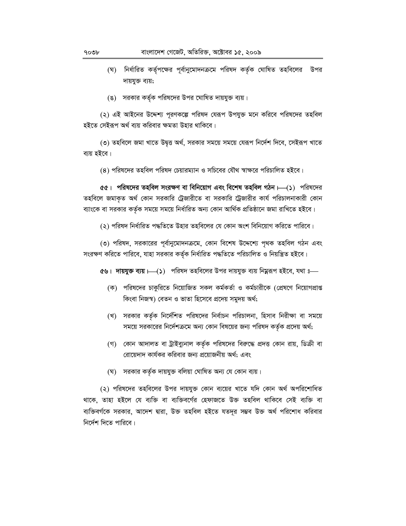- (ঘ) নির্ধারিত কর্তৃপক্ষের পূর্বানুমোদনক্রমে পরিষদ কর্তৃক ঘোষিত তহবিলের উপর দায়যুক্ত ব্যয়;
- (ঙ) সরকার কর্তৃক পরিষদের উপর ঘোষিত দায়যুক্ত ব্যয়।

(২) এই আইনের উদ্দেশ্য পূরণকল্পে পরিষদ যেরূপ উপযুক্ত মনে করিবে পরিষদের তহবিল হইতে সেইরূপ অর্থ ব্যয় করিবার ক্ষমতা উহার থাকিবে।

(৩) তহবিলে জমা খাতে উদ্বত্ত অৰ্থ, সরকার সময়ে সময়ে যেরূপ নির্দেশ দিবে, সেইরূপ খাতে ব্যয় হইবে।

(৪) পরিষদের তহবিল পরিষদ চেয়ারম্যান ও সচিবের যৌথ স্বাক্ষরে পরিচালিত হইবে।

৫৫। পরিষদের তহবিল সংরক্ষণ বা বিনিয়োগ এবং বিশেষ তহবিল গঠন।—(১) পরিষদের তহবিলে জমাকৃত অর্থ কোন সরকারি ট্রেজারীতে বা সরকারি ট্রেজারীর কার্য পরিচালনাকারী কোন ব্যাংকে বা সরকার কর্তৃক সময়ে সময়ে নির্ধারিত অন্য কোন আর্থিক প্রতিষ্ঠানে জমা রাখিতে হইবে।

(২) পরিষদ নির্ধারিত পদ্ধতিতে উহার তহবিলের যে কোন অংশ বিনিয়োগ করিতে পারিবে।

(৩) পরিষদ, সরকারের পূর্বানুমোদনক্রমে, কোন বিশেষ উদ্দেশ্যে পৃথক তহবিল গঠন এবং সংরক্ষণ করিতে পারিবে, যাহা সরকার কর্তৃক নির্ধারিত পদ্ধতিতে পরিচালিত ও নিয়ন্ত্রিত হইবে।

৫৬। দায়যুক্ত ব্যয় ।—(১) পরিষদ তহবিলের উপর দায়যুক্ত ব্যয় নিম্নরূপ হইবে, যথা ঃ—

- (ক) পরিষদের চাকুরিতে নিয়োজিত সকল কর্মকর্তা ও কর্মচারীকে (প্রেষণে নিয়োগপ্রাপ্ত কিংবা নিজস্ব) বেতন ও ভাতা হিসেবে প্রদেয় সমুদয় অর্থ;
- (খ) সরকার কর্তৃক নির্দেশিত পরিষদের নির্বাচন পরিচালনা, হিসাব নিরীক্ষা বা সময়ে সময়ে সরকারের নির্দেশক্রমে অন্য কোন বিষয়ের জন্য পরিষদ কর্তৃক প্রদেয় অর্থ;
- (গ) কোন আদালত বা ট্রাইব্যুনাল কর্তৃক পরিষদের বিরুদ্ধে প্রদত্ত কোন রায়, ডিক্রী বা রোয়েদাদ কার্যকর করিবার জন্য প্রয়োজনীয় অর্থ; এবং
- (ঘ) সরকার কর্তৃক দায়যুক্ত বলিয়া ঘোষিত অন্য যে কোন ব্যয়।

(২) পরিষদের তহবিলের উপর দায়যুক্ত কোন ব্যয়ের খাতে যদি কোন অর্থ অপরিশোধিত থাকে, তাহা হইলে যে ব্যক্তি বা ব্যক্তিবর্গের হেফাজতে উক্ত তহবিল থাকিবে সেই ব্যক্তি বা ব্যক্তিবর্গকে সরকার, আদেশ দ্বারা, উক্ত তহবিল হইতে যতদূর সম্ভব উক্ত অর্থ পরিশোধ করিবার নির্দেশ দিতে পারিবে।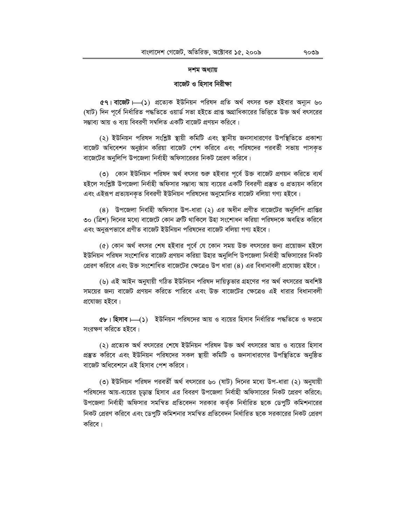#### দশম অধ্যায়

#### বাজেট ও হিসাব নিরীক্ষা

e । বাজেট ––(১) প্রত্যেক ইউনিয়ন পরিষদ প্রতি অর্থ বৎসর শুরু হইবার অন্যূন ৬০ (ষাট) দিন পূর্বে নির্ধারিত পদ্ধতিতে ওয়ার্ড সভা হইতে প্রাপ্ত অগ্রাধিকারের ভিত্তিতে উক্ত অর্থ বৎসরের সম্ভাব্য আয় ও ব্যয় বিবরণী সম্বলিত একটি বাজেট প্রণয়ন করিবে।

(২) ইউনিয়ন পরিষদ সংশ্লিষ্ট স্থায়ী কমিটি এবং স্থানীয় জনসাধারণের উপস্থিতিতে প্রকাশ্য বাজেট অধিবেশন অনুষ্ঠান করিয়া বাজেট পেশ করিবে এবং পরিষদের পরবর্তী সভায় পাসকৃত বাজেটের অনুলিপি উপজেলা নির্বাহী অফিসারেরর নিকট প্রেরণ করিবে।

(৩) কোন ইউনিয়ন পরিষদ অর্থ বৎসর শুরু হইবার পূর্বে উক্ত বাজেট প্রণয়ন করিতে ব্যর্থ হইলে সংশ্লিষ্ট উপজেলা নির্বাহী অফিসার সম্ভাব্য আয় ব্যয়ের একটি বিবরণী প্রস্তুত ও প্রত্যয়ন করিবে এবং এইরূপ প্রত্যয়নকৃত বিবরণী ইউনিয়ন পরিষদের অনুমোদিত বাজেট বলিয়া গণ্য হইবে।

(8) উপজেলা নির্বাহী অফিসার উপ-ধারা (২) এর অধীন প্রণীত বাজেটের অনুলিপি প্রাপ্তির ৩০ (ত্রিশ) দিনের মধ্যে বাজেটে কোন ক্রটি থাকিলে উহা সংশোধন করিয়া পরিষদকে অবহিত করিবে এবং অনুরূপভাবে প্রণীত বাজেট ইউনিয়ন পরিষদের বাজেট বলিয়া গণ্য হইবে।

(৫) কোন অর্থ বৎসর শেষ হইবার পূর্বে যে কোন সময় উক্ত বৎসরের জন্য প্রয়োজন হইলে ইউনিয়ন পরিষদ সংশোধিত বাজেট প্রণয়ন করিয়া উহার অনুলিপি উপজেলা নির্বাহী অফিসারের নিকট প্রেরণ করিবে এবং উক্ত সংশোধিত বাজেটের ক্ষেত্রেও উপ ধারা (৪) এর বিধানাবলী প্রযোজ্য হইবে।

(৬) এই আইন অনুযায়ী গঠিত ইউনিয়ন পরিষদ দায়িতৃভার গ্রহণের পর অর্থ বৎসরের অবশিষ্ট সময়ের জন্য বাজেট প্রণয়ন করিতে পারিবে এবং উক্ত বাজেটের ক্ষেত্রেও এই ধারার বিধানাবলী প্রযোজ্য হইবে।

 $\alpha$ ৮। হিসাব  $\longmapsto$   $\cdots$  ইউনিয়ন পরিষদের আয় ও ব্যয়ের হিসাব নির্ধারিত পদ্ধতিতে ও ফরমে সংরক্ষণ করিতে হইবে।

(২) প্রত্যেক অর্থ বৎসরের শেষে ইউনিয়ন পরিষদ উক্ত অর্থ বৎসরের আয় ও ব্যয়ের হিসাব প্রস্তুত করিবে এবং ইউনিয়ন পরিষদের সকল স্থায়ী কমিটি ও জনসাধারণের উপস্থিতিতে অনুষ্ঠিত বাজেট অধিবেশনে এই হিসাব পেশ করিবে।

(৩) ইউনিয়ন পরিষদ পরবর্তী অর্থ বৎসরের ৬০ (ষাট) দিনের মধ্যে উপ-ধারা (২) অনুযায়ী পরিষদের আয়-ব্যয়ের চূড়ান্ত হিসাব এর বিবরণ উপজেলা নির্বাহী অফিসারের নিকট প্রেরণ করিবে; উপজেলা নির্বাহী অফিসার সমন্বিত প্রতিবেদন সরকার কর্তৃক নির্ধারিত ছকে ডেপুটি কমিশনারের নিকট প্রেরণ করিবে এবং ডেপুটি কমিশনার সমস্বিত প্রতিবেদন নির্ধারিত ছকে সরকারের নিকট প্রেরণ করিবে।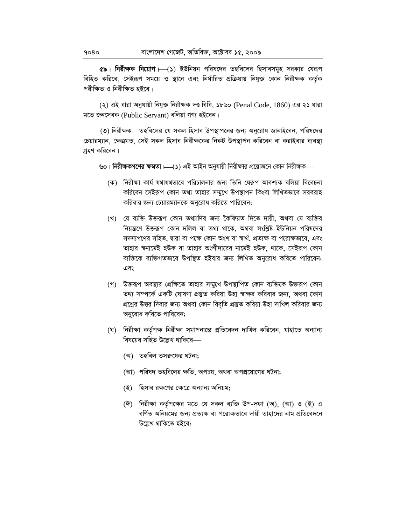৫৯। নিরীক্ষক নিয়োগ  $\longmapsto$  ১) ইউনিয়ন পরিষদের তহবিলের হিসাবসমূহ সরকার যেরূপ বিহিত করিবে, সেইরূপ সময়ে ও স্থানে এবং নির্ধারিত প্রক্রিয়ায় নিযুক্ত কোন নিরীক্ষক কর্তৃক পরীক্ষিত ও নিরীক্ষিত হইবে।

(২) এই ধারা অনুযায়ী নিযুক্ত নিরীক্ষক দণ্ড বিধি, ১৮৬০ (Penal Code, 1860) এর ২১ ধারা মতে জনসেবক (Public Servant) বলিয়া গণ্য হইবেন।

(৩) নিরীক্ষক তহবিলের যে সকল হিসাব উপস্থাপনের জন্য অনুরোধ জানাইবেন, পরিষদের চেয়ারম্যান, ক্ষেত্রমত, সেই সকল হিসাব নিরীক্ষকের নিকট উপস্থাপন করিবেন বা করাইবার ব্যবস্থা গ্ৰহণ করিবেন।

৬০। নিরীক্ষকগণের ক্ষমতা ।—(১) এই আইন অনুযায়ী নিরীক্ষার প্রয়োজনে কোন নিরীক্ষক—

- (ক) নিরীক্ষা কার্য যথাযথভাবে পরিচালনার জন্য তিনি যেরূপ আবশ্যক বলিয়া বিবেচনা করিবেন সেইরূপ কোন তথ্য তাহার সম্মুখে উপস্থাপন কিংবা লিখিতভাবে সরবরাহ করিবার জন্য চেয়ারম্যানকে অনুরোধ করিতে পারিবেন;
- (খ) যে ব্যক্তি উক্তরূপ কোন তথ্যাদির জন্য কৈফিয়ত দিতে দায়ী, অথবা যে ব্যক্তির নিয়ন্ত্রণে উক্তরূপ কোন দলিল বা তথ্য থাকে, অথবা সংশ্লিষ্ট ইউনিয়ন পরিষদের সদস্যগণের সহিত, দ্বারা বা পক্ষে কোন অংশ বা স্বার্থ, প্রত্যক্ষ বা পরোক্ষভাবে, এবং তাহার স্বনামেই হউক বা তাহার অংশীদারের নামেই হউক, থাকে, সেইরূপ কোন ব্যক্তিকে ব্যক্তিগতভাবে উপস্থিত হইবার জন্য লিখিত অনুরোধ করিতে পারিবেন; এবং
- (গ) উক্তরূপ অবস্থার প্রেক্ষিতে তাহার সম্মুখে উপস্থাপিত কোন ব্যক্তিকে উক্তরূপ কোন তথ্য সম্পর্কে একটি ঘোষণা প্রস্তুত করিয়া উহা স্বাক্ষর করিবার জন্য, অথবা কোন প্রশ্নের উত্তর দিবার জন্য অথবা কোন বিবৃতি প্রস্তুত করিয়া উহা দাখিল করিবার জন্য অনুরোধ করিতে পারিবেন;
- (ঘ) নিরীক্ষা কর্তৃপক্ষ নিরীক্ষা সমাপনান্তে প্রতিবেদন দাখিল করিবেন, যাহাতে অন্যান্য বিষয়ের সহিত উল্লেখ থাকিবে—
	- (অ) তহবিল তসরুফের ঘটনা;
	- (আ) পরিষদ তহবিলের ক্ষতি, অপচয়, অথবা অপপ্রয়োগের ঘটনা;
	- (ই) হিসাব রক্ষণের ক্ষেত্রে অন্যান্য অনিয়ম;
	- (ঈ) নিরীক্ষা কর্তৃপক্ষের মতে যে সকল ব্যক্তি উপ-দফা (অ), (আ) ও (ই) এ বর্ণিত অনিয়মের জন্য প্রত্যক্ষ বা পরোক্ষভাবে দায়ী তাহাদের নাম প্রতিবেদনে উল্লেখ থাকিতে হইবে;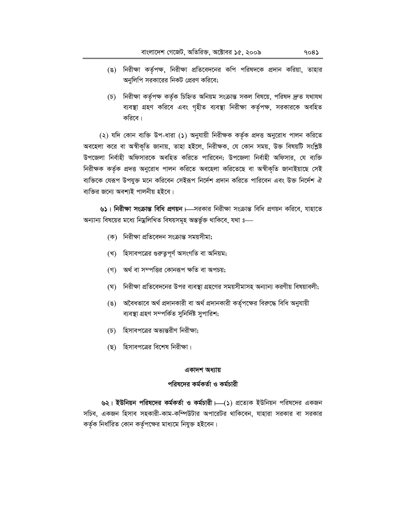- (ঙ) নিরীক্ষা কর্তৃপক্ষ, নিরীক্ষা প্রতিবেদনের কপি পরিষদকে প্রদান করিয়া, তাহার অনুলিপি সরকারের নিকট প্রেরণ করিবে;
- (চ) নিরীক্ষা কর্তৃপক্ষ কর্তৃক চিহ্নিত অনিয়ম সংক্রান্ত সকল বিষয়ে, পরিষদ দ্রুত যথাযথ ব্যবস্থা গ্রহণ করিবে এবং গৃহীত ব্যবস্থা নিরীক্ষা কর্তৃপক্ষ, সরকারকে অবহিত করিবে।

(২) যদি কোন ব্যক্তি উপ-ধারা (১) অনুযায়ী নিরীক্ষক কর্তৃক প্রদত্ত অনুরোধ পালন করিতে অবহেলা করে বা অস্বীকৃতি জানায়, তাহা হইলে, নিরীক্ষক, যে কোন সময়, উক্ত বিষয়টি সংশ্লিষ্ট উপজেলা নির্বাহী অফিসারকে অবহিত করিতে পারিবেন; উপজেলা নির্বাহী অফিসার, যে ব্যক্তি নিরীক্ষক কর্তৃক প্রদত্ত অনুরোধ পালন করিতে অবহেলা করিতেছে বা অস্বীকৃতি জানাইয়াছে সেই ব্যক্তিকে যেরূপ উপযুক্ত মনে করিবেন সেইরূপ নির্দেশ প্রদান করিতে পারিবেন এবং উক্ত নির্দেশ ঐ ব্যক্তির জন্যে অবশ্যই পালনীয় হইবে।

৬১। নিরীক্ষা সংক্রান্ত বিধি প্রণয়ন। - সরকার নিরীক্ষা সংক্রান্ত বিধি প্রণয়ন করিবে, যাহাতে অন্যান্য বিষয়ের মধ্যে নিম্নলিখিত বিষয়সমূহ অন্তর্ভুক্ত থাকিবে, যথা ঃ—

- (ক) নিরীক্ষা প্রতিবেদন সংক্রান্ত সময়সীমা;
- (খ) হিসাবপত্রের গুরুতুপূর্ণ অসংগতি বা অনিয়ম;
- (গ) অর্থ বা সম্পত্তির কোনরূপ ক্ষতি বা অপচয়;
- (ঘ) নিরীক্ষা প্রতিবেদনের উপর ব্যবস্থা গ্রহণের সময়সীমাসহ অন্যান্য করণীয় বিষয়াবলী;
- (ঙ) অবৈধভাবে অর্থ প্রদানকারী বা অর্থ প্রদানকারী কর্তৃপক্ষের বিরুদ্ধে বিধি অনুযায়ী ব্যবস্থা গ্ৰহণ সম্পৰ্কিত সুনিৰ্দিষ্ট সুপাৱিশ;
- (চ) হিসাবপত্রের অভ্যন্তরীণ নিরীক্ষা;
- (ছ) হিসাবপত্রের বিশেষ নিরীক্ষা।

#### একাদশ অধ্যায়

#### পরিষদের কর্মকর্তা ও কর্মচারী

৬২। ইউনিয়ন পরিষদের কর্মকর্তা ও কর্মচারী । (১) প্রত্যেক ইউনিয়ন পরিষদের একজন সচিব, একজন হিসাব সহকারী-কাম-কম্পিউটার অপারেটর থাকিবেন, যাহারা সরকার বা সরকার কর্তৃক নির্ধারিত কোন কর্তৃপক্ষের মাধ্যমে নিযুক্ত হইবেন।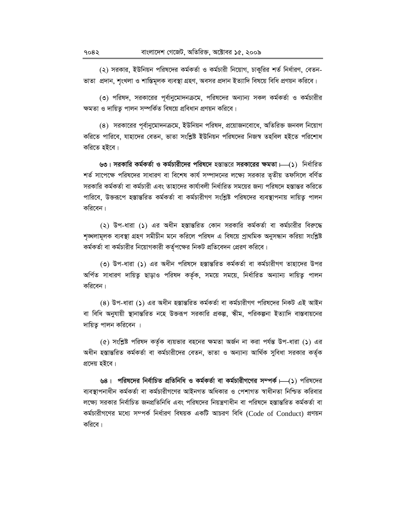(২) সরকার, ইউনিয়ন পরিষদের কর্মকর্তা ও কর্মচারী নিয়োগ, চাকুরির শর্ত নির্ধারণ, বেতন-ভাতা প্রদান, শৃংখলা ও শাস্তিমূলক ব্যবস্থা গ্রহণ, অবসর প্রদান ইত্যাদি বিষয়ে বিধি প্রণয়ন করিবে।

(৩) পরিষদ, সরকারের পূর্বানুমোদনক্রমে, পরিষদের অন্যান্য সকল কর্মকর্তা ও কর্মচারীর ক্ষমতা ও দায়িত্ব পালন সম্পর্কিত বিষয়ে প্রবিধান প্রণয়ন করিবে।

(৪) সরকারের পূর্বানুমোদনক্রমে, ইউনিয়ন পরিষদ, প্রয়োজনবোধে, অতিরিক্ত জনবল নিয়োগ করিতে পারিবে, যাহাদের বেতন, ভাতা সংশ্লিষ্ট ইউনিয়ন পরিষদের নিজস্ব তহবিল হইতে পরিশোধ করিতে হইবে।

৬৩। সরকারি কর্মকর্তা ও কর্মচারীদের পরিষদে হস্তান্তরে সরকারের ক্ষমতা।—(১) নির্ধারিত শর্ত সাপেক্ষে পরিষদের সাধারণ বা বিশেষ কার্য সম্পাদনের লক্ষ্যে সরকার তৃতীয় তফসিলে বর্ণিত সরকারি কর্মকর্তা বা কর্মচারী এবং তাহাদের কার্যাবলী নির্ধারিত সময়ের জন্য পরিষদে হস্তান্তর করিতে পারিবে, উক্তরূপে হস্তান্তরিত কর্মকর্তা বা কর্মচারীগণ সংশ্লিষ্ট পরিষদের ব্যবস্থাপনায় দায়িত্ব পালন করিবেন।

(২) উপ-ধারা (১) এর অধীন হস্তান্তরিত কোন সরকারি কর্মকর্তা বা কর্মচারীর বিরুদ্ধে শৃঙ্খলামূলক ব্যবস্থা গ্রহণ সমীচীন মনে করিলে পরিষদ এ বিষয়ে প্রাথমিক অনুসন্ধান করিয়া সংশ্লিষ্ট কর্মকর্তা বা কর্মচারীর নিয়োগকারী কর্তৃপক্ষের নিকট প্রতিবেদন প্রেরণ করিবে।

(৩) উপ-ধারা (১) এর অধীন পরিষদে হস্তান্তরিত কর্মকর্তা বা কর্মচারীগণ তাহাদের উপর অৰ্পিত সাধারণ দায়িত্ব ছাড়াও পরিষদ কর্তৃক, সময়ে সময়ে, নির্ধারিত অন্যান্য দায়িত্ব পালন করিবেন।

(8) উপ-ধারা (১) এর অধীন হস্তান্তরিত কর্মকর্তা বা কর্মচারীগণ পরিষদের নিকট এই আইন বা বিধি অনুযায়ী স্থানান্তরিত নহে উক্তরূপ সরকারি প্রকল্প, স্কীম, পরিকল্পনা ইত্যাদি বাস্তবায়নের দায়িত্ব পালন করিবেন ।

(৫) সংশ্লিষ্ট পরিষদ কর্তৃক ব্যয়ভার বহনের ক্ষমতা অর্জন না করা পর্যন্ত উপ-ধারা (১) এর অধীন হস্তান্তরিত কর্মকর্তা বা কর্মচারীদের বেতন, ভাতা ও অন্যান্য আর্থিক সুবিধা সরকার কর্তৃক প্রদেয় হইবে।

৬৪। পরিষদের নির্বাচিত প্রতিনিধি ও কর্মকর্তা বা কর্মচারীগণের সম্পর্ক।—(১) পরিষদের ব্যবস্থাপনাধীন কৰ্মকৰ্তা বা কৰ্মচারীগণের আইনগত অধিকার ও পেশাগত স্বাধীনতা নিশ্চিত করিবার লক্ষ্যে সরকার নির্বাচিত জনপ্রতিনিধি এবং পরিষদের নিয়ন্ত্রণাধীন বা পরিষদে হস্তান্তরিত কর্মকর্তা বা কর্মচারীগণের মধ্যে সম্পর্ক নির্ধারণ বিষয়ক একটি আচরণ বিধি (Code of Conduct) প্রণয়ন করিবে।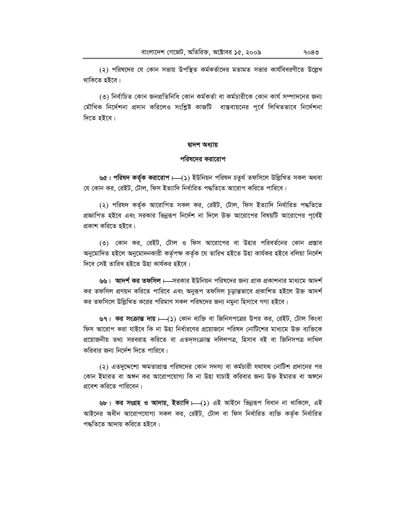(২) পরিষদের যে কোন সভায় উপস্থিত কর্মকর্তাদের মতামত সভার কার্যবিবরণীতে উল্লেখ থাকিতে হইবে।

(৩) নিৰ্বাচিত কোন জনপ্ৰতিনিধি কোন কৰ্মকৰ্তা বা কৰ্মচারীকে কোন কাৰ্য সম্পাদনের জন্য মৌখিক নির্দেশনা প্রদান করিলেও সংশ্লিষ্ট কাজটি বাস্তবায়নের পূর্বে লিখিতভাবে নির্দেশনা দিতে হইবে।

#### দ্বাদশ অধ্যায়

#### পরিষদের করারোপ

৬৫। পরিষদ কর্তৃক করারোপ।—(১) ইউনিয়ন পরিষদ চতুর্থ তফসিলে উল্লিখিত সকল অথবা যে কোন কর, রেইট, টোল, ফিস ইত্যাদি নির্ধারিত পদ্ধতিতে আরোপ করিতে পারিবে।

(২) পরিষদ কর্তৃক আরোপিত সকল কর, রেইট, টোল, ফিস ইত্যাদি নির্ধারিত পদ্ধতিতে প্রজ্ঞাপিত হইবে এবং সরকার ভিন্নরূপ নির্দেশ না দিলে উক্ত আরোপের বিষয়টি আরোপের পূর্বেই প্রকাশ করিতে হইবে।

(৩) কোন কর, রেইট, টোল ও ফিস আরোপের বা উহার পরিবর্তনের কোন প্রস্তাব অনুমোদিত হইলে অনুমোদনকারী কর্তৃপক্ষ কর্তৃক যে তারিখ হইতে উহা কার্যকর হইবে বলিয়া নির্দেশ দিবে সেই তারিখ হইতে উহা কার্যকর হইবে।

৬৬। আদর্শ কর তফসিল।—সরকার ইউনিয়ন পরিষদের জন্য প্রাক প্রকাশনার মাধ্যমে আদর্শ কর তফসিল প্রণয়ন করিতে পারিবে এবং অনুরূপ তফসিল চূড়ান্তভাবে প্রকাশিত হইলে উক্ত আদর্শ কর তফসিলে উল্লিখিত করের পরিমাণ সকল পরিষদের জন্য নমুনা হিসাবে গণ্য হইবে।

৬৭। কর সংক্রান্ত দায়। (১) কোন ব্যক্তি বা জিনিসপত্রের উপর কর, রেইট, টোল কিংবা ফিস আরোপ করা যাইবে কি না উহা নির্ধারণের প্রয়োজনে পরিষদ নোটিশের মাধ্যমে উক্ত ব্যক্তিকে প্রয়োজনীয় তথ্য সরবরাহ করিতে বা এতদৃসংক্রান্ত দলিলপত্র, হিসাব বই বা জিনিসপত্র দাখিল করিবার জন্য নির্দেশ দিতে পারিবে।

(২) এতদুদ্দেশ্যে ক্ষমতাপ্রাপ্ত পরিষদের কোন সদস্য বা কর্মচারী যথাযথ নোটিশ প্রদানের পর কোন ইমারত বা অঙ্গন কর আরোপযোগ্য কি না উহা যাচাই করিবার জন্য উক্ত ইমারত বা অঙ্গনে প্রবেশ করিতে পারিবেন।

৬৮। কর সংগ্রহ ও আদায়, ইত্যাদি । (১) এই আইনে ভিন্নরূপ বিধান না থাকিলে, এই আইনের অধীন আরোপযোগ্য সকল কর, রেইট, টোল বা ফিস নির্ধারিত ব্যক্তি কর্তৃক নির্ধারিত পদ্ধতিতে আদায় করিতে হইবে।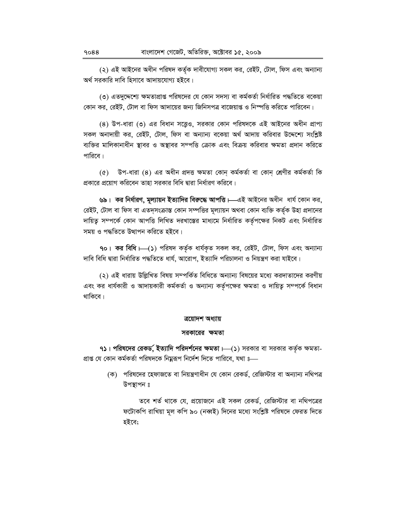(২) এই আইনের অধীন পরিষদ কর্তৃক দাবীযোগ্য সকল কর, রেইট, টোল, ফিস এবং অন্যান্য অর্থ সরকারি দাবি হিসাবে আদায়যোগ্য হইবে।

(৩) এতদুদ্দেশ্যে ক্ষমতাপ্রাপ্ত পরিষদের যে কোন সদস্য বা কর্মকর্তা নির্ধারিত পদ্ধতিতে বকেয়া কোন কর, রেইট, টোল বা ফিস আদায়ের জন্য জিনিসপত্র বাজেয়াপ্ত ও নিস্পত্তি করিতে পারিবেন।

(8) উপ-ধারা (৩) এর বিধান সত্তেও, সরকার কোন পরিষদকে এই আইনের অধীন প্রাপ্য সকল অনাদায়ী কর, রেইট, টোল, ফিস বা অন্যান্য বকেয়া অর্থ আদায় করিবার উদ্দেশ্যে সংশ্লিষ্ট ব্যক্তির মালিকানাধীন স্থাবর ও অস্থাবর সম্পত্তি ক্রোক এবং বিক্রয় করিবার ক্ষমতা প্রদান করিতে পারিবে।

(৫) উপ-ধারা (৪) এর অধীন প্রদত্ত ক্ষমতা কোন কর্মকর্তা বা কোন শ্রেণীর কর্মকর্তা কি প্রকারে প্রয়োগ করিবেন তাহা সরকার বিধি দ্বারা নির্ধারণ করিবে।

৬৯। কর নির্ধারণ, মূল্যায়ন ইত্যাদির বিরুদ্ধে আপত্তি।—এই আইনের অধীন ধার্য কোন কর, রেইট, টোল বা ফিস বা এতদ্সংক্রান্ত কোন সম্পত্তির মূল্যায়ন অথবা কোন ব্যক্তি কর্তৃক উহা প্রদানের দায়িত্ব সম্পর্কে কোন আপত্তি লিখিত দরখাস্তের মাধ্যমে নির্ধারিত কর্তৃপক্ষের নিকট এবং নির্ধারিত সময় ও পদ্ধতিতে উত্থাপন করিতে হইবে।

90। কর বিধি । (১) পরিষদ কর্তৃক ধার্যকৃত সকল কর, রেইট, টোল, ফিস এবং অন্যান্য দাবি বিধি দ্বারা নির্ধারিত পদ্ধতিতে ধার্য, আরোপ, ইত্যাদি পরিচালনা ও নিয়ন্ত্রণ করা যাইবে।

(২) এই ধারায় উল্লিখিত বিষয় সম্পর্কিত বিধিতে অন্যান্য বিষয়ের মধ্যে করদাতাদের করণীয় এবং কর ধার্যকারী ও আদায়কারী কর্মকর্তা ও অন্যান্য কর্তৃপক্ষের ক্ষমতা ও দায়িত্ব সম্পর্কে বিধান থাকিবে।

#### ত্ৰয়োদশ অধ্যায়

#### সরকারের ক্ষমতা

৭১। পরিষদের রেকর্ড, ইত্যাদি পরিদর্শনের ক্ষমতা।  $-($ ১) সরকার বা সরকার কর্তৃক ক্ষমতা-প্রাপ্ত যে কোন কর্মকর্তা পরিষদকে নিয়ুরূপ নির্দেশ দিতে পারিবে, যথা ঃ—

> (ক) পরিষদের হেফাজতে বা নিয়ন্ত্রণাধীন যে কোন রেকর্ড, রেজিস্টার বা অন্যান্য নথিপত্র উপস্থাপন ঃ

তবে শর্ত থাকে যে, প্রয়োজনে এই সকল রেকর্ড, রেজিস্টার বা নথিপত্রের ফটোকপি রাখিয়া মূল কপি ৯০ (নব্বই) দিনের মধ্যে সংশ্লিষ্ট পরিষদে ফেরত দিতে হইবে;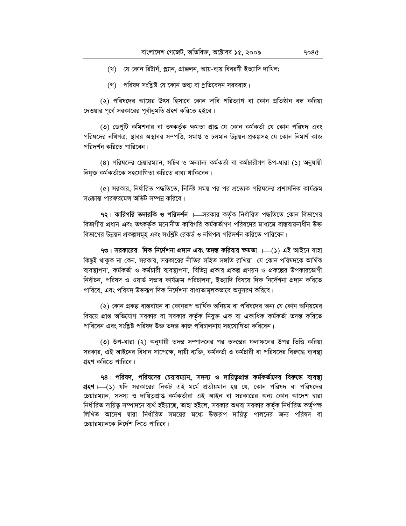(গ) পরিষদ সংশ্লিষ্ট যে কোন তথ্য বা প্রতিবেদন সরবরাহ।

(২) পরিষদের আয়ের উৎস হিসাবে কোন দাবি পরিত্যাগ বা কোন প্রতিষ্ঠান বন্ধ করিয়া দেওয়ার পূর্বে সরকারের পূর্বানুমতি গ্রহণ করিতে হইবে।

(৩) ডেপুটি কমিশনার বা তৎকর্তৃক ক্ষমতা প্রাপ্ত যে কোন কর্মকর্তা যে কোন পরিষদ এবং পরিষদের নথিপত্র, স্থাবর অস্থাবর সম্পত্তি, সমাপ্ত ও চলমান উন্নয়ন প্রকল্পসহ যে কোন নিমার্ণ কাজ পরিদর্শন করিতে পারিবেন।

(8) পরিষদের চেয়ারম্যান, সচিব ও অন্যান্য কর্মকর্তা বা কর্মচারীগণ উপ-ধারা (১) অনুযায়ী নিযুক্ত কৰ্মকৰ্তাকে সহযোগিতা করিতে বাধ্য থাকিবেন।

(৫) সরকার, নির্ধারিত পদ্ধতিতে, নির্দিষ্ট সময় পর পর প্রত্যেক পরিষদের প্রশাসনিক কার্যক্রম সংক্রান্ত পারফরমেন্স অডিট সম্পন্ন করিবে।

৭২। কারিগরি তদারকি ও পরিদর্শন ।—সরকার কর্তৃক নির্ধারিত পদ্ধতিতে কোন বিভাগের বিভাগীয় প্রধান এবং তৎকর্তৃক মনোনীত কারিগরি কর্মকর্তাগণ পরিষদের মাধ্যমে বাস্তবায়নাধীন উক্ত বিভাগের উন্নয়ন প্রকল্পসমূহ এবং সংশ্লিষ্ট রেকর্ড ও নথিপত্র পরিদর্শন করিতে পারিবেন।

৭৩। সরকারের দিক নির্দেশনা প্রদান এবং তদন্ত করিবার ক্ষমতা ।—(১) এই আইনে যাহা কিছুই থাকুক না কেন, সরকার, সরকারের নীতির সহিত সঙ্গতি রাখিয়া যে কোন পরিষদকে আর্থিক ব্যবস্থাপনা, কর্মকর্তা ও কর্মচারী ব্যবস্থাপনা, বিভিন্ন প্রকার প্রকল্প প্রণয়ন ও প্রকল্পের উপকারভোগী নির্বাচন, পরিষদ ও ওয়ার্ড সভার কার্যক্রম পরিচালনা, ইত্যাদি বিষয়ে দিক নির্দেশনা প্রদান করিতে পারিবে, এবং পরিষদ উক্তরূপ দিক নির্দেশনা বাধ্যতামূলকভাবে অনুসরণ করিবে।

(২) কোন প্রকল্প বাস্তবায়ন বা কোনরূপ আর্থিক অনিয়ম বা পরিষদের অন্য যে কোন অনিয়মের বিষয়ে প্রাপ্ত অভিযোগ সরকার বা সরকার কর্তৃক নিযুক্ত এক বা একাধিক কর্মকর্তা তদন্ত করিতে পারিবেন এবং সংশ্লিষ্ট পরিষদ উক্ত তদন্ত কাজ পরিচালনায় সহযোগিতা করিবেন।

৩) উপ-ধারা (২) অনুযায়ী তদন্ত সম্পাদনের পর তদন্তের ফলাফলের উপর ভিত্তি করিয়া সরকার, এই আইনের বিধান সাপেক্ষে, দায়ী ব্যক্তি, কর্মকর্তা ও কর্মচারী বা পরিষদের বিরুদ্ধে ব্যবস্থা গ্রহণ করিতে পারিবে।

৭৪। পরিষদ, পরিষদের চেয়ারম্যান, সদস্য ও দায়িত্বপ্রাপ্ত কর্মকর্তাদের বিরুদ্ধে ব্যবস্থা **গ্রহণ** ৮—(১) যদি সরকারের নিকট এই মর্মে প্রতীয়মান হয় যে, কোন পরিষদ বা পরিষদের চেয়ারম্যান, সদস্য ও দায়িতুপ্রাপ্ত কর্মকর্তারা এই আইন বা সরকারের অন্য কোন আদেশ দ্বারা নির্ধারিত দায়িত্ব সম্পাদনে ব্যর্থ হইয়াছে, তাহা হইলে, সরকার অথবা সরকার কর্তৃক নির্ধারিত কর্তৃপক্ষ লিখিত আদেশ দ্বারা নির্ধারিত সময়ের মধ্যে উক্তরূপ দায়িত্ব পালনের জন্য পরিষদ বা চেয়ারম্যানকে নির্দেশ দিতে পারিবে।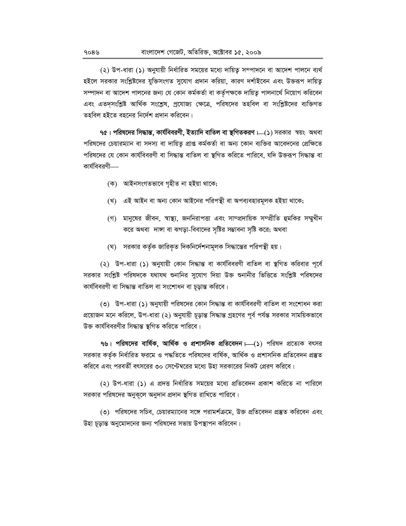(২) উপ-ধারা (১) অনুযায়ী নির্ধারিত সময়ের মধ্যে দায়িত্ব সম্পাদনে বা আদেশ পালনে ব্যর্থ হইলে সরকার সংশ্লিষ্টদের যুক্তিসংগত সুযোগ প্রদান করিয়া, কারণ দর্শাইবেন এবং উক্তরূপ দায়িতু সম্পাদন বা আদেশ পালনের জন্য যে কোন কর্মকর্তা বা কর্তৃপক্ষকে দায়িত্ব পালনার্থে নিয়োগ করিবেন এবং এতদ্সংশ্লিষ্ট আর্থিক সংশ্লেষ, প্রযোজ্য ক্ষেত্রে, পরিষদের তহবিল বা সংশ্লিষ্টদের ব্যক্তিগত তহবিল হইতে বহনের নির্দেশ প্রদান করিবেন।

৭৫। পরিষদের সিদ্ধান্ত, কার্যবিবরণী, ইত্যাদি বাতিল বা স্থগিতকরণ । (১) সরকার স্বয়ং অথবা পরিষদের চেয়ারম্যান বা সদস্য বা দায়িত্ব প্রাপ্ত কর্মকর্তা বা অন্য কোন ব্যক্তির আবেদনের প্রেক্ষিতে পরিষদের যে কোন কার্যবিবরণী বা সিদ্ধান্ত বাতিল বা স্থগিত করিতে পারিবে, যদি উক্তরূপ সিদ্ধান্ত বা কার্যবিবরণী—

- (ক) আইনসংগতভাবে গৃহীত না হইয়া থাকে;
- (খ) এই আইন বা অন্য কোন আইনের পরিপন্থী বা অপব্যবহারমূলক হইয়া থাকে;
- (গ) মানুষের জীবন, স্বাস্থ্য, জননিরাপত্তা এবং সাম্প্রদায়িক সম্প্রীতি হুমকির সম্মুখীন করে অথবা দাঙ্গা বা ঝগড়া-বিবাদের সৃষ্টির সম্ভাবনা সৃষ্টি করে; অথবা
- (ঘ) সরকার কর্তৃক জারিকৃত দিকনির্দেশনামূলক সিদ্ধান্তের পরিপন্থী হয়।

(২) উপ-ধারা (১) অনুযায়ী কোন সিদ্ধান্ত বা কার্যবিবরণী বাতিল বা স্থগিত করিবার পূর্বে সরকার সংশ্লিষ্ট পরিষদকে যথাযথ শুনানির সুযোগ দিয়া উক্ত শুনানীর ভিত্তিতে সংশ্লিষ্ট পরিষদের কাৰ্যবিবরণী বা সিদ্ধান্ত বাতিল বা সংশোধন বা চূড়ান্ত করিবে।

(৩) উপ-ধারা (১) অনুযায়ী পরিষদের কোন সিদ্ধান্ত বা কার্যবিবরণী বাতিল বা সংশোধন করা প্রয়োজন মনে করিলে, উপ-ধারা (২) অনুযায়ী চূড়ান্ত সিদ্ধান্ত গ্রহণের পূর্ব পর্যন্ত সরকার সাময়িকভাবে উক্ত কাৰ্যবিবরণীর সিদ্ধান্ত স্থগিত করিতে পারিবে।

৭৬। পরিষদের বার্ষিক, আর্থিক ও প্রশাসনিক প্রতিবেদন।—(১) পরিষদ প্রত্যেক বৎসর সরকার কর্তৃক নির্ধারিত ফরমে ও পদ্ধতিতে পরিষদের বার্ষিক, আর্থিক ও প্রশাসনিক প্রতিবেদন প্রস্তুত করিবে এবং পরবর্তী বৎসরের ৩০ সেপ্টেম্বরের মধ্যে উহা সরকারের নিকট প্রেরণ করিবে।

(২) উপ-ধারা (১) এ প্রদত্ত নির্ধারিত সময়ের মধ্যে প্রতিবেদন প্রকাশ করিতে না পারিলে সরকার পরিষদের অনুকূলে অনুদান প্রদান স্থগিত রাখিতে পারিবে।

(৩) পরিষদের সচিব, চেয়ারম্যানের সঙ্গে পরামর্শক্রমে, উক্ত প্রতিবেদন প্রস্তুত করিবেন এবং উহা চূড়ান্ত অনুমোদনের জন্য পরিষদের সভায় উপস্থাপন করিবেন।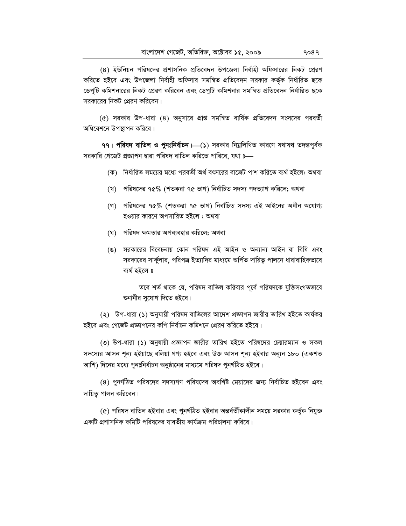(8) ইউনিয়ন পরিষদের প্রশাসনিক প্রতিবেদন উপজেলা নির্বাহী অফিসারের নিকট প্রেরণ করিতে হইবে এবং উপজেলা নির্বাহী অফিসার সমন্বিত প্রতিবেদন সরকার কর্তৃক নির্ধারিত ছকে ডেপুটি কমিশনারের নিকট প্রেরণ করিবেন এবং ডেপুটি কমিশনার সমন্বিত প্রতিবেদন নির্ধারিত ছকে সরকারের নিকট প্রেরণ করিবেন।

(৫) সরকার উপ-ধারা (৪) অনুসারে প্রাপ্ত সমন্বিত বার্ষিক প্রতিবেদন সংসদের পরবর্তী অধিবেশনে উপস্থাপন করিবে।

৭৭। পরিষদ বাতিল ও পুনঃনির্বাচন – (১) সরকার নিয়ুলিখিত কারণে যথাযথ তদন্তপূর্বক সরকারি গেজেট প্রজ্ঞাপন দ্বারা পরিষদ বাতিল করিতে পারিবে, যথা ঃ—

- (ক) নির্ধারিত সময়ের মধ্যে পরবর্তী অর্থ বৎসরের বাজেট পাশ করিতে ব্যর্থ হইলে; অথবা
- (খ) পরিষদের ৭৫% (শতকরা ৭৫ ভাগ) নির্বাচিত সদস্য পদত্যাগ করিলে; অথবা
- (গ) পরিষদের ৭৫% (শতকরা ৭৫ ভাগ) নির্বাচিত সদস্য এই আইনের অধীন অযোগ্য হওয়ার কারণে অপসারিত হইলে ; অথবা
- (ঘ) পরিষদ ক্ষমতার অপব্যবহার করিলে; অথবা
- (ঙ) সরকারের বিবেচনায় কোন পরিষদ এই আইন ও অন্যান্য আইন বা বিধি এবং সরকারের সার্কুলার, পরিপত্র ইত্যাদির মাধ্যমে অর্পিত দায়িতু পালনে ধারাবাহিকভাবে ব্যৰ্থ হইলে ঃ

তবে শর্ত থাকে যে, পরিষদ বাতিল করিবার পূর্বে পরিষদকে যুক্তিসংগতভাবে শুনানীর সুযোগ দিতে হইবে।

(২) উপ-ধারা (১) অনুযায়ী পরিষদ বাতিলের আদেশ প্রজ্ঞাপন জারীর তারিখ হইতে কার্যকর হইবে এবং গেজেট প্রজ্ঞাপনের কপি নির্বাচন কমিশনে প্রেরণ করিতে হইবে।

(৩) উপ-ধারা (১) অনুযায়ী প্রজ্ঞাপন জারীর তারিখ হইতে পরিষদের চেয়ারম্যান ও সকল সদস্যের আসন শূন্য হইয়াছে বলিয়া গণ্য হইবে এবং উক্ত আসন শূন্য হইবার অন্যূন ১৮০ (একশত আশি) দিনের মধ্যে পুনঃনির্বাচন অনুষ্ঠানের মাধ্যমে পরিষদ পুনর্গঠিত হইবে।

(৪) পুনর্গঠিত পরিষদের সদস্যগণ পরিষদের অবশিষ্ট মেয়াদের জন্য নির্বাচিত হইবেন এবং দায়িত্ব পালন করিবেন।

(৫) পরিষদ বাতিল হইবার এবং পুনর্গঠিত হইবার অন্তর্বর্তীকালীন সময়ে সরকার কর্তৃক নিযুক্ত একটি প্রশাসনিক কমিটি পরিষদের যাবতীয় কার্যক্রম পরিচালনা করিবে।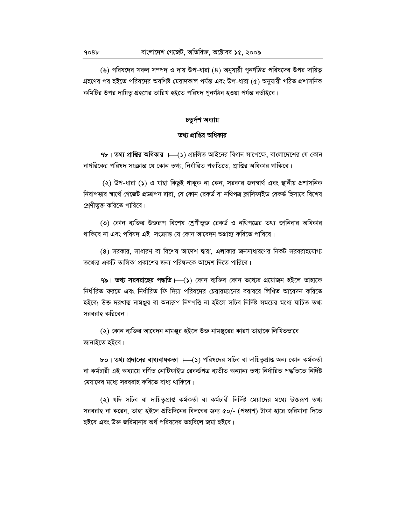(৬) পরিষদের সকল সম্পদ ও দায় উপ-ধারা (৪) অনুযায়ী পুনর্গঠিত পরিষদের উপর দায়িতূ গ্রহণের পর হইতে পরিষদের অবশিষ্ট মেয়াদকাল পর্যন্ত এবং উপ-ধারা (৫) অনুযায়ী গঠিত প্রশাসনিক কমিটির উপর দায়িতু গ্রহণের তারিখ হইতে পরিষদ পুনর্গঠন হওয়া পর্যন্ত বর্তাইবে।

#### চতুৰ্দশ অধ্যায়

## তথ্য প্রাপ্তির অধিকার

 $9$ ৮। তথ্য প্রাপ্তির অধিকার ।—(১) প্রচলিত আইনের বিধান সাপেক্ষে, বাংলাদেশের যে কোন নাগরিকের পরিষদ সংক্রান্ত যে কোন তথ্য, নির্ধারিত পদ্ধতিতে, প্রাপ্তির অধিকার থাকিবে।

(২) উপ-ধারা (১) এ যাহা কিছুই থাকুক না কেন, সরকার জনস্বার্থ এবং স্থানীয় প্রশাসনিক নিরাপত্তার স্বার্থে গেজেট প্রজ্ঞাপন দ্বারা, যে কোন রেকর্ড বা নথিপত্র ক্লাসিফাইড রেকর্ড হিসাবে বিশেষ শ্রেণীভুক্ত করিতে পারিবে।

(৩) কোন ব্যক্তির উক্তরূপ বিশেষ শ্রেণীভুক্ত রেকর্ড ও নথিপত্রের তথ্য জানিবার অধিকার থাকিবে না এবং পরিষদ এই সংক্রান্ত যে কোন আবেদন অগ্রাহ্য করিতে পারিবে।

(৪) সরকার, সাধারণ বা বিশেষ আদেশ দ্বারা, এলাকার জনসাধারণের নিকট সরবরাহযোগ্য তথ্যের একটি তালিকা প্রকাশের জন্য পরিষদকে আদেশ দিতে পারিবে।

৭৯। তথ্য সরবরাহের পদ্ধতি  $\mapsto$ (১) কোন ব্যক্তির কোন তথ্যের প্রয়োজন হইলে তাহাকে নির্ধারিত ফরমে এবং নির্ধারিত ফি দিয়া পরিষদের চেয়ারম্যানের বরাবরে লিখিত আবেদন করিতে হইবে; উক্ত দরখাস্ত নামঞ্জুর বা অন্যরূপ নিম্পত্তি না হইলে সচিব নির্দিষ্ট সময়ের মধ্যে যাচিত তথ্য সরবরাহ করিবেন।

(২) কোন ব্যক্তির আবেদন নামঞ্জুর হইলে উক্ত নামঞ্জুরের কারণ তাহাকে লিখিতভাবে জানাইতে হইবে।

bo। **তথ্য প্রদানের বাধ্যবাধকতা ।—(১**) পরিষদের সচিব বা দায়িত্বপ্রাপ্ত অন্য কোন কর্মকর্তা বা কৰ্মচারী এই অধ্যায়ে বৰ্ণিত নোটিফাইড রেকৰ্ডপত্র ব্যতীত অন্যান্য তথ্য নিৰ্ধারিত পদ্ধতিতে নির্দিষ্ট মেয়াদের মধ্যে সরবরাহ করিতে বাধ্য থাকিবে।

(২) যদি সচিব বা দায়িতৃপ্রাপ্ত কর্মকর্তা বা কর্মচারী নির্দিষ্ট মেয়াদের মধ্যে উক্তরূপ তথ্য সরবরাহ না করেন, তাহা হইলে প্রতিদিনের বিলম্বের জন্য ৫০/- (পঞ্চাশ) টাকা হারে জরিমানা দিতে হইবে এবং উক্ত জরিমানার অর্থ পরিষদের তহবিলে জমা হইবে।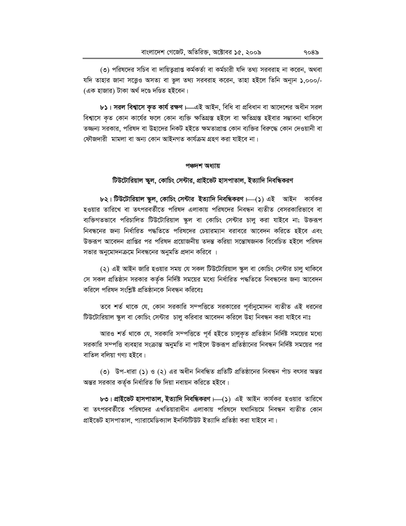(৩) পরিষদের সচিব বা দায়িতুপ্রাপ্ত কর্মকর্তা বা কর্মচারী যদি তথ্য সরবরাহ না করেন, অথবা যদি তাহার জানা সত্ত্বেও অসত্য বা ভুল তথ্য সরবরাহ করেন, তাহা হইলে তিনি অন্যূন ১,০০০/-(এক হাজার) টাকা অর্থ দণ্ডে দণ্ডিত হইবেন।

৮১। সরল বিশ্বাসে কৃত কার্য রক্ষণ।—এই আইন, বিধি বা প্রবিধান বা আদেশের অধীন সরল বিশ্বাসে কৃত কোন কার্যের ফলে কোন ব্যক্তি ক্ষতিগ্রস্ত হইলে বা ক্ষতিগ্রস্ত হইবার সম্ভাবনা থাকিলে তজ্জন্য সরকার, পরিষদ বা উহাদের নিকট হইতে ক্ষমতাপ্রাপ্ত কোন ব্যক্তির বিরুদ্ধে কোন দেওয়ানী বা ফৌজদারী মামলা বা অন্য কোন আইনগত কার্যক্রম গ্রহণ করা যাইবে না।

#### পঞ্চদশ অধ্যায়

#### টিউটোরিয়াল স্কুল, কোচিং সেন্টার, প্রাইভেট হাসপাতাল, ইত্যাদি নিবন্ধিকরণ

৮২। টিউটোরিয়াল স্কুল, কোচিং সেন্টার ইত্যাদি নিবন্ধিকরণ  $\longmapsto$  এই আইন কার্যকর হওয়ার তারিখে বা তৎপরবর্তীতে পরিষদ এলাকায় পরিষদের নিবন্ধন ব্যতীত বেসরকারিভাবে বা ব্যক্তিগতভাবে পরিচালিত টিউটোরিয়াল স্কুল বা কোচিং সেন্টার চালু করা যাইবে না; উক্তরূপ নিবন্ধনের জন্য নির্ধারিত পদ্ধতিতে পরিষদের চেয়ারম্যান বরাবরে আবেদন করিতে হইবে এবং উক্তরূপ আবেদন প্রাপ্তির পর পরিষদ প্রয়োজনীয় তদন্ত করিয়া সম্ভোষজনক বিবেচিত হইলে পরিষদ সভার অনুমোদনক্রমে নিবন্ধনের অনুমতি প্রদান করিবে ।

(২) এই আইন জারি হওয়ার সময় যে সকল টিউটোরিয়াল স্কুল বা কোচিং সেন্টার চালু থাকিবে সে সকল প্রতিষ্ঠান সরকার কর্তৃক নির্দিষ্ট সময়ের মধ্যে নির্ধারিত পদ্ধতিতে নিবন্ধনের জন্য আবেদন করিলে পরিষদ সংশ্লিষ্ট প্রতিষ্ঠানকে নিবন্ধন করিবেঃ

তবে শর্ত থাকে যে, কোন সরকারি সম্পত্তিতে সরকারের পূর্বানুমোদন ব্যতীত এই ধরনের টিউটোরিয়াল স্কুল বা কোচিং সেন্টার চালু করিবার আবেদন করিলে উহা নিবন্ধন করা যাইবে নাঃ

আরও শর্ত থাকে যে, সরকারি সম্পত্তিতে পূর্ব হইতে চালুকৃত প্রতিষ্ঠান নির্দিষ্ট সময়ের মধ্যে সরকারি সম্পত্তি ব্যবহার সংক্রান্ত অনুমতি না পাইলে উক্তরূপ প্রতিষ্ঠানের নিবন্ধন নির্দিষ্ট সময়ের পর বাতিল বলিয়া গণ্য হইবে।

(৩) উপ-ধারা (১) ও (২) এর অধীন নিবন্ধিত প্রতিটি প্রতিষ্ঠানের নিবন্ধন পাঁচ বৎসর অন্তর অন্তর সরকার কর্তৃক নির্ধারিত ফি দিয়া নবায়ন করিতে হইবে।

৮৩। প্রাইভেট হাসপাতাল, ইত্যাদি নিবন্ধিকরণ  $\longmapsto$  এই আইন কার্যকর হওয়ার তারিখে বা তৎপরবর্তীতে পরিষদের এখতিয়ারাধীন এলাকায় পরিষদে যথানিয়মে নিবন্ধন ব্যতীত কোন প্রাইভেট হাসপাতাল, প্যারামেডিক্যাল ইনস্টিটিউট ইত্যাদি প্রতিষ্ঠা করা যাইবে না।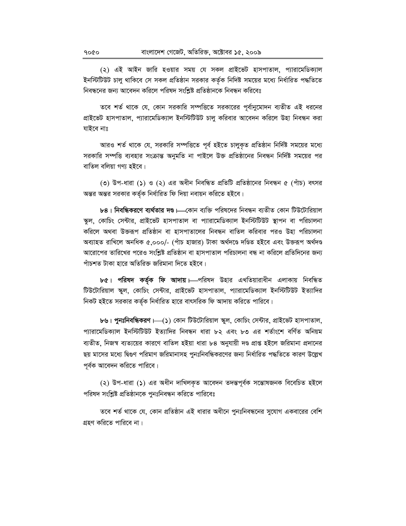(২) এই আইন জারি হওয়ার সময় যে সকল প্রাইভেট হাসপাতাল, প্যারামেডিক্যাল ইনস্টিটিউট চালু থাকিবে সে সকল প্রতিষ্ঠান সরকার কর্তৃক নিদিষ্ট সময়ের মধ্যে নির্ধারিত পদ্ধতিতে নিবন্ধনের জন্য আবেদন করিলে পরিষদ সংশ্লিষ্ট প্রতিষ্ঠানকে নিবন্ধন করিবেঃ

তবে শর্ত থাকে যে, কোন সরকারি সম্পত্তিতে সরকারের পূর্বানুমোদন ব্যতীত এই ধরনের প্রাইভেট হাসপাতাল, প্যারামেডিক্যাল ইনস্টিটিউট চালু করিবার আবেদন করিলে উহা নিবন্ধন করা যাইবে নাঃ

আরও শর্ত থাকে যে, সরকারি সম্পত্তিতে পূর্ব হইতে চালুকৃত প্রতিষ্ঠান নির্দিষ্ট সময়ের মধ্যে সরকারি সম্পত্তি ব্যবহার সংক্রান্ত অনুমতি না পাইলে উক্ত প্রতিষ্ঠানের নিবন্ধন নির্দিষ্ট সময়ের পর বাতিল বলিয়া গণ্য হইবে।

(৩) উপ-ধারা (১) ও (২) এর অধীন নিবন্ধিত প্রতিটি প্রতিষ্ঠানের নিবন্ধন ৫ (পাঁচ) বৎসর অন্তর অন্তর সরকার কর্তৃক নির্ধারিত ফি দিয়া নবায়ন করিতে হইবে।

৮৪। নিবন্ধিকরণে ব্যর্থতার দণ্ড।—কোন ব্যক্তি পরিষদের নিবন্ধন ব্যতীত কোন টিউটোরিয়াল স্কুল, কোচিং সেন্টার, প্রাইভেট হাসপাতাল বা প্যারামেডিক্যাল ইনস্টিটিউট স্থাপন বা পরিচালনা করিলে অথবা উক্তরূপ প্রতিষ্ঠান বা হাসপাতালের নিবন্ধন বাতিল করিবার পরও উহা পরিচালনা অব্যাহত রাখিলে অনধিক ৫.০০০/- (পাঁচ হাজার) টাকা অর্থদণ্ডে দণ্ডিত হইবে এবং উক্তরূপ অর্থদণ্ড আরোপের তারিখের পরেও সংশ্লিষ্ট প্রতিষ্ঠান বা হাসপাতাল পরিচালনা বন্ধ না করিলে প্রতিদিনের জন্য পাঁচশত টাকা হারে অতিরিক্ত জরিমানা দিতে হইবে।

৮৫। পরিষদ কর্তৃক ফি আদায়। এপরিষদ উহার এখতিয়ারাধীন এলাকায় নিবন্ধিত টিউটোরিয়াল স্কুল, কোচিং সেন্টার, প্রাইভেট হাসপাতাল, প্যারামেডিক্যাল ইনস্টিটিউট ইত্যাদির নিকট হইতে সরকার কর্তৃক নির্ধারিত হারে বাৎসরিক ফি আদায় করিতে পারিবে।

b৬। **পুনঃনিবন্ধিকরণ —(১**) কোন টিউটোরিয়াল স্কুল, কোচিং সেন্টার, প্রাইভেট হাসপাতাল, প্যারামেডিক্যাল ইনস্টিটিউট ইত্যাদির নিবন্ধন ধারা ৮২ এবং ৮৩ এর শর্তাংশে বর্ণিত অনিয়ম ব্যতীত, নিজস্ব ব্যত্যয়ের কারণে বাতিল হইয়া ধারা ৮৪ অনুযায়ী দণ্ড প্রাপ্ত হইলে জরিমানা প্রদানের ছয় মাসের মধ্যে দ্বিগুণ পরিমাণ জরিমানাসহ পুনঃনিবন্ধিকরণের জন্য নির্ধারিত পদ্ধতিতে কারণ উল্লেখ পূর্বক আবেদন করিতে পারিবে।

(২) উপ-ধারা (১) এর অধীন দাখিলকৃত আবেদন তদন্তপূর্বক সম্ভোষজনক বিবেচিত হইলে পরিষদ সংশ্লিষ্ট প্রতিষ্ঠানকে পুনঃনিবন্ধন করিতে পারিবেঃ

তবে শর্ত থাকে যে, কোন প্রতিষ্ঠান এই ধারার অধীনে পুনঃনিবন্ধনের সুযোগ একবারের বেশি গ্রহণ করিতে পারিবে না।

9000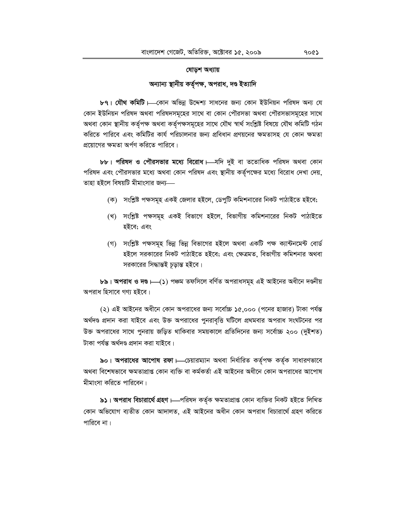# **যোড়শ অধ্যায়**

অন্যান্য স্থানীয় কৰ্তৃপক্ষ, অপরাধ, দণ্ড ইত্যাদি

**৮৭। যৌথ কমিটি |—কোন অভিন্ন উদ্দেশ্য সাধনের জন্য কোন ইউনিয়ন পরিষদ অন্য যে** কোন ইউনিয়ন পরিষদ অথবা পরিষদসমূহের সাথে বা কোন পৌরসভা অথবা পৌরসভাসমূহের সাথে অথবা কোন স্থানীয় কৰ্তৃপক্ষ অথবা কৰ্তৃপক্ষসমূহের সাথে যৌথ স্বার্থ সংশ্লিষ্ট বিষয়ে যৌথ কমিটি গঠন করিতে পারিবে এবং কমিটির কার্য পরিচালনার জন্য প্রবিধান প্রণয়নের ক্ষমতাসহ যে কোন ক্ষমতা প্রয়োগের ক্ষমতা অর্পণ করিতে পারিবে।

**৮৮। পরিষদ ও পৌরসভার মধ্যে বিরোধ + মদি** দুই বা ততোধিক পরিষদ অথবা কোন পরিষদ এবং পৌরসভার মধ্যে অথবা কোন পরিষদ এবং স্থানীয় কর্তৃপক্ষের মধ্যে বিরোধ দেখা দেয়, তাহা হইলে বিষয়টি মীমাংসার জন্য—

- (ক) সংশ্লিষ্ট পক্ষসমূহ একই জেলার হইলে, ডেপুটি কমিশনারের নিকট পাঠাইতে হইবে;
- (খ) সংশ্লিষ্ট পক্ষসমূহ একই বিভাগে হইলে, বিভাগীয় কমিশনারের নিকট পাঠাইতে হইবে; এবং
- (গ) সংশ্লিষ্ট পক্ষসমূহ ভিন্ন ভিন্ন বিভাগের হইলে অথবা একটি পক্ষ ক্যান্টনমেন্ট বোর্ড হইলে সরকারের নিকট পাঠাইতে হইবে; এবং ক্ষেত্রমত, বিভাগীয় কমিশনার অথবা সরকারের সিদ্ধান্তই চূড়ান্ত হইবে।

**৮৯। অপরাধ ও দণ্ড।—(১)** পঞ্চম তফসিলে বর্ণিত অপরাধসমূহ এই আইনের অধীনে দণ্ডনীয় অপরাধ হিসাবে গণ্য হইবে।

(২) এই আইনের অধীনে কোন অপরাধের জন্য সর্বোচ্চ ১৫,০০০ (পনের হাজার) টাকা পর্যন্ত অর্থদণ্ড প্রদান করা যাইবে এবং উক্ত অপরাধের পুনরাবৃত্তি ঘটিলে প্রথমবার অপরাধ সংঘটনের পর উক্ত অপরাধের সাথে পুনরায় জড়িত থাকিবার সময়কালে প্রতিদিনের জন্য সর্বোচ্চ ২০০ (দুইশত) টাকা পৰ্যন্ত অৰ্থদণ্ড প্ৰদান করা যাইবে।

**৯০। অপরাধের আপোষ রফা + ক্রিয়ারম্যান অথবা নির্ধারিত কর্তৃপক্ষ কর্তৃক সাধারণভাবে** অথবা বিশেষভাবে ক্ষমতাপ্ৰাপ্ত কোন ব্যক্তি বা কৰ্মকৰ্তা এই আইনের অধীনে কোন অপরাধের আপোষ মীমাংসা করিতে পারিবেন।

**৯১। অপরাধ বিচারার্থে গ্রহণ ।—পরিষদ** কর্তৃক ক্ষমতাপ্রাপ্ত কোন ব্যক্তির নিকট হইতে লিখিত কোন অভিযোগ ব্যতীত কোন আদালত, এই আইনের অধীন কোন অপরাধ বিচারার্থে গ্রহণ করিতে পারিবে না।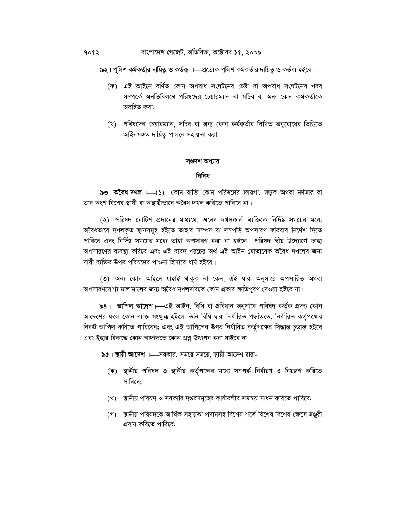**৯২। পুলিশ কর্মকর্তার দায়িতু ও কর্তব্য ।—প্রত্যেক পুলিশ কর্মকর্তার দায়িতু ও কর্তব্য হইবে—** 

- (ক) এই আইনে বৰ্ণিত কোন অপরাধ সংঘটনের চেষ্টা বা অপরাধ সংঘটনের খবর সম্পৰ্কে অনতিবিলম্বে পৱিষদেৱ চেয়াৱম্যান বা সচিব বা অন্য কোন কৰ্মকৰ্তাকে অবহিত করা:
- (খ) পরিষদের চেয়ারম্যান, সচিব বা অন্য কোন কর্মকর্তার লিখিত অনুরোধের ভিত্তিতে আইনসঙ্গত দায়িত্ব পালনে সহায়তা করা।

#### সপ্তদশ অধ্যায়

#### **ৰিবিধ**

**৯৩। অবৈধ দখল ।**(5) কোন ব্যক্তি কোন পরিষদের জায়গা, সড়ক অথবা নর্দমার বা তার অংশ বিশেষ স্থায়ী বা অস্থায়ীভাবে অবৈধ দখল করিতে পারিবে না।

(২) পরিষদ নোটিশ প্রদানের মাধ্যমে, অবৈধ দখলকারী ব্যক্তিকে নির্দিষ্ট সময়ের মধ্যে অবৈধভাবে দখলকৃত স্থানসমূহ হইতে তাহার সম্পদ বা সম্পত্তি অপসারণ করিবার নির্দেশ দিতে পারিবে এবং নির্দিষ্ট সময়ের মধ্যে তাহা অপসারণ করা না হইলে পরিষদ স্বীয় উদ্যোগে তাহা অপসারণের ব্যবস্থা করিবে এবং এই বাবদ খরচের অর্থ এই আইন মোতাবেক অবৈধ দখলের জন্য দায়ী ব্যক্তির উপর পরিষদের পাওনা হিসাবে ধার্য হইবে।

(৩) অন্য কোন আইনে যাহাই থাকুক না কেন, এই ধারা অনুসারে অপসারিত অথবা অপসারণযোগ্য মালামালের জন্য অবৈধ দখলদারকে কোন প্রকার ক্ষতিপূরণ দেওয়া হইবে না।

**৯৪। আপিল আদেশ।—এই** আইন, বিধি বা প্রবিধান অনুসারে পরিষদ কর্তৃক প্রদত্ত কোন আদেশের ফলে কোন ব্যক্তি সংক্ষুব্ধ হইলে তিনি বিধি দ্বারা নির্ধারিত পদ্ধতিতে, নির্ধারিত কর্তৃপক্ষের নিকট আপিল করিতে পারিবেন; এবং এই আপিলের উপর নির্ধারিত কর্তৃপক্ষের সিদ্ধান্ত চূড়ান্ত হইবে এবং ইহার বিরুদ্ধে কোন আদালতে কোন প্রশ্ন উত্থাপন করা যাইবে না।

**৯৫। স্থায়ী আদেশ ।—স**রকার, সময়ে সময়ে, স্থায়ী আদেশ দ্বারা-

- (ক) স্থানীয় পরিষদ ও স্থানীয় কর্তৃপক্ষের মধ্যে সম্পর্ক নির্ধারণ ও নিয়ন্ত্রণ করিতে পারিবে;
- (খ) স্থানীয় পরিষদ ও সরকারি দপ্তরসমূহের কার্যাবলীর সমন্বয় সাধন করিতে পারিবে;
- (গ) স্থানীয় পরিষদকে আর্থিক সহায়তা প্রদানসহ বিশেষ শর্তে বিশেষ ক্ষেত্রে মঞ্জরী প্রদান করিতে পারিবে: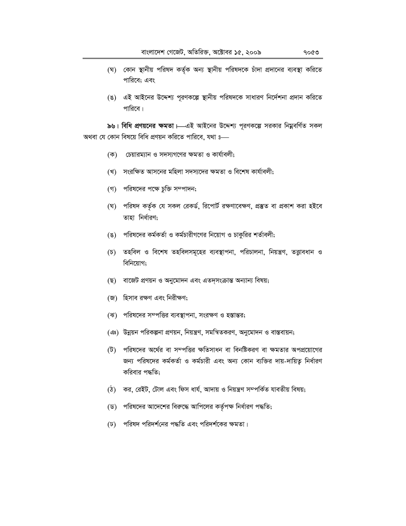- (ঘ) কোন স্থানীয় পরিষদ কর্তৃক অন্য স্থানীয় পরিষদকে চাঁদা প্রদানের ব্যবস্থা করিতে পারিবে; এবং
- (ঙ) এই আইনের উদ্দেশ্য পূরণকল্পে স্থানীয় পরিষদকে সাধারণ নির্দেশনা প্রদান করিতে পারিবে।

৯৬। বিধি প্রণয়নের ক্ষমতা ।—এই আইনের উদ্দেশ্য পূরণকল্পে সরকার নিয়ুবর্ণিত সকল অথবা যে কোন বিষয়ে বিধি প্রণয়ন করিতে পারিবে, যথা ঃ—

- (ক) চেয়ারম্যান ও সদস্যগণের ক্ষমতা ও কার্যাবলী;
- (খ) সংরক্ষিত আসনের মহিলা সদস্যদের ক্ষমতা ও বিশেষ কার্যাবলী;
- (গ) পরিষদের পক্ষে চুক্তি সম্পাদন;
- (ঘ) পরিষদ কর্তৃক যে সকল রেকর্ড, রিপোর্ট রক্ষণাবেক্ষণ, প্রস্তুত বা প্রকাশ করা হইবে তাহা নিৰ্ধারণ:
- (ঙ) পরিষদের কর্মকর্তা ও কর্মচারীগণের নিয়োগ ও চাকুরির শর্তাবলী;
- (চ) তহবিল ও বিশেষ তহবিলসমূহের ব্যবস্থাপনা, পরিচালনা, নিয়ন্ত্রণ, তত্ত্বাবধান ও বিনিয়োগ:
- (ছ) বাজেট প্রণয়ন ও অনুমোদন এবং এতদসংক্রান্ত অন্যান্য বিষয়;
- (জ) হিসাব রক্ষণ এবং নিরীক্ষণ;
- (ঝ) পরিষদের সম্পত্তির ব্যবস্থাপনা, সংরক্ষণ ও হস্তান্তর;
- (ঞ) উন্নয়ন পরিকল্পনা প্রণয়ন, নিয়ন্ত্রণ, সমন্বিতকরণ, অনুমোদন ও বাস্তবায়ন;
- পরিষদের অর্থের বা সম্পত্তির ক্ষতিসাধন বা বিনষ্টিকরণ বা ক্ষমতার অপপ্রয়োগের  $(\vec{v})$ জন্য পরিষদের কর্মকর্তা ও কর্মচারী এবং অন্য কোন ব্যক্তির দায়-দায়িতু নির্ধারণ করিবার পদ্ধতি:
- (ঠ) কর, রেইট, টোল এবং ফিস ধার্য, আদায় ও নিয়ন্ত্রণ সম্পর্কিত যাবতীয় বিষয়;
- (ড) পরিষদের আদেশের বিরুদ্ধে আপিলের কর্তৃপক্ষ নির্ধারণ পদ্ধতি;
- (ঢ) পরিষদ পরিদর্শনের পদ্ধতি এবং পরিদর্শকের ক্ষমতা।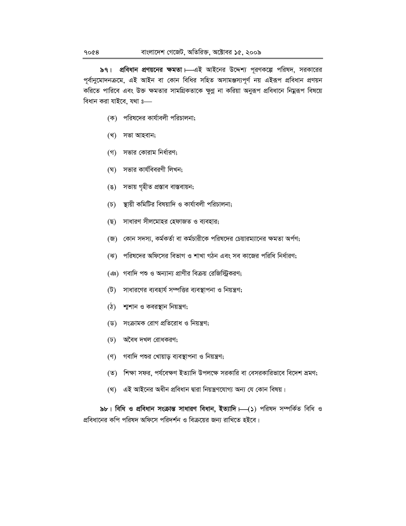৯৭। প্রবিধান প্রণয়নের ক্ষমতা। এই আইনের উদ্দেশ্য পূরণকল্পে পরিষদ, সরকারের পূর্বানুমোদনক্রমে, এই আইন বা কোন বিধির সহিত অসামঞ্জস্যপূর্ণ নয় এইরূপ প্রবিধান প্রণয়ন করিতে পারিবে এবং উক্ত ক্ষমতার সামগ্রিকতাকে ক্ষুণ্ণ না করিয়া অনুরূপ প্রবিধানে নিম্নরূপ বিষয়ে বিধান করা যাইবে, যথা ঃ—

- (ক) পরিষদের কার্যাবলী পরিচালনা;
- (খ) সভা আহবান;
- (গ) সভার কোরাম নির্ধারণ;
- (ঘ) সভার কার্যবিবরণী লিখন;
- সভায় গৃহীত প্ৰস্তাব বাস্তবায়ন;  $(8)$
- $(\mathcal{D})$ স্থায়ী কমিটির বিষয়াদি ও কার্যাবলী পরিচালনা;
- (ছ) সাধারণ সীলমোহর হেফাজত ও ব্যবহার;
- (জ) কোন সদস্য, কর্মকর্তা বা কর্মচারীকে পরিষদের চেয়ারম্যানের ক্ষমতা অর্পণ;
- (ঝ) পরিষদের অফিসের বিভাগ ও শাখা গঠন এবং সব কাজের পরিধি নির্ধারণ;
- (এঃ) গবাদি পশু ও অন্যান্য প্রাণীর বিক্রয় রেজিস্ট্রিকরণ;
- সাধারণের ব্যবহার্য সম্পত্তির ব্যবস্থাপনা ও নিয়ন্ত্রণ;  $(\vec{v})$
- $(\delta)$ শাশান ও কবরস্থান নিয়ন্ত্রণ;
- (ড) সংক্রামক রোগ প্রতিরোধ ও নিয়ন্ত্রণ;
- (ঢ) অবৈধ দখল রোধকরণ;
- (ণ) গবাদি পশুর খোয়াড় ব্যবস্থাপনা ও নিয়ন্ত্রণ;
- (ত) শিক্ষা সফর, পর্যবেক্ষণ ইত্যাদি উপলক্ষে সরকারি বা বেসরকারিভাবে বিদেশ ভ্রমণ;
- (থ) এই আইনের অধীন প্রবিধান দ্বারা নিয়ন্ত্রণযোগ্য অন্য যে কোন বিষয়।

৯৮। বিধি ও প্রবিধান সংক্রান্ত সাধারণ বিধান, ইত্যাদি । (১) পরিষদ সম্পর্কিত বিধি ও প্রবিধানের কপি পরিষদ অফিসে পরিদর্শন ও বিক্রয়ের জন্য রাখিতে হইবে।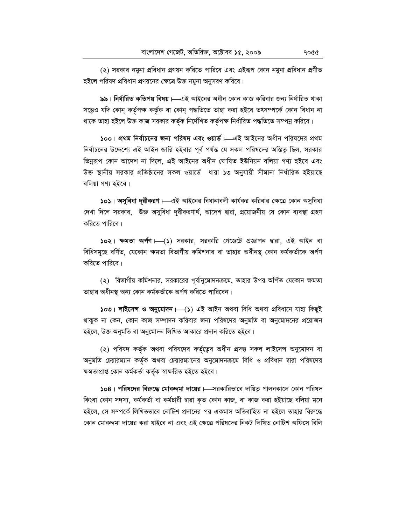(২) সরকার নমুনা প্রবিধান প্রণয়ন করিতে পারিবে এবং এইরূপ কোন নমুনা প্রবিধান প্রণীত হইলে পরিষদ প্রবিধান প্রণয়নের ক্ষেত্রে উক্ত নমুনা অনুসরণ করিবে।

৯৯। নির্ধারিত কতিপয় বিষয়।—এই আইনের অধীন কোন কাজ করিবার জন্য নির্ধারিত থাকা সত্ত্বেও যদি কোন কর্তৃপক্ষ কর্তৃক বা কোন পদ্ধতিতে তাহা করা হইবে তৎসম্পর্কে কোন বিধান না থাকে তাহা হইলে উক্ত কাজ সরকার কর্তৃক নির্দেশিত কর্তৃপক্ষ নির্ধারিত পদ্ধতিতে সম্পন্ন করিবে।

১০০। প্রথম নির্বাচনের জন্য পরিষদ এবং ওয়ার্ড।—এই আইনের অধীন পরিষদের প্রথম নির্বাচনের উদ্দেশ্যে এই আইন জারি হইবার পূর্ব পর্যন্ত যে সকল পরিষদের অস্তিত্ব ছিল, সরকার ভিন্নরূপ কোন আদেশ না দিলে, এই আইনের অধীন ঘোষিত ইউনিয়ন বলিয়া গণ্য হইবে এবং উক্ত স্থানীয় সরকার প্রতিষ্ঠানের সকল ওয়ার্ডে ধারা ১৩ অনুযায়ী সীমানা নির্ধারিত হইয়াছে বলিয়া গণ্য হইবে।

১০১। অসুবিধা দূরীকরণ । এই আইনের বিধানাবলী কার্যকর করিবার ক্ষেত্রে কোন অসুবিধা দেখা দিলে সরকার, উক্ত অসুবিধা দূরীকরণার্থ, আদেশ দ্বারা, প্রয়োজনীয় যে কোন ব্যবস্থা গ্রহণ করিতে পারিবে।

১০২। **ক্ষমতা অৰ্পণ ––(**১) সরকার, সরকারি গেজেটে প্রজ্ঞাপন দ্বারা, এই আইন বা বিধিসমূহে বর্ণিত, যেকোন ক্ষমতা বিভাগীয় কমিশনার বা তাহার অধীনস্থ কোন কর্মকর্তাকে অর্পণ করিতে পারিবে।

(২) বিভাগীয় কমিশনার, সরকারের পূর্বানুমোদনক্রমে, তাহার উপর অর্পিত যেকোন ক্ষমতা তাহার অধীনস্থ অন্য কোন কর্মকর্তাকে অর্পণ করিতে পারিবেন।

১০৩। লাইসেন্স ও অনুমোদন ––(১) এই আইন অথবা বিধি অথবা প্ৰবিধানে যাহা কিছুই থাকুক না কেন, কোন কাজ সম্পাদন করিবার জন্য পরিষদের অনুমতি বা অনুমোদনের প্রয়োজন হইলে, উক্ত অনুমতি বা অনুমোদন লিখিত আকারে প্রদান করিতে হইবে।

(২) পরিষদ কর্তৃক অথবা পরিষদের কর্তৃত্বের অধীন প্রদত্ত সকল লাইসেন্স অনুমোদন বা অনুমতি চেয়ারম্যান কর্তৃক অথবা চেয়ারম্যানের অনুমোদনক্রমে বিধি ও প্রবিধান দ্বারা পরিষদের ক্ষমতাপ্ৰাপ্ত কোন কৰ্মকৰ্তা কৰ্তৃক স্বাক্ষরিত হইতে হইবে।

১০৪। পরিষদের বিরুদ্ধে মোকদ্দমা দায়ের।—সরকারিভাবে দায়িতু পালনকালে কোন পরিষদ কিংবা কোন সদস্য, কৰ্মকৰ্তা বা কৰ্মচারী দ্বারা কৃত কোন কাজ, বা কাজ করা হইয়াছে বলিয়া মনে হইলে, সে সম্পর্কে লিখিতভাবে নোটিশ প্রদানের পর একমাস অতিবাহিত না হইলে তাহার বিরুদ্ধে কোন মোকদ্দমা দায়ের করা যাইবে না এবং এই ক্ষেত্রে পরিষদের নিকট লিখিত নোটিশ অফিসে বিলি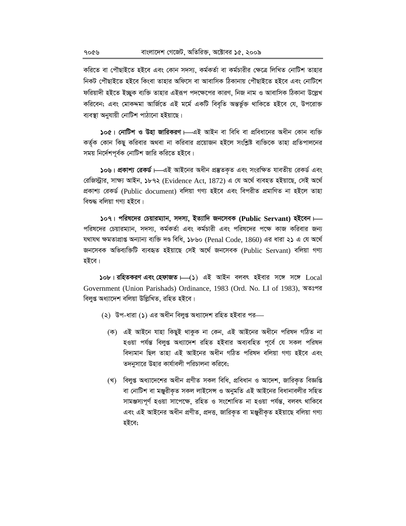করিতে বা পৌছাইতে হইবে এবং কোন সদস্য, কর্মকর্তা বা কর্মচারীর ক্ষেত্রে লিখিত নোটিশ তাহার নিকট পৌছাইতে হইবে কিংবা তাহার অফিসে বা আবাসিক ঠিকানায় পৌছাইতে হইবে এবং নোটিশে ফরিয়াদী হইতে ইচ্ছুক ব্যক্তি তাহার এইরূপ পদক্ষেপের কারণ, নিজ নাম ও আবাসিক ঠিকানা উল্লেখ করিবেন; এবং মোকদ্দমা আর্জিতে এই মর্মে একটি বিবৃতি অন্তর্ভুক্ত থাকিতে হইবে যে, উপরোক্ত ব্যবস্থা অনুযায়ী নোটিশ পাঠানো হইয়াছে।

১০৫। নোটিশ ও উহা জারিকরণ – এই আইন বা বিধি বা প্রবিধানের অধীন কোন ব্যক্তি কর্তৃক কোন কিছু করিবার অথবা না করিবার প্রয়োজন হইলে সংশ্লিষ্ট ব্যক্তিকে তাহা প্রতিপালনের সময় নির্দেশপূর্বক নোটিশ জারি করিতে হইবে।

১০৬। প্রকাশ্য রেকর্ড।—এই আইনের অধীন প্রম্ভতকৃত এবং সংরক্ষিত যাবতীয় রেকর্ড এবং রেজিস্ট্রার, সাক্ষ্য আইন, ১৮৭২ (Evidence Act, 1872) এ যে অর্থে ব্যবহত হইয়াছে, সেই অর্থে প্ৰকাশ্য রেকৰ্ড (Public document) বলিয়া গণ্য হইবে এবং বিপরীত প্রমাণিত না হইলে তাহা বিশুদ্ধ বলিয়া গণ্য হইবে।

১০৭। পরিষদের চেয়ারম্যান, সদস্য, ইত্যাদি জনসেবক (Public Servant) হইবেন।— পরিষদের চেয়ারম্যান, সদস্য, কর্মকর্তা এবং কর্মচারী এবং পরিষদের পক্ষে কাজ করিবার জন্য যথাযথ ক্ষমতাপ্ৰাপ্ত অন্যান্য ব্যক্তি দণ্ড বিধি, ১৮৬০ (Penal Code, 1860) এর ধারা ২১ এ যে অর্থে জনসেবক অভিব্যক্তিটি ব্যবহৃত হইয়াছে সেই অৰ্থে জনসেবক (Public Servant) বলিয়া গণ্য হইবে।

 $\delta$ ob | রহিতকরণ এবং হেফাজত  $\leftarrow$ ( $\delta$ ) এই আইন বলবৎ হইবার সঙ্গে  $\sigma$   $\sim$   $\sim$   $\sim$ Government (Union Parishads) Ordinance, 1983 (Ord. No. LI of 1983), অতঃপর বিলুপ্ত অধ্যাদেশ বলিয়া উল্লিখিত, রহিত হইবে।

- (২) উপ-ধারা (১) এর অধীন বিলপ্ত অধ্যাদেশ রহিত হইবার পর—
	- (ক) এই আইনে যাহা কিছুই থাকুক না কেন, এই আইনের অধীনে পরিষদ গঠিত না হওয়া পৰ্যন্ত বিলুপ্ত অধ্যাদেশ রহিত হইবার অব্যবহিত পূর্বে যে সকল পরিষদ বিদ্যমান ছিল তাহা এই আইনের অধীন গঠিত পরিষদ বলিয়া গণ্য হইবে এবং তদনুসারে উহার কার্যাবলী পরিচালনা করিবে;
	- (খ) বিলুপ্ত অধ্যাদেশের অধীন প্রণীত সকল বিধি, প্রবিধান ও আদেশ, জারিকৃত বিজ্ঞপ্তি বা নোটিশ বা মঞ্জুরীকৃত সকল লাইসেন্স ও অনুমতি এই আইনের বিধানাবলীর সহিত সামঞ্জস্যপূর্ণ হওয়া সাপেক্ষে, রহিত ও সংশোধিত না হওয়া পর্যন্ত, বলবৎ থাকিবে এবং এই আইনের অধীন প্রণীত, প্রদত্ত, জারিকৃত বা মঞ্জুরীকৃত হইয়াছে বলিয়া গণ্য হইবে:

৭০৫৬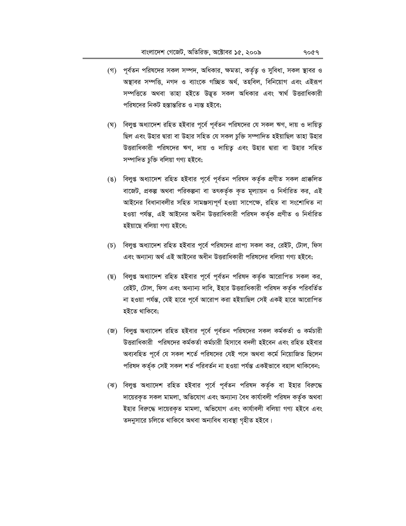- (গ) পূর্বতন পরিষদের সকল সম্পদ, অধিকার, ক্ষমতা, কর্তৃত্ব ও সুবিধা, সকল স্থাবর ও অস্থাবর সম্পত্তি, নগদ ও ব্যাংকে গচ্ছিত অর্থ, তহবিল, বিনিয়োগ এবং এইরূপ সম্পত্তিতে অথবা তাহা হইতে উদ্ভূত সকল অধিকার এবং স্বার্থ উত্তরাধিকারী পরিষদের নিকট হস্তান্তরিত ও ন্যস্ত হইবে;
- বিলুপ্ত অধ্যাদেশ রহিত হইবার পূর্বে পূর্বতন পরিষদের যে সকল ঋণ, দায় ও দায়িতু (ঘ) ছিল এবং উহার দ্বারা বা উহার সহিত যে সকল চুক্তি সম্পাদিত হইয়াছিল তাহা উহার উত্তরাধিকারী পরিষদের ঋণ, দায় ও দায়িত্ব এবং উহার দ্বারা বা উহার সহিত সম্পাদিত চুক্তি বলিয়া গণ্য হইবে;
- (ঙ) বিলুপ্ত অধ্যাদেশ রহিত হইবার পূর্বে পূর্বতন পরিষদ কর্তৃক প্রণীত সকল প্রাক্কলিত বাজেট, প্রকল্প অথবা পরিকল্পনা বা তৎকর্তৃক কৃত মূল্যায়ন ও নির্ধারিত কর, এই আইনের বিধানাবলীর সহিত সামঞ্জস্যপূর্ণ হওয়া সাপেক্ষে, রহিত বা সংশোধিত না হওয়া পৰ্যন্ত, এই আইনের অধীন উত্তরাধিকারী পরিষদ কর্তৃক প্রণীত ও নির্ধারিত হইয়াছে বলিয়া গণ্য হইবে;
- (চ) বিলুপ্ত অধ্যাদেশ রহিত হইবার পূর্বে পরিষদের প্রাপ্য সকল কর, রেইট, টোল, ফিস এবং অন্যান্য অর্থ এই আইনের অধীন উত্তরাধিকারী পরিষদের বলিয়া গণ্য হইবে:
- (ছ) বিলুপ্ত অধ্যাদেশ রহিত হইবার পূর্বে পূর্বতন পরিষদ কর্তৃক আরোপিত সকল কর, রেইট, টোল, ফিস এবং অন্যান্য দাবি, ইহার উত্তরাধিকারী পরিষদ কর্তৃক পরিবর্তিত না হওয়া পৰ্যন্ত, যেই হাৱে পূৰ্বে আৱোপ করা হইয়াছিল সেই একই হাৱে আৱোপিত হইতে থাকিবে;
- (জ) বিলুপ্ত অধ্যাদেশ রহিত হইবার পূর্বে পূর্বতন পরিষদের সকল কর্মকর্তা ও কর্মচারী উত্তরাধিকারী পরিষদের কর্মকর্তা কর্মচারী হিসাবে বদলী হইবেন এবং রহিত হইবার অব্যবহিত পূর্বে যে সকল শর্তে পরিষদের যেই পদে অথবা কর্মে নিয়োজিত ছিলেন পরিষদ কর্তৃক সেই সকল শর্ত পরিবর্তন না হওয়া পর্যন্ত একইভাবে বহাল থাকিবেন;
- (ঝ) বিলুপ্ত অধ্যাদেশ রহিত হইবার পূর্বে পূর্বতন পরিষদ কর্তৃক বা ইহার বিরুদ্ধে দায়েরকৃত সকল মামলা, অভিযোগ এবং অন্যান্য বৈধ কার্যাবলী পরিষদ কর্তৃক অথবা ইহার বিরুদ্ধে দায়েরকৃত মামলা, অভিযোগ এবং কার্যাবলী বলিয়া গণ্য হইবে এবং তদনুসারে চলিতে থাকিবে অথবা অন্যবিধ ব্যবস্থা গৃহীত হইবে।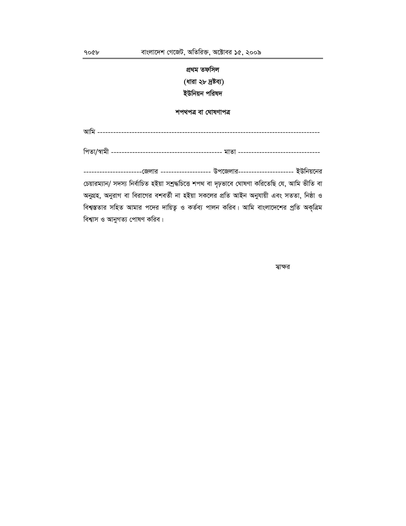# প্ৰথম তফসিল **(ধারা ২৮ দ্রষ্টব্য)** ইউনিয়ন পরিষদ

শপথপত্ৰ বা ঘোষণাপত্ৰ

Avwg ------------------------------------------------------------------------------------

wcZv/¯^vgx ------------------------------------------ gvZv -------------------------------

-----------------------জেলার -------------------- উপজেলার--------------------- ইউনিয়নের চেয়ারম্যান/ সদস্য নির্বাচিত হইয়া সশ্রদ্ধচিত্তে শপথ বা দৃঢ়ভাবে ঘোষণা করিতেছি যে, আমি ভীতি বা অনুগ্রহ, অনুরাগ বা বিরাগের বশবর্তী না হইয়া সকলের প্রতি আইন অনুযায়ী এবং সততা, নিষ্ঠা ও বিশ্বস্ততার সহিত আমার পদের দায়িত্ব ও কর্তব্য পালন করিব। আমি বাংলাদেশের প্রতি অকৃত্রিম বিশ্বাস ও আনুগত্য পোষণ করিব।

 $\sim$  m/vi $\sim$  m/vi $\sim$  m/vi $\sim$  m/vi $\sim$  m/vi $\sim$  m/vi $\sim$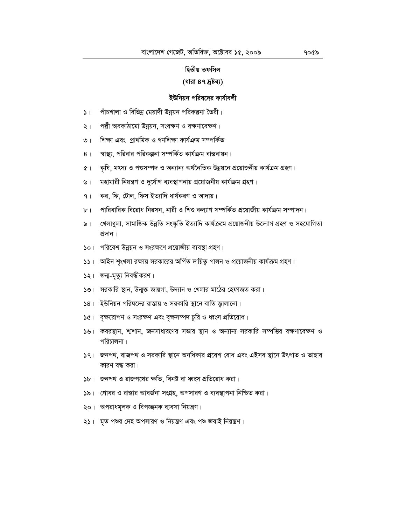#### দ্বিতীয় তফসিল

## (ধারা ৪৭ দ্রষ্টব্য)

#### ইউনিয়ন পরিষদের কার্যাবলী

- পাঁচশালা ও বিভিন্ন মেয়াদী উন্নয়ন পরিকল্পনা তৈরী।  $\mathcal{L}$
- পল্লী অবকাঠামো উন্নয়ন, সংরক্ষণ ও রক্ষণাবেক্ষণ।  $\lambda$  |
- ৩। শিক্ষা এবং প্রাথমিক ও গণশিক্ষা কার্যএন্ম সম্পর্কিত
- স্বাস্থ্য, পরিবার পরিকল্পনা সম্পর্কিত কার্যক্রম বাস্তবায়ন।  $8<sup>1</sup>$
- ৫। কৃষি, মৎস্য ও পশুসম্পদ ও অন্যান্য অর্থনৈতিক উন্নয়নে প্রয়োজনীয় কার্যক্রম গ্রহণ।
- মহামারী নিয়ন্ত্রণ ও দুর্যোগ ব্যবস্থাপনায় প্রয়োজনীয় কার্যক্রম গ্রহণ। ও।
- কর, ফি, টোল, ফিস ইত্যাদি ধার্যকরণ ও আদায়।  $9<sub>1</sub>$
- পারিবারিক বিরোধ নিরসন, নারী ও শিশু কল্যাণ সম্পর্কিত প্রয়োজীয় কার্যক্রম সম্পাদন।  $b$ <sup> $\vert$ </sup>
- ৯। খেলাধুলা, সামাজিক উন্নতি সংস্কৃতি ইত্যাদি কাৰ্যক্ৰমে প্ৰয়োজনীয় উদ্যোগ গ্ৰহণ ও সহযোগিতা প্ৰদান।
- ১০। পরিবেশ উন্নয়ন ও সংরক্ষণে প্রয়োজীয় ব্যবস্থা গ্রহণ।
- ১১। আইন শৃংখলা রক্ষায় সরকারের অর্পিত দায়িত্ব পালন ও প্রয়োজনীয় কার্যক্রম গ্রহণ।
- ১২। জন্ম-মৃত্যু নিবন্ধীকরণ।
- **১৩**। সরকারি স্থান, উন্মুক্ত জায়গা, উদ্যান ও খেলার মাঠের হেফাজত করা।
- $58$ । ইউনিয়ন পরিষদের রাস্তায় ও সরকারি স্থানে বাতি জ্বালানো।
- $\delta$ ে। বৃক্ষরোপণ ও সংরক্ষণ এবং বৃক্ষসম্পদ চুরি ও ধ্বংস প্রতিরোধ।
- ১৬। কবরস্থান, শাশান, জনসাধারণের সভার স্থান ও অন্যান্য সরকারি সম্পত্তির রক্ষণাবেক্ষণ ও পরিচালনা।
- ১৭। জনপথ, রাজপথ ও সরকারি স্থানে অনধিকার প্রবেশ রোধ এবং এইসব স্থানে উৎপাত ও তাহার কারণ বন্ধ করা।
- ১৮। জনপথ ও রাজপথের ক্ষতি, বিনষ্ট বা ধ্বংস প্রতিরোধ করা।
- ১৯। গোবর ও রাস্তার আবর্জনা সংগ্রহ, অপসারণ ও ব্যবস্থাপনা নিশ্চিত করা।
- ২০। অপরাধমূলক ও বিপজ্জনক ব্যবসা নিয়ন্ত্রণ।
- ২১। মৃত পশুর দেহ অপসারণ ও নিয়ন্ত্রণ এবং পশু জবাই নিয়ন্ত্রণ।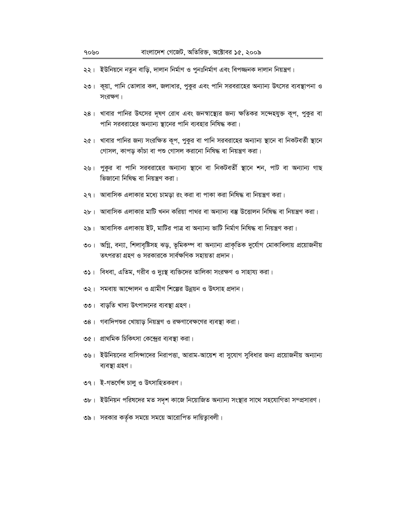- ২২। ইউনিয়নে নতুন বাড়ি, দালান নির্মাণ ও পুনঃনির্মাণ এবং বিপজ্জনক দালান নিয়ন্ত্রণ।
- ২৩। কূয়া, পানি তোলার কল, জলাধার, পুকুর এবং পানি সরবরাহের অন্যান্য উৎসের ব্যবস্থাপনা ও সংরক্ষণ।
- ২৪। খাবার পানির উৎসের দূষণ রোধ এবং জনস্বাস্থ্যের জন্য ক্ষতিকর সন্দেহযুক্ত কূপ, পুকুর বা পানি সরবরাহের অন্যান্য স্থানের পানি ব্যবহার নিষিদ্ধ করা।
- ২৫। খাবার পানির জন্য সংরক্ষিত কূপ, পুকুর বা পানি সরবরাহের অন্যান্য স্থানে বা নিকটবর্তী স্থানে গোসল, কাপড় কাঁচা বা পশু গোসল করানো নিষিদ্ধ বা নিয়ন্ত্রণ করা।
- ২৬। পুকুর বা পানি সরবরাহের অন্যান্য স্থানে বা নিকটবর্তী স্থানে শন, পাট বা অন্যান্য গাছ ভিজানো নিষিদ্ধ বা নিয়ন্ত্রণ করা।
- ২৭। আবাসিক এলাকার মধ্যে চামড়া রং করা বা পাকা করা নিষিদ্ধ বা নিয়ন্ত্রণ করা।
- ২৮। আবাসিক এলাকার মাটি খনন করিয়া পাথর বা অন্যান্য বস্তু উত্তোলন নিষিদ্ধ বা নিয়ন্ত্রণ করা।
- ২৯। আবাসিক এলাকায় ইট, মাটির পাত্র বা অন্যান্য ভাটি নির্মাণ নিষিদ্ধ বা নিয়ন্ত্রণ করা।
- ৩০। অগ্নি, বন্যা, শিলাবৃষ্টিসহ ঝড়, ভূমিকম্প বা অন্যান্য প্ৰাকৃতিক দুৰ্যোগ মোকাবিলায় প্ৰয়োজনীয় তৎপরতা গ্রহণ ও সরকারকে সার্বক্ষণিক সহায়তা প্রদান।
- ৩১। বিধবা, এতিম, গরীব ও দুঃস্থ ব্যক্তিদের তালিকা সংরক্ষণ ও সাহায্য করা।
- ৩২। সমবায় আন্দোলন ও গ্রামীণ শিল্পের উন্নয়ন ও উৎসাহ প্রদান।
- ৩৩। বাড়তি খাদ্য উৎপাদনের ব্যবস্থা গ্রহণ।
- ৩৪। গবাদিপশুর খোয়াড় নিয়ন্ত্রণ ও রক্ষণাবেক্ষণের ব্যবস্থা করা।
- ৩৫। প্রাথমিক চিকিৎসা কেন্দ্রের ব্যবস্থা করা।
- ৩৬। ইউনিয়নের বাসিন্দাদের নিরাপত্তা, আরাম-আয়েশ বা সুযোগ সুবিধার জন্য প্রয়োজনীয় অন্যান্য ব্যবস্থা গ্ৰহণ।
- ৩৭। ই-গভৰ্ণেস চালু ও উৎসাহিতকরণ।
- ৩৮। ইউনিয়ন পরিষদের মত সদৃশ কাজে নিয়োজিত অন্যান্য সংস্থার সাথে সহযোগিতা সম্প্রসারণ।
- ৩৯। সরকার কর্তৃক সময়ে সময়ে আরোপিত দায়িত্বাবলী।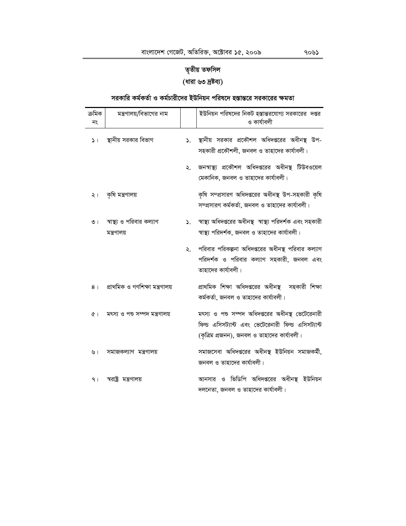# তৃতীয় তফসিল **(ধারা ৬৩ দ্রষ্টব্য)**

# সরকারি কর্মকর্তা ও কর্মচারীদের ইউনিয়ন পরিষদে হস্তান্তরে সরকারের ক্ষমতা

| ক্ৰমিক<br>নং   | মন্ত্রণালয়/বিভাগের নাম                  |                 | ইউনিয়ন পরিষদের নিকট হস্তান্তরযোগ্য সরকারের দপ্তর<br>ও কাৰ্যাবলী                                                                                     |
|----------------|------------------------------------------|-----------------|------------------------------------------------------------------------------------------------------------------------------------------------------|
| $\mathsf{L}$   | স্থানীয় সরকার বিভাগ                     | ۵.              | স্থানীয় সরকার প্রকৌশল অধিদপ্তরের অধীনস্থ উপ-<br>সহকারী প্রকৌশলী, জনবল ও তাহাদের কার্যাবলী।                                                          |
|                |                                          | $\mathcal{L}$ . | জনস্বাস্থ্য প্রকৌশল অধিদপ্তরের অধীনস্থ টিউবওয়েল<br>মেকানিক, জনবল ও তাহাদের কার্যাবলী।                                                               |
| २।             | কৃষি মন্ত্ৰণালয়                         |                 | কৃষি সম্প্রসারণ অধিদপ্তরের অধীনস্থ উপ-সহকারী কৃষি<br>সম্প্রসারণ কর্মকর্তা, জনবল ও তাহাদের কার্যাবলী।                                                 |
| $\circ$        | স্বাস্থ্য ও পরিবার কল্যাণ<br>মন্ত্রণালয় | $\mathcal{L}$ . | স্বাস্থ্য অধিদপ্তরের অধীনস্থ স্বাস্থ্য পরিদর্শক এবং সহকারী<br>স্বাস্থ্য পরিদর্শক, জনবল ও তাহাদের কার্যাবলী।                                          |
|                |                                          | ২.              | পরিবার পরিকল্পনা অধিদপ্তরের অধীনস্থ পরিবার কল্যাণ<br>পরিদর্শক ও পরিবার কল্যাণ সহকারী, জনবল এবং<br>তাহাদের কার্যাবলী।                                 |
| 8 <sup>1</sup> | প্ৰাথমিক ও গণশিক্ষা মন্ত্ৰণালয়          |                 | প্রাথমিক শিক্ষা অধিদপ্তরের অধীনস্থ সহকারী শিক্ষা<br>কর্মকর্তা, জনবল ও তাহাদের কার্যাবলী।                                                             |
| $\alpha$       | মৎস্য ও পশু সম্পদ মন্ত্ৰণালয়            |                 | মৎস্য ও পশু সম্পদ অধিদপ্তরের অধীনস্থ ভেটেরেনারী<br>ফিল্ড এসিসট্যান্ট এবং ভেটেরেনারী ফিল্ড এসিসট্যান্ট<br>(কৃত্রিম প্রজনন), জনবল ও তাহাদের কার্যাবলী। |
| ৬।             | সমাজকল্যাণ মন্ত্ৰণালয়                   |                 | সমাজসেবা অধিদপ্তরের অধীনস্থ ইউনিয়ন সমাজকর্মী,<br>জনবল ও তাহাদের কার্যাবলী।                                                                          |
| 9 <sub>1</sub> | স্বরাষ্ট্র মন্ত্রণালয়                   |                 | আনসার ও ভিডিপি অধিদপ্তরের অধীনস্থ ইউনিয়ন<br>দলনেতা, জনবল ও তাহাদের কার্যাবলী।                                                                       |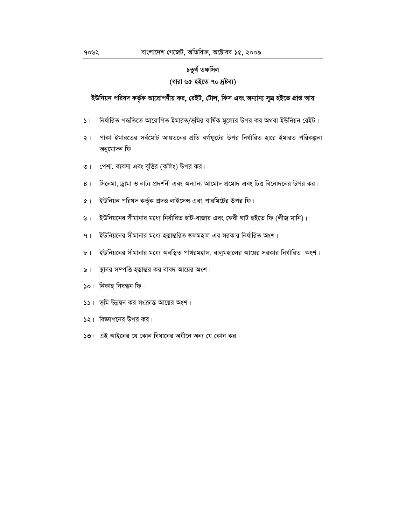# চতুৰ্থ তফসিল (ধারা ৬৫ হইতে ৭০ দ্রষ্টব্য)

ইউনিয়ন পরিষদ কর্তৃক আরোপণীয় কর, রেইট, টোল, ফিস এবং অন্যান্য সূত্র হইতে প্রাপ্ত আয়

- নির্ধারিত পদ্ধতিতে আরোপিত ইমারত/ভূমির বার্ষিক মূল্যের উপর কর অথবা ইউনিয়ন রেইট।  $\mathsf{L}$
- পাকা ইমারতের সর্বমোট আয়তনের প্রতি বর্গফুটের উপর নির্ধারিত হারে ইমারত পরিকল্পনা  $\frac{1}{2}$ অনুমোদন ফি।
- পেশা, ব্যবসা এবং বৃত্তির (কলিং) উপর কর।  $\circ$  |
- সিনেমা, ড্রামা ও নাট্য প্রদর্শনী এবং অন্যান্য আমোদ প্রমোদ এবং চিত্ত বিনোদনের উপর কর।  $8<sub>1</sub>$
- ইউনিয়ন পরিষদ কর্তৃক প্রদত্ত লাইসেন্স এবং পারমিটের উপর ফি।  $Q$
- ইউনিয়নের সীমানার মধ্যে নির্ধারিত হাট-বাজার এবং ফেরী ঘাট হইতে ফি (লীজ মানি)।  $\sqrt{2}$ ।
- ইউনিয়নের সীমানার মধ্যে হস্তান্তরিত জলমহাল এর সরকার নির্ধারিত অংশ।  $9<sub>1</sub>$
- ইউনিয়নের সীমানার মধ্যে অবস্থিত পাথরমহাল, বালুমহালের আয়ের সরকার নির্ধারিত অংশ।  $b<sub>1</sub>$
- স্থাবর সম্পত্তি হস্তান্তর কর বাবদ আয়ের অংশ।  $\delta$  |
- $\mathsf{S}$ ০। নিকাহ নিবন্ধন ফি।
- ১১। ভূমি উন্নয়ন কর সংক্রান্ত আয়ের অংশ।
- $\sqrt{2}$ । বিজ্ঞাপনের উপর কর।
- ১৩। এই আইনের যে কোন বিধানের অধীনে অন্য যে কোন কর।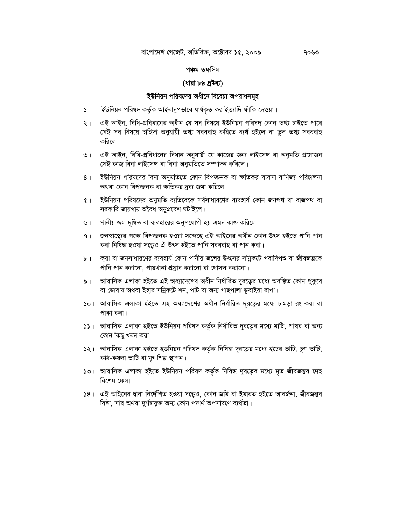#### পঞ্চম তফসিল

#### (ধারা ৮৯ দ্রষ্টব্য)

### ইউনিয়ন পরিষদের অধীনে বিবেচ্য অপরাধসমূহ

- ইউনিয়ন পরিষদ কর্তৃক আইনানুগভাবে ধার্যকৃত কর ইত্যাদি ফাঁকি দেওয়া।  $\mathcal{L}$
- এই আইন, বিধি-প্রবিধানের অধীন যে সব বিষয়ে ইউনিয়ন পরিষদ কোন তথ্য চাইতে পারে  $\frac{1}{2}$ সেই সব বিষয়ে চাহিদা অনুযায়ী তথ্য সরবরাহ করিতে ব্যর্থ হইলে বা ভুল তথ্য সরবরাহ করিলে।
- এই আইন, বিধি-প্রবিধানের বিধান অনুযায়ী যে কাজের জন্য লাইসেন্স বা অনুমতি প্রয়োজন  $\overline{O}$  | সেই কাজ বিনা লাইসেন্স বা বিনা অনুমতিতে সম্পাদন করিলে।
- ইউনিয়ন পরিষদের বিনা অনুমতিতে কোন বিপজ্জনক বা ক্ষতিকর ব্যবসা-বাণিজ্য পরিচালনা  $8<sup>1</sup>$ অথবা কোন বিপজ্জনক বা ক্ষতিকর দ্রব্য জমা করিলে।
- ৫। ইউনিয়ন পরিষদের অনুমতি ব্যতিরেকে সর্বসাধারণের ব্যবহার্য কোন জনপথ বা রাজপথ বা সরকারি জায়গায় অবৈধ অনুপ্রবেশ ঘটাইলে।
- পানীয় জল দূষিত বা ব্যবহারের অনুপযোগী হয় এমন কাজ করিলে। ৬।
- জনস্বাস্থ্যের পক্ষে বিপজ্জনক হওয়া সন্দেহে এই আইনের অধীন কোন উৎস হইতে পানি পান  $9<sub>1</sub>$ করা নিষিদ্ধ হওয়া সত্তেও ঐ উৎস হইতে পানি সরবরাহ বা পান করা।
- ৮। কয়া বা জনসাধারণের ব্যবহার্য কোন পানীয় জলের উৎসের সন্নিকটে গবাদিপশু বা জীবজম্ভকে পানি পান করানো, পায়খানা প্রস্রাব করানো বা গোসল করানো।
- আবাসিক এলাকা হইতে এই অধ্যাদেশের অধীন নির্ধারিত দূরত্বের মধ্যে অবস্থিত কোন পুকুরে  $\delta$  | বা ডোবায় অথবা ইহার সন্নিকটে শন, পাট বা অন্য গাছপালা ডুবাইয়া রাখা।
- ১০। আবাসিক এলাকা হইতে এই অধ্যাদেশের অধীন নির্ধারিত দূরত্বের মধ্যে চামড়া রং করা বা পাকা করা।
- ১১। আবাসিক এলাকা হইতে ইউনিয়ন পরিষদ কর্তৃক নির্ধারিত দূরত্বের মধ্যে মাটি, পাথর বা অন্য কোন কিছু খনন করা।
- ১২। আবাসিক এলাকা হইতে ইউনিয়ন পরিষদ কর্তৃক নিষিদ্ধ দূরত্বের মধ্যে ইটের ভাটি, চূণ ভাটি, কাঠ-কয়লা ভাটি বা মৃৎ শিল্প স্থাপন।
- ১৩। আবাসিক এলাকা হইতে ইউনিয়ন পরিষদ কর্তৃক নিষিদ্ধ দূরত্বের মধ্যে মৃত জীবজম্ভর দেহ বিশেষ ফেলা।
- ১৪। এই আইনের দ্বারা নির্দেশিত হওয়া সত্তেও, কোন জমি বা ইমারত হইতে আবর্জনা, জীবজন্তুর বিষ্ঠা, সার অথবা দুর্গন্ধযুক্ত অন্য কোন পদার্থ অপসারণে ব্যর্থতা।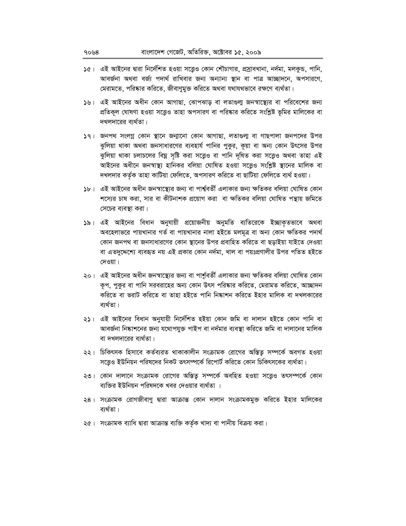- ১৫। এই আইনের দ্বারা নির্দেশিত হওয়া সত্ত্বেও কোন শৌচাগার, প্রস্রাবখানা, নর্দমা, মলকুন্ড, পানি, আবর্জনা অথবা বর্জ্য পদার্থ রাখিবার জন্য অন্যান্য স্থান বা পাত্র আচ্ছাদনে, অপসারণে, মেরামতে, পরিষ্কার করিতে, জীবাণুমুক্ত করিতে অথবা যথাযথভাবে রক্ষণে ব্যর্থতা।
- ১৬। এই আইনের অধীন কোন আগাছা, ঝোপঝাড় বা লতাগুলা জনস্বাস্থ্যের বা পরিবেশের জন্য প্রতিকূল ঘোষণা হওয়া সত্ত্বেও তাহা অপসারণ বা পরিষ্কার করিতে সংশ্লিষ্ট ভূমির মালিকের বা দখলদারের ব্যর্থতা।
- ১৭। জনপথ সংলগ্ন কোন স্থানে জন্মানো কোন আগাছা, লতাগুলা বা গাছপালা জনপদের উপর ঝুলিয়া থাকা অথবা জনসাধারণের ব্যবহার্য পানির পুকুর, কূয়া বা অন্য কোন উৎসের উপর ঝুলিয়া থাকা চলাচলের বিঘ্ন সৃষ্টি করা সত্ত্বেও বা পানি দূষিত করা সত্ত্বেও অথবা তাহা এই আইনের অধীনে জনস্বাস্থ্য হানিকর বলিয়া ঘোষিত হওয়া সত্তেও সংশ্লিষ্ট স্থানের মালিক বা দখলদার কর্তৃক তাহা কাটিয়া ফেলিতে, অপসারণ করিতে বা ছাটিয়া ফেলিতে ব্যর্থ হওয়া।
- ১৮। এই আইনের অধীন জনস্বাস্থ্যের জন্য বা পার্শ্ববর্তী এলাকার জন্য ক্ষতিকর বলিয়া ঘোষিত কোন শস্যের চাষ করা, সার বা কীটনাশক প্রয়োগ করা বা ক্ষতিকর বলিয়া ঘোষিত পন্থায় জমিতে সেচের ব্যবস্থা করা।
- ১৯। এই আইনের বিধান অনুযায়ী প্রয়োজনীয় অনুমতি ব্যতিরেকে ইচ্ছাকৃতভাবে অথবা অবহেলাভরে পায়খানার গর্ত বা পায়খানার নালা হইতে মলমূত্র বা অন্য কোন ক্ষতিকর পদার্থ কোন জনপথ বা জনসাধারণের কোন স্থানের উপর প্রবাহিত করিতে বা ছড়াইয়া যাইতে দেওয়া বা এতদুদ্দেশ্যে ব্যবহৃত নয় এই প্রকার কোন নর্দমা, খাল বা পয়ঃপ্রণালীর উপর পতিত হইতে দেওয়া।
- ২০। এই আইনের অধীন জনস্বাস্থ্যের জন্য বা পার্শ্ববর্তী এলাকার জন্য ক্ষতিকর বলিয়া ঘোষিত কোন কৃপ, পুকুর বা পানি সরবরাহের অন্য কোন উৎস পরিষ্কার করিতে, মেরামত করিতে, আচ্ছাদন করিতে বা ভরাট করিতে বা তাহা হইতে পানি নিষ্কাশন করিতে ইহার মালিক বা দখলকারের ব্যৰ্থতা।
- ২১। এই আইনের বিধান অনুযায়ী নির্দেশিত হইয়া কোন জমি বা দালান হইতে কোন পানি বা আবর্জনা নিষ্কাশনের জন্য যথোপযুক্ত পাইপ বা নর্দমার ব্যবস্থা করিতে জমি বা দালানের মালিক বা দখলদারের ব্যর্থতা।
- ২২। চিকিৎসক হিসাবে কর্তব্যরত থাকাকালীন সংক্রামক রোগের অস্তিত্ব সম্পর্কে অবগত হওয়া সত্ত্বেও ইউনিয়ন পরিষদের নিকট তৎসম্পর্কে রিপোর্ট করিতে কোন চিকিৎসকের ব্যর্থতা।
- ২৩। কোন দালানে সংক্রামক রোগের অস্তিতু সম্পর্কে অবহিত হওয়া সত্তেও তৎসম্পর্কে কোন ব্যক্তির ইউনিয়ন পরিষদকে খবর দেওয়ার ব্যর্থতা ।
- ২৪। সংক্রামক রোগজীবাণু দ্বারা আক্রান্ত কোন দালান সংক্রামকমুক্ত করিতে ইহার মালিকের ব্যৰ্থতা।
- ২৫। সংক্রামক ব্যাধি দ্বারা আক্রান্ত ব্যক্তি কর্তৃক খাদ্য বা পানীয় বিক্রয় করা।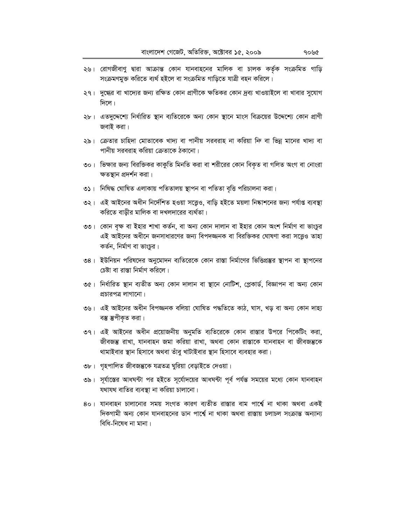- ২৬। রোগজীবাণু দ্বারা আক্রান্ত কোন যানবাহনের মালিক বা চালক কর্তৃক সংক্রমিত গাড়ি সংক্ৰমণমুক্ত করিতে ব্যর্থ হইলে বা সংক্রমিত গাড়িতে যাত্রী বহন করিলে।
- ২৭। দুগ্ধের বা খাদ্যের জন্য রক্ষিত কোন প্রাণীকে ক্ষতিকর কোন দ্রব্য খাওয়াইলে বা খাবার সুযোগ  $\sqrt{r}$ লে।
- ২৮। এতদুদ্দেশ্যে নির্ধারিত স্থান ব্যতিরেকে অন্য কোন স্থানে মাংস বিক্রয়ের উদ্দেশ্যে কোন প্রাণী জবাই করা।
- ২৯। ক্রেতার চাহিদা মোতাবেক খাদ্য বা পানীয় সরবরাহ না করিয়া নি বা ভিন্ন মানের খাদ্য বা পানীয় সরবরাহ করিয়া ক্রেতাকে ঠকানো।
- ৩০। ভিক্ষার জন্য বিরক্তিকর কাকুতি মিনতি করা বা শরীরের কোন বিকৃত বা গলিত অংগ বা নোংরা ক্ষতস্থান প্রদর্শন করা।
- ৩১। নিষিদ্ধ ঘোষিত এলাকায় পতিতালয় স্থাপন বা পতিতা বৃত্তি পরিচালনা করা।
- ৩২। এই আইনের অধীন নির্দেশিত হওয়া সত্তেও, বাড়ি হইতে ময়লা নিষ্কাশনের জন্য পর্যাপ্ত ব্যবস্থা করিতে বাড়ীর মালিক বা দখলদারের ব্যর্থতা।
- ৩৩। কোন বৃক্ষ বা ইহার শাখা কর্তন, বা অন্য কোন দালান বা ইহার কোন অংশ নির্মাণ বা ভাংচুর এই আইনের অধীনে জনসাধারণের জন্য বিপদজ্জনক বা বিরক্তিকর ঘোষণা করা সত্ত্বেও তাহা কর্তন, নির্মাণ বা ভাংচুর।
- ৩৪। ইউনিয়ন পরিষদের অনুমোদন ব্যতিরেকে কোন রাস্তা নির্মাণের ভিত্তিপ্রস্তুর স্থাপন বা স্থাপনের চেষ্টা বা রাস্তা নির্মাণ করিলে।
- ৩৫। নির্ধারিত স্থান ব্যতীত অন্য কোন দালান বা স্থানে নোটিশ, প্লেকার্ড, বিজ্ঞাপন বা অন্য কোন প্রচারপত্র লাগানো।
- ৩৬। এই আইনের অধীন বিপজ্জনক বলিয়া ঘোষিত পদ্ধতিতে কাঠ, ঘাস, খড় বা অন্য কোন দাহ্য বম্ভ স্তুপীকৃত করা।
- ৩৭। এই আইনের অধীন প্রয়োজনীয় অনুমতি ব্যতিরেকে কোন রাস্তার উপরে পিকেটিং করা, জীবজম্ভ রাখা, যানবাহন জমা করিয়া রাখা, অথবা কোন রাস্তাকে যানবাহন বা জীবজম্ভকে থামাইবার স্থান হিসাবে অথবা তাঁবু খাটাইবার স্থান হিসাবে ব্যবহার করা।
- ৩৮। গৃহপালিত জীবজম্ভকে যত্ৰতত্ৰ ঘুরিয়া বেড়াইতে দেওয়া।
- ৩৯। সূর্যাস্তের আধঘন্টা পর হইতে সূর্যোদয়ের আধঘন্টা পূর্ব পর্যন্ত সময়ের মধ্যে কোন যানবাহন যথাযথ বাতির ব্যবস্থা না করিয়া চালানো।
- ৪০। যানবাহন চালানোর সময় সংগত কারণ ব্যতীত রাস্তার বাম পার্শ্বে না থাকা অথবা একই দিকগামী অন্য কোন যানবাহনের ডান পার্শ্বে না থাকা অথবা রাস্তায় চলাচল সংক্রান্ত অন্যান্য বিধি-নিষেধ না মানা।